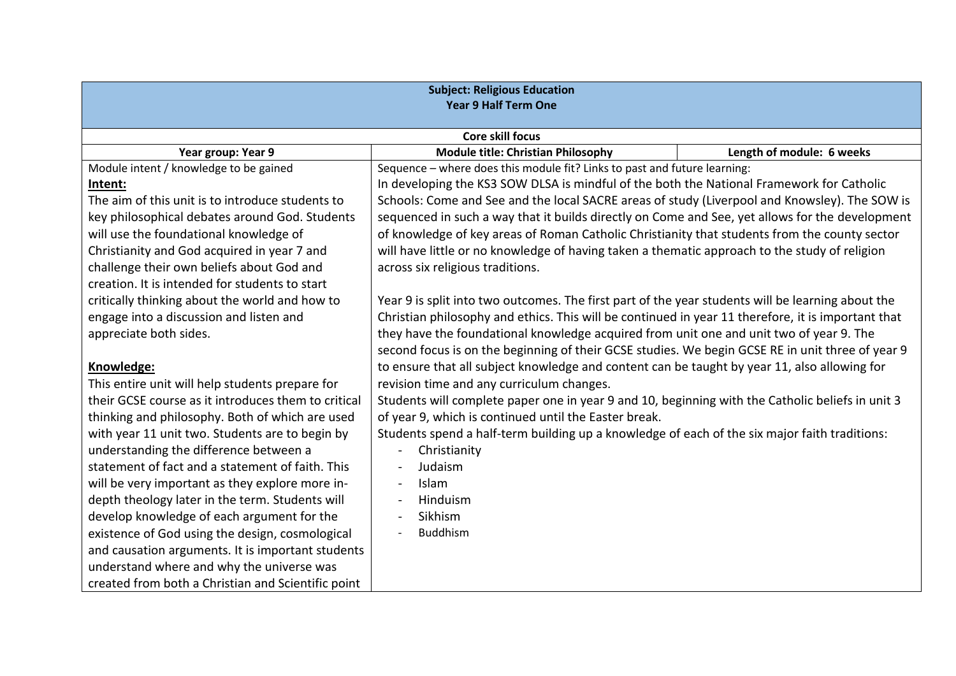| <b>Subject: Religious Education</b>                 |                                                                                                    |                           |  |
|-----------------------------------------------------|----------------------------------------------------------------------------------------------------|---------------------------|--|
| <b>Year 9 Half Term One</b>                         |                                                                                                    |                           |  |
|                                                     |                                                                                                    |                           |  |
|                                                     | <b>Core skill focus</b>                                                                            |                           |  |
| Year group: Year 9                                  | <b>Module title: Christian Philosophy</b>                                                          | Length of module: 6 weeks |  |
| Module intent / knowledge to be gained              | Sequence - where does this module fit? Links to past and future learning:                          |                           |  |
| Intent:                                             | In developing the KS3 SOW DLSA is mindful of the both the National Framework for Catholic          |                           |  |
| The aim of this unit is to introduce students to    | Schools: Come and See and the local SACRE areas of study (Liverpool and Knowsley). The SOW is      |                           |  |
| key philosophical debates around God. Students      | sequenced in such a way that it builds directly on Come and See, yet allows for the development    |                           |  |
| will use the foundational knowledge of              | of knowledge of key areas of Roman Catholic Christianity that students from the county sector      |                           |  |
| Christianity and God acquired in year 7 and         | will have little or no knowledge of having taken a thematic approach to the study of religion      |                           |  |
| challenge their own beliefs about God and           | across six religious traditions.                                                                   |                           |  |
| creation. It is intended for students to start      |                                                                                                    |                           |  |
| critically thinking about the world and how to      | Year 9 is split into two outcomes. The first part of the year students will be learning about the  |                           |  |
| engage into a discussion and listen and             | Christian philosophy and ethics. This will be continued in year 11 therefore, it is important that |                           |  |
| appreciate both sides.                              | they have the foundational knowledge acquired from unit one and unit two of year 9. The            |                           |  |
|                                                     | second focus is on the beginning of their GCSE studies. We begin GCSE RE in unit three of year 9   |                           |  |
| Knowledge:                                          | to ensure that all subject knowledge and content can be taught by year 11, also allowing for       |                           |  |
| This entire unit will help students prepare for     | revision time and any curriculum changes.                                                          |                           |  |
| their GCSE course as it introduces them to critical | Students will complete paper one in year 9 and 10, beginning with the Catholic beliefs in unit 3   |                           |  |
| thinking and philosophy. Both of which are used     | of year 9, which is continued until the Easter break.                                              |                           |  |
| with year 11 unit two. Students are to begin by     | Students spend a half-term building up a knowledge of each of the six major faith traditions:      |                           |  |
| understanding the difference between a              | Christianity<br>$\blacksquare$                                                                     |                           |  |
| statement of fact and a statement of faith. This    | Judaism                                                                                            |                           |  |
| will be very important as they explore more in-     | <b>Islam</b>                                                                                       |                           |  |
| depth theology later in the term. Students will     | Hinduism                                                                                           |                           |  |
| develop knowledge of each argument for the          | Sikhism                                                                                            |                           |  |
| existence of God using the design, cosmological     | <b>Buddhism</b>                                                                                    |                           |  |
| and causation arguments. It is important students   |                                                                                                    |                           |  |
| understand where and why the universe was           |                                                                                                    |                           |  |
| created from both a Christian and Scientific point  |                                                                                                    |                           |  |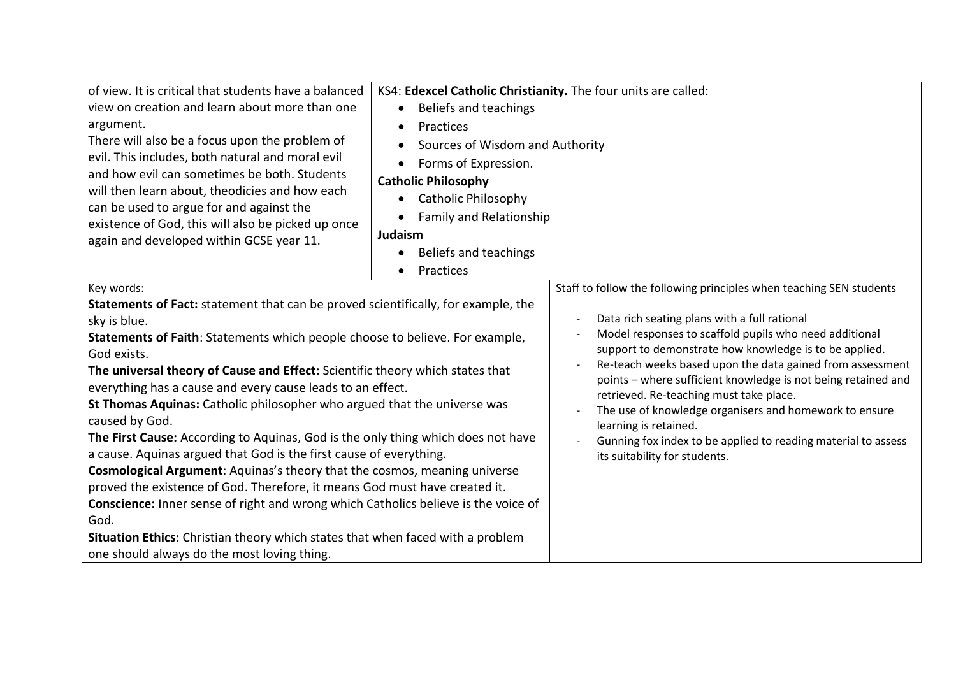| of view. It is critical that students have a balanced                              |                                   | KS4: Edexcel Catholic Christianity. The four units are called:                                                      |  |  |
|------------------------------------------------------------------------------------|-----------------------------------|---------------------------------------------------------------------------------------------------------------------|--|--|
| view on creation and learn about more than one                                     | Beliefs and teachings             |                                                                                                                     |  |  |
| argument.                                                                          | Practices<br>$\bullet$            |                                                                                                                     |  |  |
| There will also be a focus upon the problem of                                     | Sources of Wisdom and Authority   |                                                                                                                     |  |  |
| evil. This includes, both natural and moral evil                                   | Forms of Expression.<br>$\bullet$ |                                                                                                                     |  |  |
| and how evil can sometimes be both. Students                                       | <b>Catholic Philosophy</b>        |                                                                                                                     |  |  |
| will then learn about, theodicies and how each                                     | <b>Catholic Philosophy</b>        |                                                                                                                     |  |  |
| can be used to argue for and against the                                           |                                   |                                                                                                                     |  |  |
| existence of God, this will also be picked up once                                 | <b>Family and Relationship</b>    |                                                                                                                     |  |  |
| again and developed within GCSE year 11.                                           | Judaism                           |                                                                                                                     |  |  |
|                                                                                    | Beliefs and teachings             |                                                                                                                     |  |  |
|                                                                                    | Practices                         |                                                                                                                     |  |  |
| Key words:                                                                         |                                   | Staff to follow the following principles when teaching SEN students                                                 |  |  |
| Statements of Fact: statement that can be proved scientifically, for example, the  |                                   |                                                                                                                     |  |  |
| sky is blue.                                                                       |                                   | Data rich seating plans with a full rational                                                                        |  |  |
| Statements of Faith: Statements which people choose to believe. For example,       |                                   | Model responses to scaffold pupils who need additional                                                              |  |  |
| God exists.                                                                        |                                   | support to demonstrate how knowledge is to be applied.<br>Re-teach weeks based upon the data gained from assessment |  |  |
| The universal theory of Cause and Effect: Scientific theory which states that      |                                   | points - where sufficient knowledge is not being retained and                                                       |  |  |
| everything has a cause and every cause leads to an effect.                         |                                   | retrieved. Re-teaching must take place.                                                                             |  |  |
| St Thomas Aquinas: Catholic philosopher who argued that the universe was           |                                   | The use of knowledge organisers and homework to ensure                                                              |  |  |
| caused by God.                                                                     |                                   | learning is retained.                                                                                               |  |  |
| The First Cause: According to Aquinas, God is the only thing which does not have   |                                   | Gunning fox index to be applied to reading material to assess                                                       |  |  |
| a cause. Aquinas argued that God is the first cause of everything.                 |                                   | its suitability for students.                                                                                       |  |  |
| Cosmological Argument: Aquinas's theory that the cosmos, meaning universe          |                                   |                                                                                                                     |  |  |
| proved the existence of God. Therefore, it means God must have created it.         |                                   |                                                                                                                     |  |  |
| Conscience: Inner sense of right and wrong which Catholics believe is the voice of |                                   |                                                                                                                     |  |  |
| God.                                                                               |                                   |                                                                                                                     |  |  |
| Situation Ethics: Christian theory which states that when faced with a problem     |                                   |                                                                                                                     |  |  |
| one should always do the most loving thing.                                        |                                   |                                                                                                                     |  |  |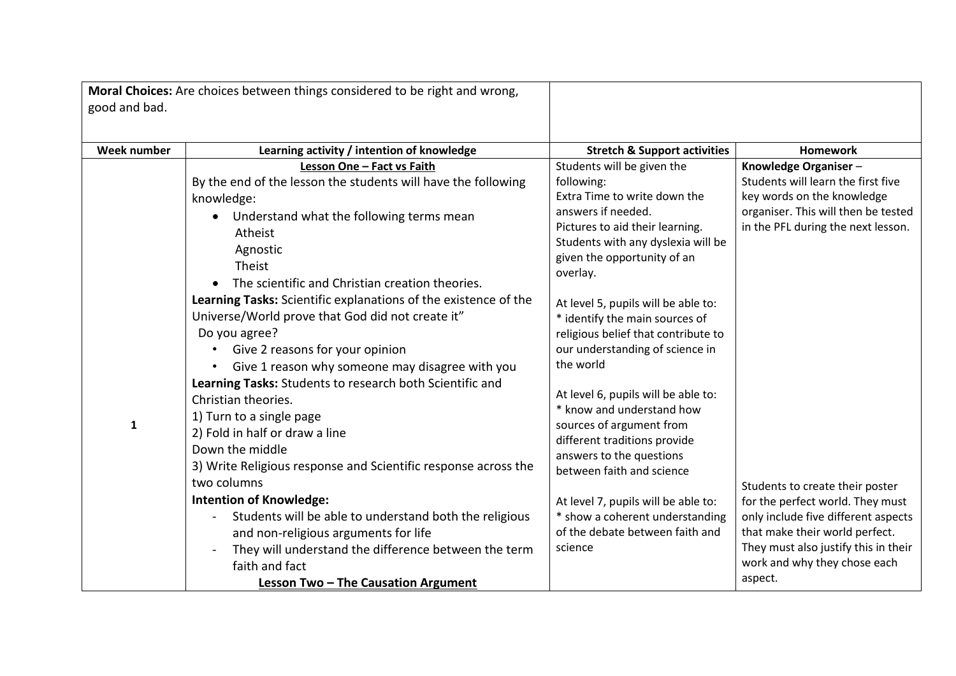| good and bad.      | Moral Choices: Are choices between things considered to be right and wrong,                                                                                                                                                                                                                                                                                                                                                                                                                                                                                                                                                                                                                                                                                                                                                                                                                                                                  |                                                                                                                                                                                                                                                                                                                                                                                                                                                                                                                                                                                                                                                                                                     |                                                                                                                                                                                                                                                                                                                                                                                               |
|--------------------|----------------------------------------------------------------------------------------------------------------------------------------------------------------------------------------------------------------------------------------------------------------------------------------------------------------------------------------------------------------------------------------------------------------------------------------------------------------------------------------------------------------------------------------------------------------------------------------------------------------------------------------------------------------------------------------------------------------------------------------------------------------------------------------------------------------------------------------------------------------------------------------------------------------------------------------------|-----------------------------------------------------------------------------------------------------------------------------------------------------------------------------------------------------------------------------------------------------------------------------------------------------------------------------------------------------------------------------------------------------------------------------------------------------------------------------------------------------------------------------------------------------------------------------------------------------------------------------------------------------------------------------------------------------|-----------------------------------------------------------------------------------------------------------------------------------------------------------------------------------------------------------------------------------------------------------------------------------------------------------------------------------------------------------------------------------------------|
|                    |                                                                                                                                                                                                                                                                                                                                                                                                                                                                                                                                                                                                                                                                                                                                                                                                                                                                                                                                              |                                                                                                                                                                                                                                                                                                                                                                                                                                                                                                                                                                                                                                                                                                     |                                                                                                                                                                                                                                                                                                                                                                                               |
| <b>Week number</b> | Learning activity / intention of knowledge                                                                                                                                                                                                                                                                                                                                                                                                                                                                                                                                                                                                                                                                                                                                                                                                                                                                                                   | <b>Stretch &amp; Support activities</b>                                                                                                                                                                                                                                                                                                                                                                                                                                                                                                                                                                                                                                                             | <b>Homework</b>                                                                                                                                                                                                                                                                                                                                                                               |
| $\mathbf{1}$       | Lesson One - Fact vs Faith<br>By the end of the lesson the students will have the following<br>knowledge:<br>• Understand what the following terms mean<br>Atheist<br>Agnostic<br>Theist<br>The scientific and Christian creation theories.<br>Learning Tasks: Scientific explanations of the existence of the<br>Universe/World prove that God did not create it"<br>Do you agree?<br>Give 2 reasons for your opinion<br>Give 1 reason why someone may disagree with you<br>Learning Tasks: Students to research both Scientific and<br>Christian theories.<br>1) Turn to a single page<br>2) Fold in half or draw a line<br>Down the middle<br>3) Write Religious response and Scientific response across the<br>two columns<br><b>Intention of Knowledge:</b><br>Students will be able to understand both the religious<br>and non-religious arguments for life<br>They will understand the difference between the term<br>faith and fact | Students will be given the<br>following:<br>Extra Time to write down the<br>answers if needed.<br>Pictures to aid their learning.<br>Students with any dyslexia will be<br>given the opportunity of an<br>overlay.<br>At level 5, pupils will be able to:<br>* identify the main sources of<br>religious belief that contribute to<br>our understanding of science in<br>the world<br>At level 6, pupils will be able to:<br>* know and understand how<br>sources of argument from<br>different traditions provide<br>answers to the questions<br>between faith and science<br>At level 7, pupils will be able to:<br>* show a coherent understanding<br>of the debate between faith and<br>science | Knowledge Organiser-<br>Students will learn the first five<br>key words on the knowledge<br>organiser. This will then be tested<br>in the PFL during the next lesson.<br>Students to create their poster<br>for the perfect world. They must<br>only include five different aspects<br>that make their world perfect.<br>They must also justify this in their<br>work and why they chose each |
|                    | Lesson Two - The Causation Argument                                                                                                                                                                                                                                                                                                                                                                                                                                                                                                                                                                                                                                                                                                                                                                                                                                                                                                          |                                                                                                                                                                                                                                                                                                                                                                                                                                                                                                                                                                                                                                                                                                     | aspect.                                                                                                                                                                                                                                                                                                                                                                                       |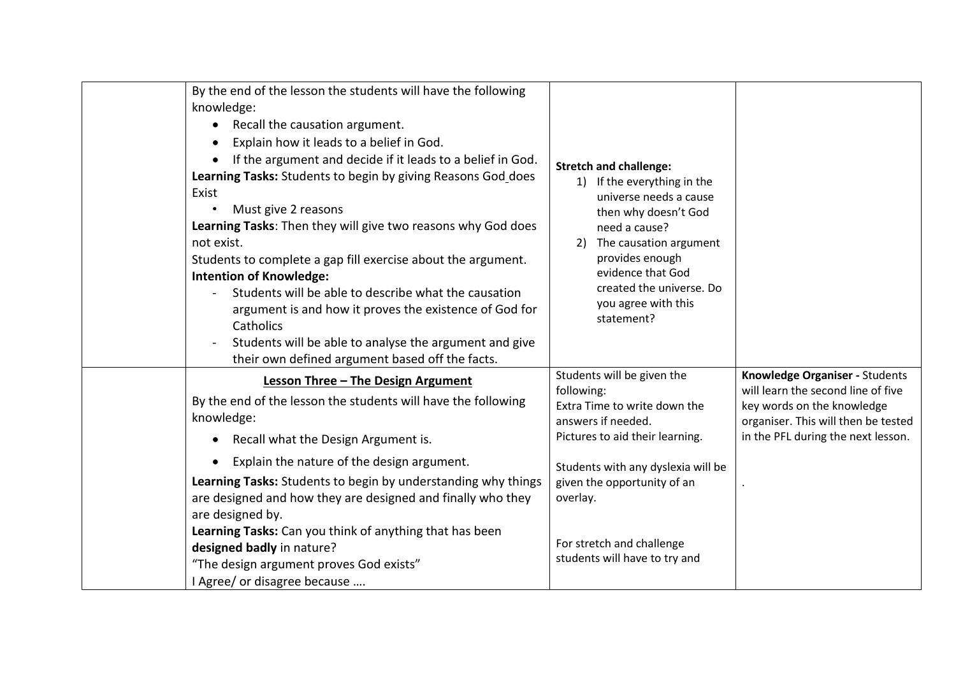| By the end of the lesson the students will have the following<br>knowledge:<br>Recall the causation argument.<br>Explain how it leads to a belief in God.<br>If the argument and decide if it leads to a belief in God.<br>Learning Tasks: Students to begin by giving Reasons God_does<br>Exist<br>Must give 2 reasons<br>Learning Tasks: Then they will give two reasons why God does<br>not exist.<br>Students to complete a gap fill exercise about the argument.<br><b>Intention of Knowledge:</b><br>Students will be able to describe what the causation<br>argument is and how it proves the existence of God for<br>Catholics<br>Students will be able to analyse the argument and give<br>their own defined argument based off the facts. | <b>Stretch and challenge:</b><br>1) If the everything in the<br>universe needs a cause<br>then why doesn't God<br>need a cause?<br>The causation argument<br>2)<br>provides enough<br>evidence that God<br>created the universe. Do<br>you agree with this<br>statement?         |                                                                                                                                                                                 |
|-----------------------------------------------------------------------------------------------------------------------------------------------------------------------------------------------------------------------------------------------------------------------------------------------------------------------------------------------------------------------------------------------------------------------------------------------------------------------------------------------------------------------------------------------------------------------------------------------------------------------------------------------------------------------------------------------------------------------------------------------------|----------------------------------------------------------------------------------------------------------------------------------------------------------------------------------------------------------------------------------------------------------------------------------|---------------------------------------------------------------------------------------------------------------------------------------------------------------------------------|
| Lesson Three - The Design Argument<br>By the end of the lesson the students will have the following<br>knowledge:<br>Recall what the Design Argument is.<br>$\bullet$<br>Explain the nature of the design argument.<br>Learning Tasks: Students to begin by understanding why things<br>are designed and how they are designed and finally who they<br>are designed by.<br>Learning Tasks: Can you think of anything that has been<br>designed badly in nature?<br>"The design argument proves God exists"<br>I Agree/ or disagree because                                                                                                                                                                                                          | Students will be given the<br>following:<br>Extra Time to write down the<br>answers if needed.<br>Pictures to aid their learning.<br>Students with any dyslexia will be<br>given the opportunity of an<br>overlay.<br>For stretch and challenge<br>students will have to try and | Knowledge Organiser - Students<br>will learn the second line of five<br>key words on the knowledge<br>organiser. This will then be tested<br>in the PFL during the next lesson. |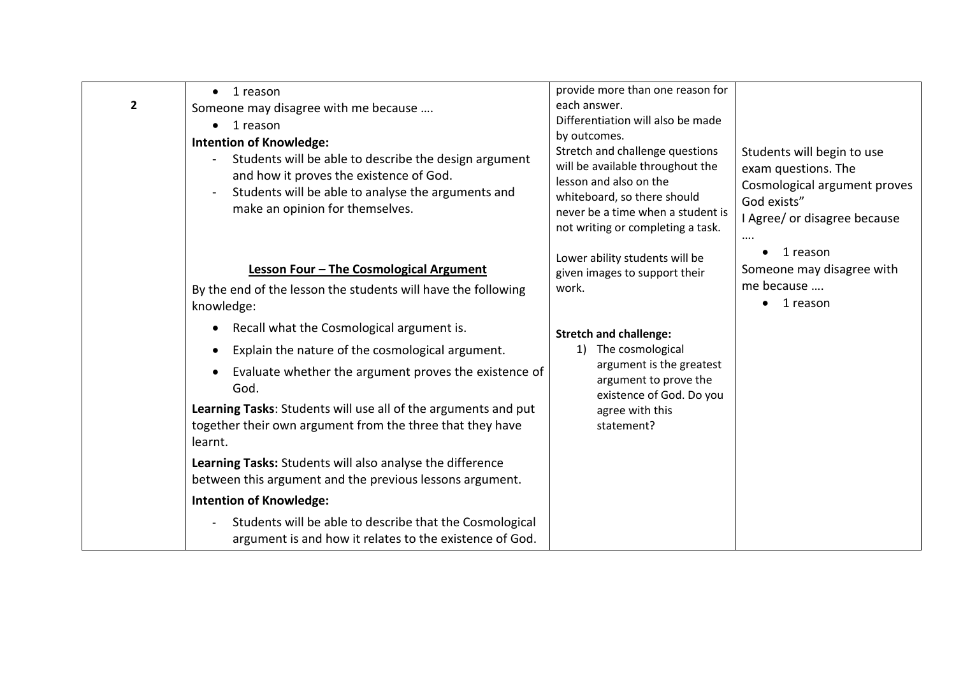| $\mathbf{2}$ | 1 reason<br>$\bullet$<br>Someone may disagree with me because<br>1 reason<br><b>Intention of Knowledge:</b><br>Students will be able to describe the design argument<br>$\overline{\phantom{a}}$<br>and how it proves the existence of God.<br>Students will be able to analyse the arguments and<br>make an opinion for themselves.                                                                                                                              | provide more than one reason for<br>each answer.<br>Differentiation will also be made<br>by outcomes.<br>Stretch and challenge questions<br>will be available throughout the<br>lesson and also on the<br>whiteboard, so there should<br>never be a time when a student is<br>not writing or completing a task. | Students will begin to use<br>exam questions. The<br>Cosmological argument proves<br>God exists"<br>I Agree/ or disagree because<br>$\cdots$ |
|--------------|-------------------------------------------------------------------------------------------------------------------------------------------------------------------------------------------------------------------------------------------------------------------------------------------------------------------------------------------------------------------------------------------------------------------------------------------------------------------|-----------------------------------------------------------------------------------------------------------------------------------------------------------------------------------------------------------------------------------------------------------------------------------------------------------------|----------------------------------------------------------------------------------------------------------------------------------------------|
|              | Lesson Four - The Cosmological Argument<br>By the end of the lesson the students will have the following<br>knowledge:<br>Recall what the Cosmological argument is.<br>$\bullet$<br>Explain the nature of the cosmological argument.<br>$\bullet$<br>Evaluate whether the argument proves the existence of<br>٠<br>God.<br>Learning Tasks: Students will use all of the arguments and put<br>together their own argument from the three that they have<br>learnt. | Lower ability students will be<br>given images to support their<br>work.<br><b>Stretch and challenge:</b><br>The cosmological<br>1)<br>argument is the greatest<br>argument to prove the<br>existence of God. Do you<br>agree with this<br>statement?                                                           | 1 reason<br>Someone may disagree with<br>me because<br>1 reason                                                                              |
|              | Learning Tasks: Students will also analyse the difference<br>between this argument and the previous lessons argument.<br><b>Intention of Knowledge:</b>                                                                                                                                                                                                                                                                                                           |                                                                                                                                                                                                                                                                                                                 |                                                                                                                                              |
|              | Students will be able to describe that the Cosmological<br>$\overline{\phantom{m}}$<br>argument is and how it relates to the existence of God.                                                                                                                                                                                                                                                                                                                    |                                                                                                                                                                                                                                                                                                                 |                                                                                                                                              |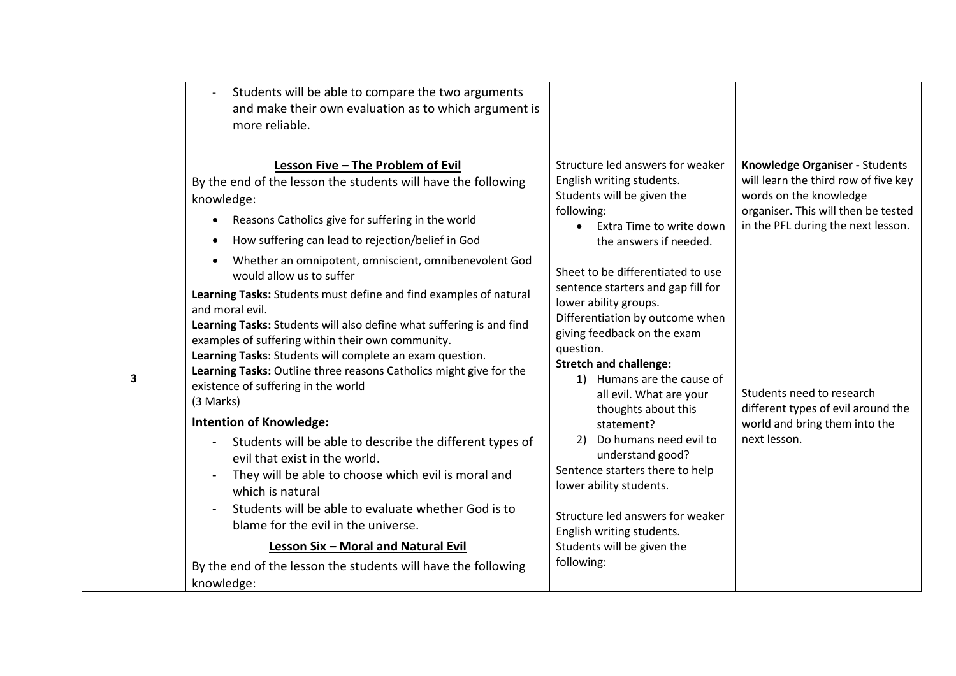|   | Students will be able to compare the two arguments<br>$\overline{\phantom{a}}$<br>and make their own evaluation as to which argument is<br>more reliable.                                                                                                                                                                                                                                                                                      |                                                                                                                                                                                                                                                                                  |                                                                                                                                                                               |
|---|------------------------------------------------------------------------------------------------------------------------------------------------------------------------------------------------------------------------------------------------------------------------------------------------------------------------------------------------------------------------------------------------------------------------------------------------|----------------------------------------------------------------------------------------------------------------------------------------------------------------------------------------------------------------------------------------------------------------------------------|-------------------------------------------------------------------------------------------------------------------------------------------------------------------------------|
|   | Lesson Five - The Problem of Evil<br>By the end of the lesson the students will have the following<br>knowledge:<br>Reasons Catholics give for suffering in the world<br>$\bullet$<br>How suffering can lead to rejection/belief in God<br>$\bullet$<br>Whether an omnipotent, omniscient, omnibenevolent God<br>$\bullet$<br>would allow us to suffer<br>Learning Tasks: Students must define and find examples of natural<br>and moral evil. | Structure led answers for weaker<br>English writing students.<br>Students will be given the<br>following:<br>Extra Time to write down<br>$\bullet$<br>the answers if needed.<br>Sheet to be differentiated to use<br>sentence starters and gap fill for<br>lower ability groups. | Knowledge Organiser - Students<br>will learn the third row of five key<br>words on the knowledge<br>organiser. This will then be tested<br>in the PFL during the next lesson. |
| 3 | Learning Tasks: Students will also define what suffering is and find<br>examples of suffering within their own community.<br>Learning Tasks: Students will complete an exam question.<br>Learning Tasks: Outline three reasons Catholics might give for the<br>existence of suffering in the world<br>(3 Marks)                                                                                                                                | Differentiation by outcome when<br>giving feedback on the exam<br>question.<br><b>Stretch and challenge:</b><br>1) Humans are the cause of<br>all evil. What are your<br>thoughts about this                                                                                     | Students need to research<br>different types of evil around the                                                                                                               |
|   | <b>Intention of Knowledge:</b><br>Students will be able to describe the different types of<br>evil that exist in the world.<br>They will be able to choose which evil is moral and<br>which is natural<br>Students will be able to evaluate whether God is to<br>blame for the evil in the universe.                                                                                                                                           | statement?<br>Do humans need evil to<br>2)<br>understand good?<br>Sentence starters there to help<br>lower ability students.<br>Structure led answers for weaker<br>English writing students.                                                                                    | world and bring them into the<br>next lesson.                                                                                                                                 |
|   | Lesson Six - Moral and Natural Evil<br>By the end of the lesson the students will have the following<br>knowledge:                                                                                                                                                                                                                                                                                                                             | Students will be given the<br>following:                                                                                                                                                                                                                                         |                                                                                                                                                                               |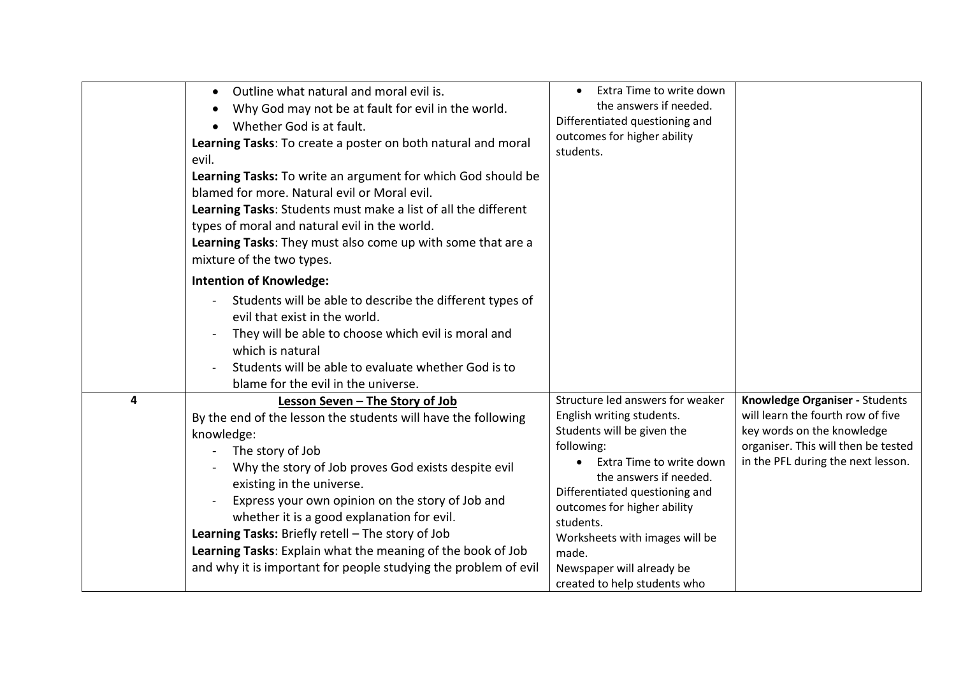|   | Outline what natural and moral evil is.<br>$\bullet$<br>Why God may not be at fault for evil in the world.<br>Whether God is at fault.<br>Learning Tasks: To create a poster on both natural and moral<br>evil.<br>Learning Tasks: To write an argument for which God should be<br>blamed for more. Natural evil or Moral evil.<br>Learning Tasks: Students must make a list of all the different<br>types of moral and natural evil in the world.<br>Learning Tasks: They must also come up with some that are a<br>mixture of the two types. | Extra Time to write down<br>the answers if needed.<br>Differentiated questioning and<br>outcomes for higher ability<br>students.                                                                                                                                                                                                                                   |                                                                                                                                                                                |
|---|------------------------------------------------------------------------------------------------------------------------------------------------------------------------------------------------------------------------------------------------------------------------------------------------------------------------------------------------------------------------------------------------------------------------------------------------------------------------------------------------------------------------------------------------|--------------------------------------------------------------------------------------------------------------------------------------------------------------------------------------------------------------------------------------------------------------------------------------------------------------------------------------------------------------------|--------------------------------------------------------------------------------------------------------------------------------------------------------------------------------|
|   | <b>Intention of Knowledge:</b><br>Students will be able to describe the different types of<br>evil that exist in the world.<br>They will be able to choose which evil is moral and<br>which is natural<br>Students will be able to evaluate whether God is to<br>blame for the evil in the universe.                                                                                                                                                                                                                                           |                                                                                                                                                                                                                                                                                                                                                                    |                                                                                                                                                                                |
| 4 | Lesson Seven - The Story of Job<br>By the end of the lesson the students will have the following<br>knowledge:<br>The story of Job<br>Why the story of Job proves God exists despite evil<br>existing in the universe.<br>Express your own opinion on the story of Job and<br>whether it is a good explanation for evil.<br>Learning Tasks: Briefly retell - The story of Job<br>Learning Tasks: Explain what the meaning of the book of Job<br>and why it is important for people studying the problem of evil                                | Structure led answers for weaker<br>English writing students.<br>Students will be given the<br>following:<br>Extra Time to write down<br>$\bullet$<br>the answers if needed.<br>Differentiated questioning and<br>outcomes for higher ability<br>students.<br>Worksheets with images will be<br>made.<br>Newspaper will already be<br>created to help students who | Knowledge Organiser - Students<br>will learn the fourth row of five<br>key words on the knowledge<br>organiser. This will then be tested<br>in the PFL during the next lesson. |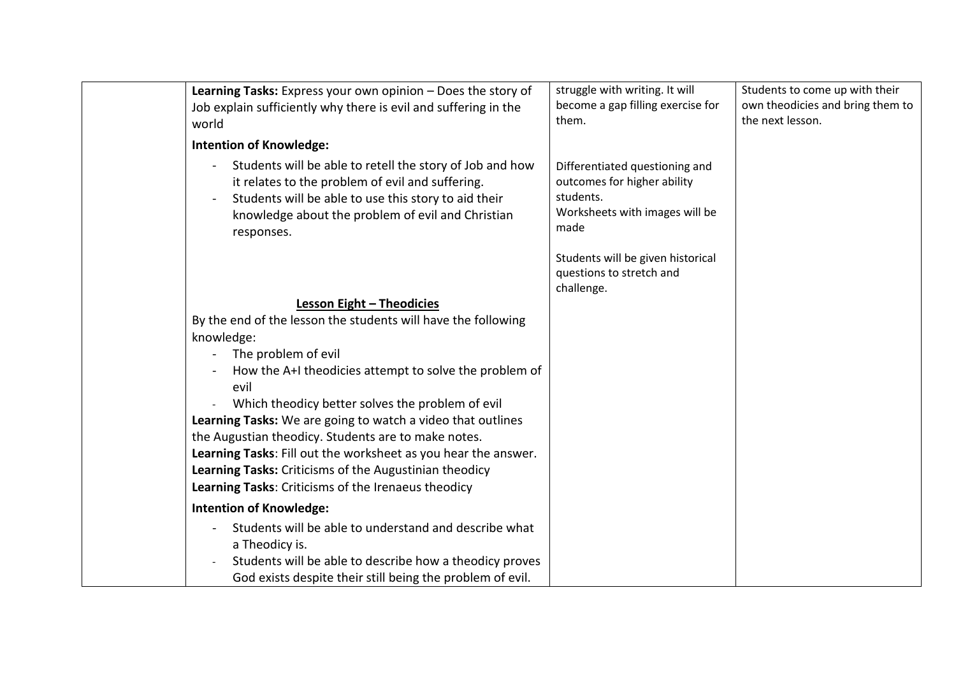| Learning Tasks: Express your own opinion - Does the story of                                                                                                                                                                                              | struggle with writing. It will                                                                                       | Students to come up with their   |
|-----------------------------------------------------------------------------------------------------------------------------------------------------------------------------------------------------------------------------------------------------------|----------------------------------------------------------------------------------------------------------------------|----------------------------------|
| Job explain sufficiently why there is evil and suffering in the                                                                                                                                                                                           | become a gap filling exercise for                                                                                    | own theodicies and bring them to |
| world                                                                                                                                                                                                                                                     | them.                                                                                                                | the next lesson.                 |
| <b>Intention of Knowledge:</b>                                                                                                                                                                                                                            |                                                                                                                      |                                  |
| Students will be able to retell the story of Job and how<br>$\overline{a}$<br>it relates to the problem of evil and suffering.<br>Students will be able to use this story to aid their<br>knowledge about the problem of evil and Christian<br>responses. | Differentiated questioning and<br>outcomes for higher ability<br>students.<br>Worksheets with images will be<br>made |                                  |
|                                                                                                                                                                                                                                                           | Students will be given historical<br>questions to stretch and<br>challenge.                                          |                                  |
| Lesson Eight - Theodicies                                                                                                                                                                                                                                 |                                                                                                                      |                                  |
| By the end of the lesson the students will have the following                                                                                                                                                                                             |                                                                                                                      |                                  |
| knowledge:                                                                                                                                                                                                                                                |                                                                                                                      |                                  |
| The problem of evil                                                                                                                                                                                                                                       |                                                                                                                      |                                  |
| How the A+I theodicies attempt to solve the problem of                                                                                                                                                                                                    |                                                                                                                      |                                  |
| evil                                                                                                                                                                                                                                                      |                                                                                                                      |                                  |
| Which theodicy better solves the problem of evil                                                                                                                                                                                                          |                                                                                                                      |                                  |
| Learning Tasks: We are going to watch a video that outlines                                                                                                                                                                                               |                                                                                                                      |                                  |
| the Augustian theodicy. Students are to make notes.                                                                                                                                                                                                       |                                                                                                                      |                                  |
| Learning Tasks: Fill out the worksheet as you hear the answer.                                                                                                                                                                                            |                                                                                                                      |                                  |
| Learning Tasks: Criticisms of the Augustinian theodicy                                                                                                                                                                                                    |                                                                                                                      |                                  |
| Learning Tasks: Criticisms of the Irenaeus theodicy                                                                                                                                                                                                       |                                                                                                                      |                                  |
| <b>Intention of Knowledge:</b>                                                                                                                                                                                                                            |                                                                                                                      |                                  |
| Students will be able to understand and describe what                                                                                                                                                                                                     |                                                                                                                      |                                  |
| a Theodicy is.                                                                                                                                                                                                                                            |                                                                                                                      |                                  |
| Students will be able to describe how a theodicy proves                                                                                                                                                                                                   |                                                                                                                      |                                  |
| God exists despite their still being the problem of evil.                                                                                                                                                                                                 |                                                                                                                      |                                  |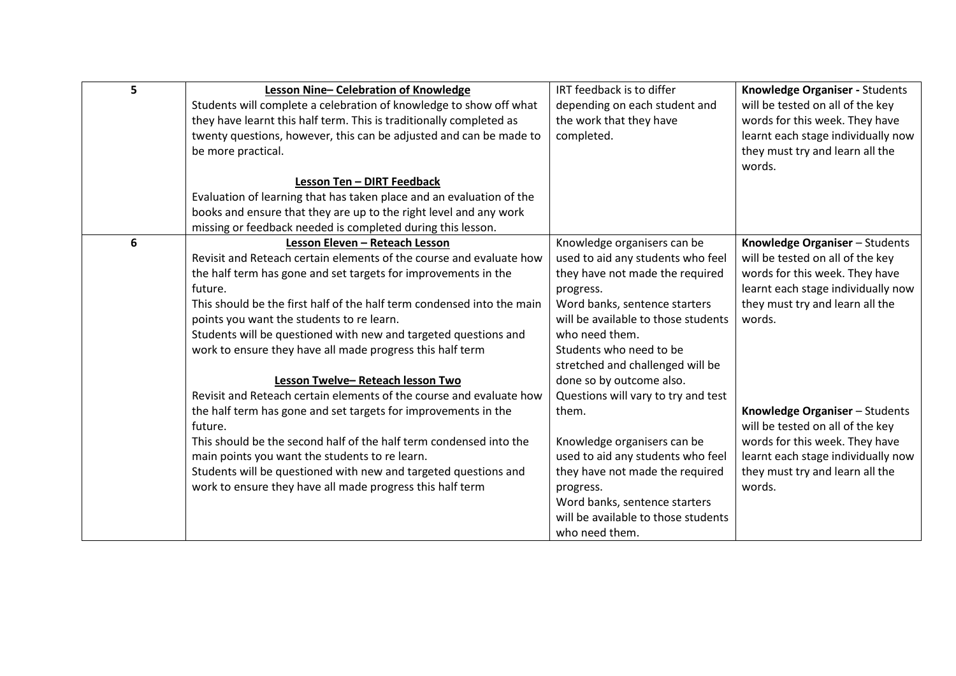| 5 | Lesson Nine-Celebration of Knowledge                                   | IRT feedback is to differ                                            | Knowledge Organiser - Students     |
|---|------------------------------------------------------------------------|----------------------------------------------------------------------|------------------------------------|
|   | Students will complete a celebration of knowledge to show off what     | depending on each student and                                        | will be tested on all of the key   |
|   | they have learnt this half term. This is traditionally completed as    | the work that they have                                              | words for this week. They have     |
|   | twenty questions, however, this can be adjusted and can be made to     | completed.                                                           | learnt each stage individually now |
|   | be more practical.                                                     |                                                                      | they must try and learn all the    |
|   |                                                                        |                                                                      | words.                             |
|   | Lesson Ten - DIRT Feedback                                             |                                                                      |                                    |
|   | Evaluation of learning that has taken place and an evaluation of the   |                                                                      |                                    |
|   | books and ensure that they are up to the right level and any work      |                                                                      |                                    |
|   | missing or feedback needed is completed during this lesson.            |                                                                      |                                    |
| 6 | Lesson Eleven - Reteach Lesson                                         | Knowledge organisers can be                                          | Knowledge Organiser - Students     |
|   | Revisit and Reteach certain elements of the course and evaluate how    | used to aid any students who feel                                    | will be tested on all of the key   |
|   | the half term has gone and set targets for improvements in the         | they have not made the required                                      | words for this week. They have     |
|   | future.                                                                | progress.                                                            | learnt each stage individually now |
|   | This should be the first half of the half term condensed into the main | Word banks, sentence starters                                        | they must try and learn all the    |
|   | points you want the students to re learn.                              | will be available to those students                                  | words.                             |
|   | Students will be questioned with new and targeted questions and        | who need them.                                                       |                                    |
|   | work to ensure they have all made progress this half term              | Students who need to be                                              |                                    |
|   |                                                                        | stretched and challenged will be                                     |                                    |
|   | Lesson Twelve-Reteach lesson Two                                       | done so by outcome also.                                             |                                    |
|   | Revisit and Reteach certain elements of the course and evaluate how    | Questions will vary to try and test                                  |                                    |
|   | the half term has gone and set targets for improvements in the         | them.                                                                | Knowledge Organiser - Students     |
|   | future.                                                                |                                                                      | will be tested on all of the key   |
|   | This should be the second half of the half term condensed into the     | Knowledge organisers can be                                          | words for this week. They have     |
|   | main points you want the students to re learn.                         | used to aid any students who feel                                    | learnt each stage individually now |
|   | Students will be questioned with new and targeted questions and        | they have not made the required                                      | they must try and learn all the    |
|   | work to ensure they have all made progress this half term              | progress.                                                            | words.                             |
|   |                                                                        | Word banks, sentence starters<br>will be available to those students |                                    |
|   |                                                                        |                                                                      |                                    |
|   |                                                                        | who need them.                                                       |                                    |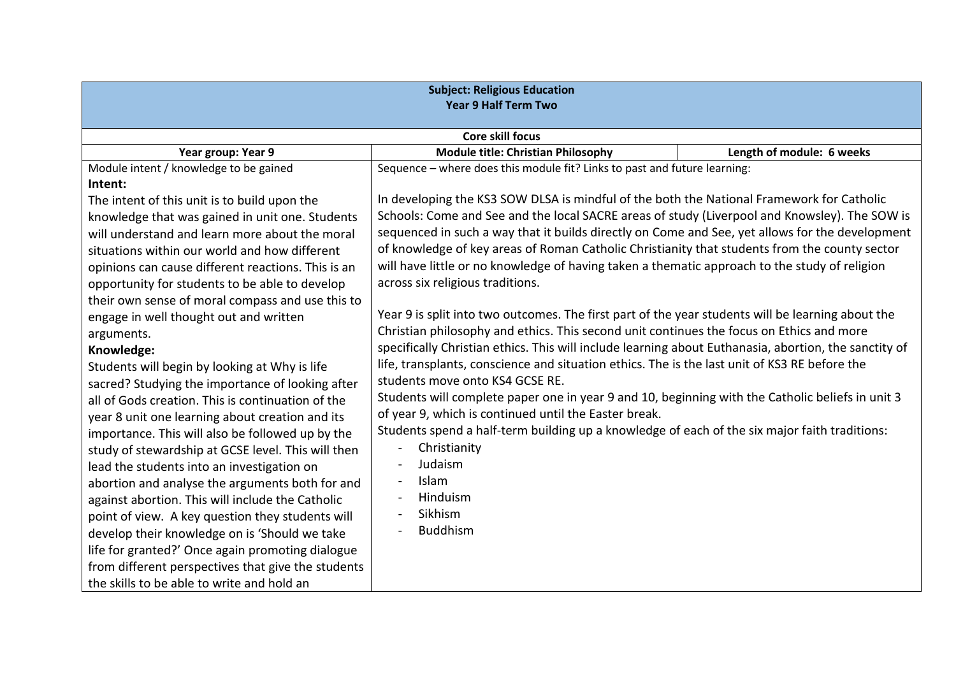| <b>Subject: Religious Education</b><br><b>Year 9 Half Term Two</b> |                                                                                                       |                           |  |
|--------------------------------------------------------------------|-------------------------------------------------------------------------------------------------------|---------------------------|--|
| <b>Core skill focus</b>                                            |                                                                                                       |                           |  |
| Year group: Year 9                                                 | <b>Module title: Christian Philosophy</b>                                                             | Length of module: 6 weeks |  |
| Module intent / knowledge to be gained                             | Sequence - where does this module fit? Links to past and future learning:                             |                           |  |
| Intent:                                                            |                                                                                                       |                           |  |
| The intent of this unit is to build upon the                       | In developing the KS3 SOW DLSA is mindful of the both the National Framework for Catholic             |                           |  |
| knowledge that was gained in unit one. Students                    | Schools: Come and See and the local SACRE areas of study (Liverpool and Knowsley). The SOW is         |                           |  |
| will understand and learn more about the moral                     | sequenced in such a way that it builds directly on Come and See, yet allows for the development       |                           |  |
| situations within our world and how different                      | of knowledge of key areas of Roman Catholic Christianity that students from the county sector         |                           |  |
| opinions can cause different reactions. This is an                 | will have little or no knowledge of having taken a thematic approach to the study of religion         |                           |  |
| opportunity for students to be able to develop                     | across six religious traditions.                                                                      |                           |  |
| their own sense of moral compass and use this to                   |                                                                                                       |                           |  |
| engage in well thought out and written                             | Year 9 is split into two outcomes. The first part of the year students will be learning about the     |                           |  |
| arguments.                                                         | Christian philosophy and ethics. This second unit continues the focus on Ethics and more              |                           |  |
| Knowledge:                                                         | specifically Christian ethics. This will include learning about Euthanasia, abortion, the sanctity of |                           |  |
| Students will begin by looking at Why is life                      | life, transplants, conscience and situation ethics. The is the last unit of KS3 RE before the         |                           |  |
| sacred? Studying the importance of looking after                   | students move onto KS4 GCSE RE.                                                                       |                           |  |
| all of Gods creation. This is continuation of the                  | Students will complete paper one in year 9 and 10, beginning with the Catholic beliefs in unit 3      |                           |  |
| year 8 unit one learning about creation and its                    | of year 9, which is continued until the Easter break.                                                 |                           |  |
| importance. This will also be followed up by the                   | Students spend a half-term building up a knowledge of each of the six major faith traditions:         |                           |  |
| study of stewardship at GCSE level. This will then                 | Christianity                                                                                          |                           |  |
| lead the students into an investigation on                         | Judaism                                                                                               |                           |  |
| abortion and analyse the arguments both for and                    | Islam                                                                                                 |                           |  |
| against abortion. This will include the Catholic                   | Hinduism                                                                                              |                           |  |
| point of view. A key question they students will                   | Sikhism                                                                                               |                           |  |
| develop their knowledge on is 'Should we take                      | <b>Buddhism</b>                                                                                       |                           |  |
| life for granted?' Once again promoting dialogue                   |                                                                                                       |                           |  |
| from different perspectives that give the students                 |                                                                                                       |                           |  |
| the skills to be able to write and hold an                         |                                                                                                       |                           |  |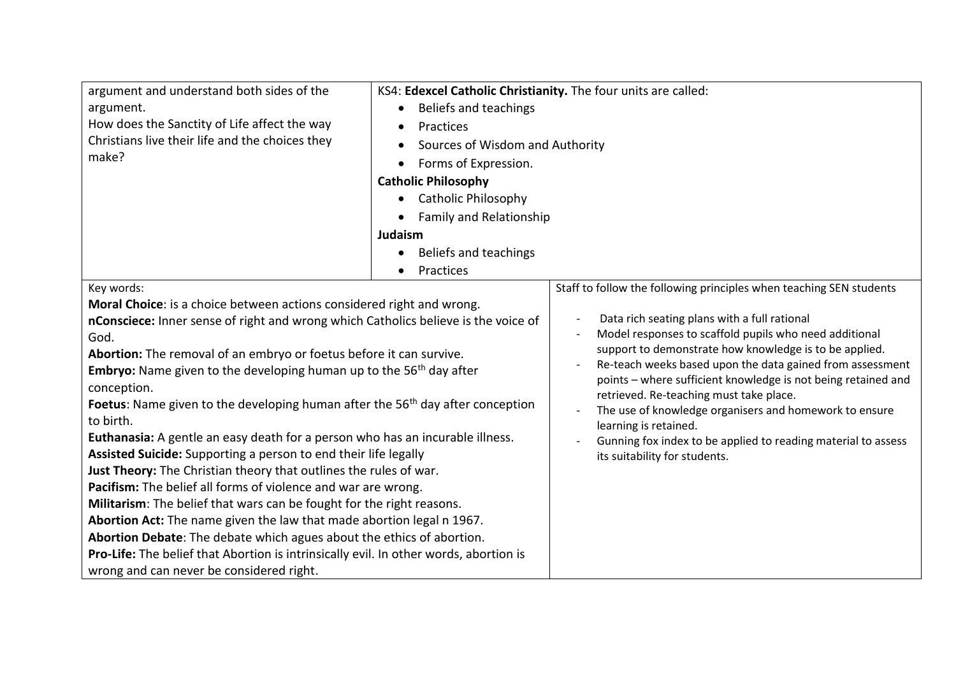| argument and understand both sides of the<br>argument.<br>How does the Sanctity of Life affect the way<br>Christians live their life and the choices they<br>make?                                                                                                                                                                                                                                                                                                                                                                                                                                                                                                                                                                                                                                                                                                                                                                                                                                                                                                        | KS4: Edexcel Catholic Christianity. The four units are called:<br>Beliefs and teachings<br>$\bullet$<br>Practices<br>Sources of Wisdom and Authority<br>Forms of Expression.<br>$\bullet$ |                                                                                                                                                                                                                                                                                                                                                                                                                                                                                                                                |
|---------------------------------------------------------------------------------------------------------------------------------------------------------------------------------------------------------------------------------------------------------------------------------------------------------------------------------------------------------------------------------------------------------------------------------------------------------------------------------------------------------------------------------------------------------------------------------------------------------------------------------------------------------------------------------------------------------------------------------------------------------------------------------------------------------------------------------------------------------------------------------------------------------------------------------------------------------------------------------------------------------------------------------------------------------------------------|-------------------------------------------------------------------------------------------------------------------------------------------------------------------------------------------|--------------------------------------------------------------------------------------------------------------------------------------------------------------------------------------------------------------------------------------------------------------------------------------------------------------------------------------------------------------------------------------------------------------------------------------------------------------------------------------------------------------------------------|
|                                                                                                                                                                                                                                                                                                                                                                                                                                                                                                                                                                                                                                                                                                                                                                                                                                                                                                                                                                                                                                                                           | <b>Catholic Philosophy</b>                                                                                                                                                                |                                                                                                                                                                                                                                                                                                                                                                                                                                                                                                                                |
|                                                                                                                                                                                                                                                                                                                                                                                                                                                                                                                                                                                                                                                                                                                                                                                                                                                                                                                                                                                                                                                                           | <b>Catholic Philosophy</b>                                                                                                                                                                |                                                                                                                                                                                                                                                                                                                                                                                                                                                                                                                                |
|                                                                                                                                                                                                                                                                                                                                                                                                                                                                                                                                                                                                                                                                                                                                                                                                                                                                                                                                                                                                                                                                           | <b>Family and Relationship</b>                                                                                                                                                            |                                                                                                                                                                                                                                                                                                                                                                                                                                                                                                                                |
|                                                                                                                                                                                                                                                                                                                                                                                                                                                                                                                                                                                                                                                                                                                                                                                                                                                                                                                                                                                                                                                                           | Judaism                                                                                                                                                                                   |                                                                                                                                                                                                                                                                                                                                                                                                                                                                                                                                |
|                                                                                                                                                                                                                                                                                                                                                                                                                                                                                                                                                                                                                                                                                                                                                                                                                                                                                                                                                                                                                                                                           | Beliefs and teachings                                                                                                                                                                     |                                                                                                                                                                                                                                                                                                                                                                                                                                                                                                                                |
|                                                                                                                                                                                                                                                                                                                                                                                                                                                                                                                                                                                                                                                                                                                                                                                                                                                                                                                                                                                                                                                                           | Practices                                                                                                                                                                                 |                                                                                                                                                                                                                                                                                                                                                                                                                                                                                                                                |
| Key words:                                                                                                                                                                                                                                                                                                                                                                                                                                                                                                                                                                                                                                                                                                                                                                                                                                                                                                                                                                                                                                                                |                                                                                                                                                                                           | Staff to follow the following principles when teaching SEN students                                                                                                                                                                                                                                                                                                                                                                                                                                                            |
|                                                                                                                                                                                                                                                                                                                                                                                                                                                                                                                                                                                                                                                                                                                                                                                                                                                                                                                                                                                                                                                                           |                                                                                                                                                                                           |                                                                                                                                                                                                                                                                                                                                                                                                                                                                                                                                |
| Moral Choice: is a choice between actions considered right and wrong.<br>nConsciece: Inner sense of right and wrong which Catholics believe is the voice of<br>God.<br>Abortion: The removal of an embryo or foetus before it can survive.<br><b>Embryo:</b> Name given to the developing human up to the $56th$ day after<br>conception.<br><b>Foetus:</b> Name given to the developing human after the 56 <sup>th</sup> day after conception<br>to birth.<br>Euthanasia: A gentle an easy death for a person who has an incurable illness.<br>Assisted Suicide: Supporting a person to end their life legally<br>Just Theory: The Christian theory that outlines the rules of war.<br>Pacifism: The belief all forms of violence and war are wrong.<br>Militarism: The belief that wars can be fought for the right reasons.<br>Abortion Act: The name given the law that made abortion legal n 1967.<br>Abortion Debate: The debate which agues about the ethics of abortion.<br>Pro-Life: The belief that Abortion is intrinsically evil. In other words, abortion is |                                                                                                                                                                                           | Data rich seating plans with a full rational<br>Model responses to scaffold pupils who need additional<br>support to demonstrate how knowledge is to be applied.<br>Re-teach weeks based upon the data gained from assessment<br>points - where sufficient knowledge is not being retained and<br>retrieved. Re-teaching must take place.<br>The use of knowledge organisers and homework to ensure<br>learning is retained.<br>Gunning fox index to be applied to reading material to assess<br>its suitability for students. |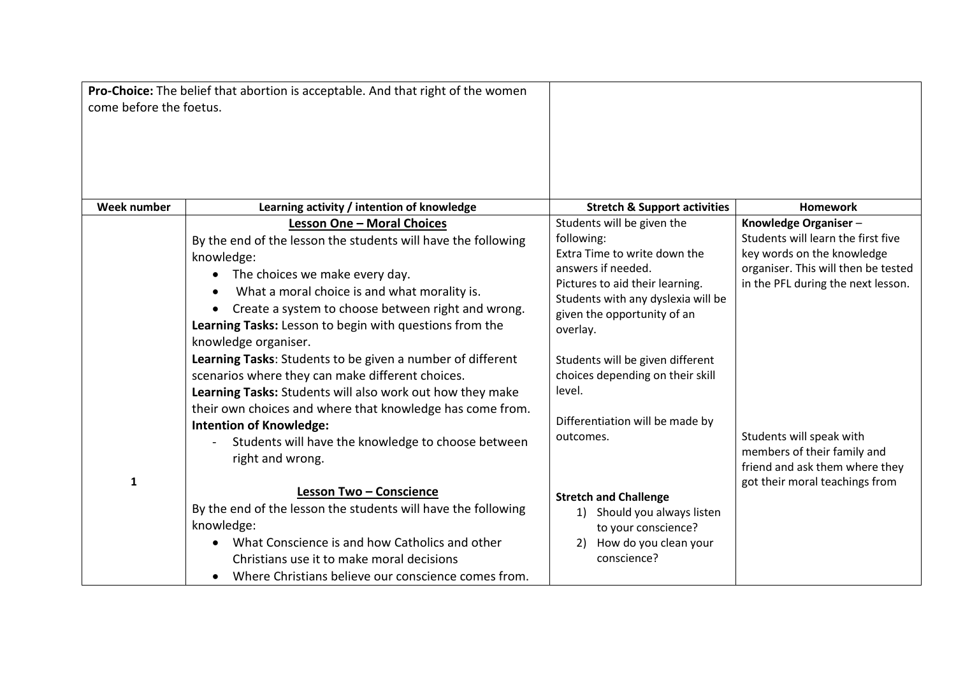|                         | Pro-Choice: The belief that abortion is acceptable. And that right of the women |                                                                       |                                                               |
|-------------------------|---------------------------------------------------------------------------------|-----------------------------------------------------------------------|---------------------------------------------------------------|
| come before the foetus. |                                                                                 |                                                                       |                                                               |
|                         |                                                                                 |                                                                       |                                                               |
| <b>Week number</b>      | Learning activity / intention of knowledge                                      | <b>Stretch &amp; Support activities</b>                               | <b>Homework</b>                                               |
|                         | <b>Lesson One - Moral Choices</b>                                               | Students will be given the                                            | Knowledge Organiser-                                          |
|                         | By the end of the lesson the students will have the following                   | following:                                                            | Students will learn the first five                            |
|                         | knowledge:                                                                      | Extra Time to write down the                                          | key words on the knowledge                                    |
|                         | The choices we make every day.<br>$\bullet$                                     | answers if needed.                                                    | organiser. This will then be tested                           |
|                         | What a moral choice is and what morality is.                                    | Pictures to aid their learning.<br>Students with any dyslexia will be | in the PFL during the next lesson.                            |
|                         | Create a system to choose between right and wrong.                              | given the opportunity of an                                           |                                                               |
|                         | Learning Tasks: Lesson to begin with questions from the                         | overlay.                                                              |                                                               |
|                         | knowledge organiser.                                                            |                                                                       |                                                               |
|                         | Learning Tasks: Students to be given a number of different                      | Students will be given different                                      |                                                               |
|                         | scenarios where they can make different choices.                                | choices depending on their skill                                      |                                                               |
|                         | Learning Tasks: Students will also work out how they make                       | level.                                                                |                                                               |
|                         | their own choices and where that knowledge has come from.                       |                                                                       |                                                               |
|                         | <b>Intention of Knowledge:</b>                                                  | Differentiation will be made by                                       |                                                               |
|                         | Students will have the knowledge to choose between                              | outcomes.                                                             | Students will speak with                                      |
|                         | right and wrong.                                                                |                                                                       | members of their family and<br>friend and ask them where they |
| 1                       |                                                                                 |                                                                       | got their moral teachings from                                |
|                         | <b>Lesson Two - Conscience</b>                                                  | <b>Stretch and Challenge</b>                                          |                                                               |
|                         | By the end of the lesson the students will have the following                   | Should you always listen<br>1)                                        |                                                               |
|                         | knowledge:                                                                      | to your conscience?                                                   |                                                               |
|                         | What Conscience is and how Catholics and other                                  | How do you clean your<br>2)                                           |                                                               |
|                         | Christians use it to make moral decisions                                       | conscience?                                                           |                                                               |
|                         | Where Christians believe our conscience comes from.                             |                                                                       |                                                               |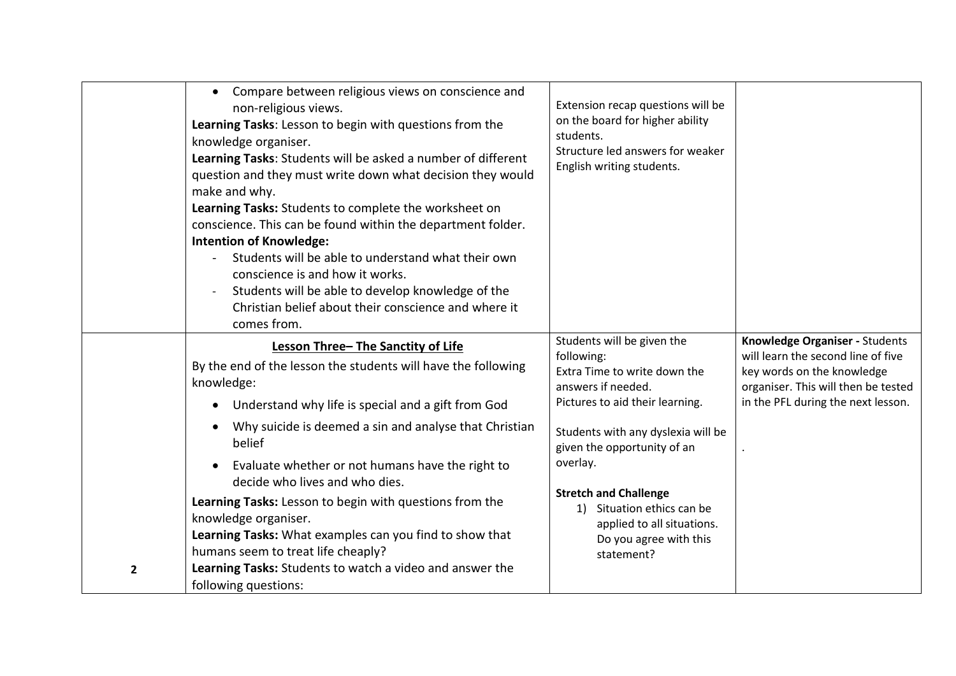| Compare between religious views on conscience and<br>$\bullet$<br>non-religious views.<br>Learning Tasks: Lesson to begin with questions from the<br>knowledge organiser.<br>Learning Tasks: Students will be asked a number of different<br>question and they must write down what decision they would<br>make and why.<br>Learning Tasks: Students to complete the worksheet on<br>conscience. This can be found within the department folder.<br><b>Intention of Knowledge:</b><br>Students will be able to understand what their own<br>conscience is and how it works.<br>Students will be able to develop knowledge of the<br>Christian belief about their conscience and where it<br>comes from. | Extension recap questions will be<br>on the board for higher ability<br>students.<br>Structure led answers for weaker<br>English writing students.                                                                                                                                                                                                     |                                                                                                                                                                                 |
|---------------------------------------------------------------------------------------------------------------------------------------------------------------------------------------------------------------------------------------------------------------------------------------------------------------------------------------------------------------------------------------------------------------------------------------------------------------------------------------------------------------------------------------------------------------------------------------------------------------------------------------------------------------------------------------------------------|--------------------------------------------------------------------------------------------------------------------------------------------------------------------------------------------------------------------------------------------------------------------------------------------------------------------------------------------------------|---------------------------------------------------------------------------------------------------------------------------------------------------------------------------------|
| Lesson Three-The Sanctity of Life<br>By the end of the lesson the students will have the following<br>knowledge:<br>Understand why life is special and a gift from God<br>$\bullet$<br>Why suicide is deemed a sin and analyse that Christian<br>belief<br>Evaluate whether or not humans have the right to<br>$\bullet$<br>decide who lives and who dies.<br>Learning Tasks: Lesson to begin with questions from the<br>knowledge organiser.<br>Learning Tasks: What examples can you find to show that<br>humans seem to treat life cheaply?<br>Learning Tasks: Students to watch a video and answer the<br>$\overline{2}$<br>following questions:                                                    | Students will be given the<br>following:<br>Extra Time to write down the<br>answers if needed.<br>Pictures to aid their learning.<br>Students with any dyslexia will be<br>given the opportunity of an<br>overlay.<br><b>Stretch and Challenge</b><br>1) Situation ethics can be<br>applied to all situations.<br>Do you agree with this<br>statement? | Knowledge Organiser - Students<br>will learn the second line of five<br>key words on the knowledge<br>organiser. This will then be tested<br>in the PFL during the next lesson. |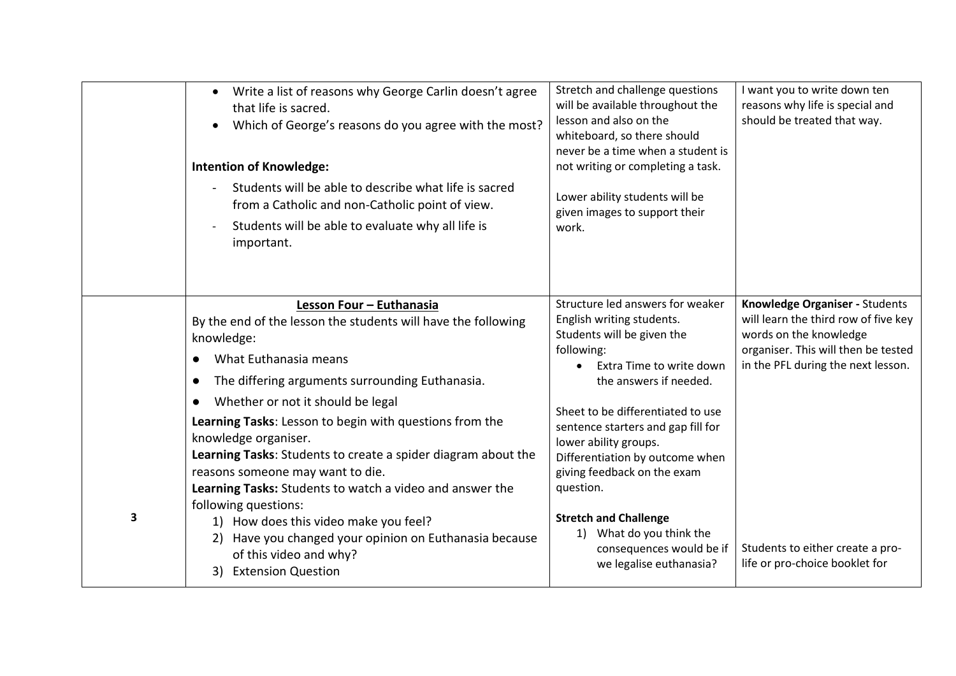|   | Write a list of reasons why George Carlin doesn't agree<br>$\bullet$<br>that life is sacred.<br>Which of George's reasons do you agree with the most?<br><b>Intention of Knowledge:</b><br>Students will be able to describe what life is sacred<br>from a Catholic and non-Catholic point of view.<br>Students will be able to evaluate why all life is<br>important.                                                                                                                                                                                                                                                                                                  | Stretch and challenge questions<br>will be available throughout the<br>lesson and also on the<br>whiteboard, so there should<br>never be a time when a student is<br>not writing or completing a task.<br>Lower ability students will be<br>given images to support their<br>work.                                                                                                                                                                                    | I want you to write down ten<br>reasons why life is special and<br>should be treated that way.                                                                                                                                                      |
|---|-------------------------------------------------------------------------------------------------------------------------------------------------------------------------------------------------------------------------------------------------------------------------------------------------------------------------------------------------------------------------------------------------------------------------------------------------------------------------------------------------------------------------------------------------------------------------------------------------------------------------------------------------------------------------|-----------------------------------------------------------------------------------------------------------------------------------------------------------------------------------------------------------------------------------------------------------------------------------------------------------------------------------------------------------------------------------------------------------------------------------------------------------------------|-----------------------------------------------------------------------------------------------------------------------------------------------------------------------------------------------------------------------------------------------------|
| 3 | Lesson Four - Euthanasia<br>By the end of the lesson the students will have the following<br>knowledge:<br>What Euthanasia means<br>The differing arguments surrounding Euthanasia.<br>Whether or not it should be legal<br>Learning Tasks: Lesson to begin with questions from the<br>knowledge organiser.<br>Learning Tasks: Students to create a spider diagram about the<br>reasons someone may want to die.<br>Learning Tasks: Students to watch a video and answer the<br>following questions:<br>1) How does this video make you feel?<br>Have you changed your opinion on Euthanasia because<br>2)<br>of this video and why?<br><b>Extension Question</b><br>3) | Structure led answers for weaker<br>English writing students.<br>Students will be given the<br>following:<br>Extra Time to write down<br>the answers if needed.<br>Sheet to be differentiated to use<br>sentence starters and gap fill for<br>lower ability groups.<br>Differentiation by outcome when<br>giving feedback on the exam<br>question.<br><b>Stretch and Challenge</b><br>1) What do you think the<br>consequences would be if<br>we legalise euthanasia? | Knowledge Organiser - Students<br>will learn the third row of five key<br>words on the knowledge<br>organiser. This will then be tested<br>in the PFL during the next lesson.<br>Students to either create a pro-<br>life or pro-choice booklet for |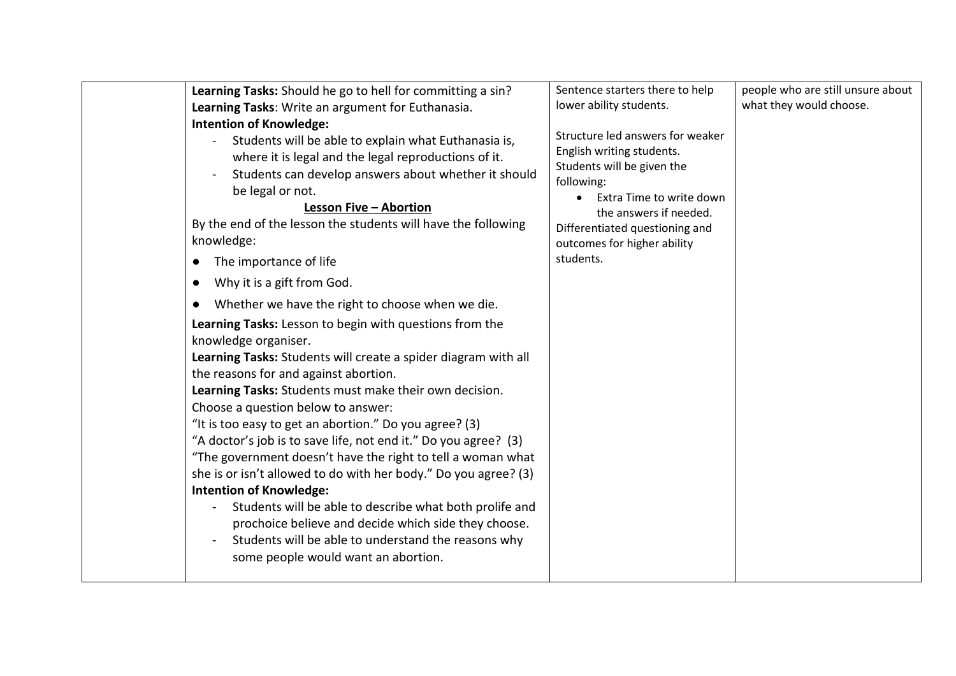| Learning Tasks: Should he go to hell for committing a sin?<br>Learning Tasks: Write an argument for Euthanasia.<br><b>Intention of Knowledge:</b><br>Students will be able to explain what Euthanasia is,<br>where it is legal and the legal reproductions of it.<br>Students can develop answers about whether it should<br>be legal or not.<br><b>Lesson Five - Abortion</b><br>By the end of the lesson the students will have the following<br>knowledge:<br>The importance of life<br>$\bullet$<br>Why it is a gift from God.<br>$\bullet$<br>Whether we have the right to choose when we die.<br>$\bullet$<br>Learning Tasks: Lesson to begin with questions from the<br>knowledge organiser.<br>Learning Tasks: Students will create a spider diagram with all<br>the reasons for and against abortion.<br>Learning Tasks: Students must make their own decision.<br>Choose a question below to answer:<br>"It is too easy to get an abortion." Do you agree? (3)<br>"A doctor's job is to save life, not end it." Do you agree? (3)<br>"The government doesn't have the right to tell a woman what<br>she is or isn't allowed to do with her body." Do you agree? (3)<br><b>Intention of Knowledge:</b><br>Students will be able to describe what both prolife and<br>$\blacksquare$<br>prochoice believe and decide which side they choose.<br>Students will be able to understand the reasons why<br>some people would want an abortion. | Sentence starters there to help<br>lower ability students.<br>Structure led answers for weaker<br>English writing students.<br>Students will be given the<br>following:<br>Extra Time to write down<br>the answers if needed.<br>Differentiated questioning and<br>outcomes for higher ability<br>students. | people who are still unsure about<br>what they would choose. |
|----------------------------------------------------------------------------------------------------------------------------------------------------------------------------------------------------------------------------------------------------------------------------------------------------------------------------------------------------------------------------------------------------------------------------------------------------------------------------------------------------------------------------------------------------------------------------------------------------------------------------------------------------------------------------------------------------------------------------------------------------------------------------------------------------------------------------------------------------------------------------------------------------------------------------------------------------------------------------------------------------------------------------------------------------------------------------------------------------------------------------------------------------------------------------------------------------------------------------------------------------------------------------------------------------------------------------------------------------------------------------------------------------------------------------------------------------|-------------------------------------------------------------------------------------------------------------------------------------------------------------------------------------------------------------------------------------------------------------------------------------------------------------|--------------------------------------------------------------|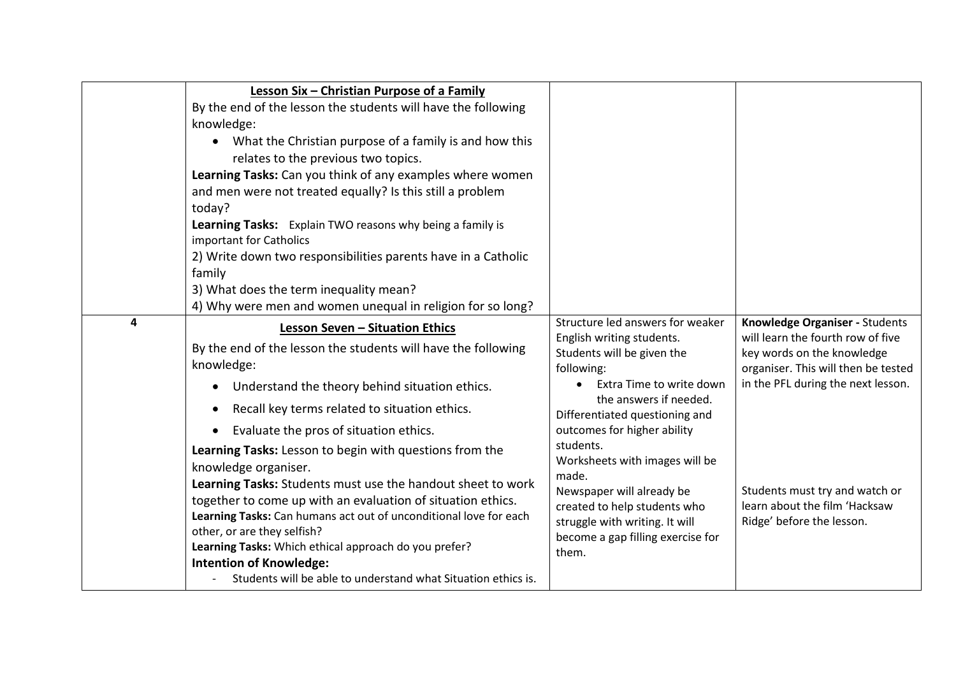|   | Lesson Six - Christian Purpose of a Family<br>By the end of the lesson the students will have the following<br>knowledge:<br>What the Christian purpose of a family is and how this<br>relates to the previous two topics.<br>Learning Tasks: Can you think of any examples where women<br>and men were not treated equally? Is this still a problem<br>today?<br>Learning Tasks: Explain TWO reasons why being a family is<br>important for Catholics<br>2) Write down two responsibilities parents have in a Catholic<br>family<br>3) What does the term inequality mean?<br>4) Why were men and women unequal in religion for so long?                                                                                                                        |                                                                                                                                                                                                                                                                                                                                                                                                                                       |                                                                                                                                                                                                                                                                                |
|---|------------------------------------------------------------------------------------------------------------------------------------------------------------------------------------------------------------------------------------------------------------------------------------------------------------------------------------------------------------------------------------------------------------------------------------------------------------------------------------------------------------------------------------------------------------------------------------------------------------------------------------------------------------------------------------------------------------------------------------------------------------------|---------------------------------------------------------------------------------------------------------------------------------------------------------------------------------------------------------------------------------------------------------------------------------------------------------------------------------------------------------------------------------------------------------------------------------------|--------------------------------------------------------------------------------------------------------------------------------------------------------------------------------------------------------------------------------------------------------------------------------|
| 4 | <b>Lesson Seven - Situation Ethics</b><br>By the end of the lesson the students will have the following<br>knowledge:<br>Understand the theory behind situation ethics.<br>$\bullet$<br>Recall key terms related to situation ethics.<br>Evaluate the pros of situation ethics.<br>Learning Tasks: Lesson to begin with questions from the<br>knowledge organiser.<br>Learning Tasks: Students must use the handout sheet to work<br>together to come up with an evaluation of situation ethics.<br>Learning Tasks: Can humans act out of unconditional love for each<br>other, or are they selfish?<br>Learning Tasks: Which ethical approach do you prefer?<br><b>Intention of Knowledge:</b><br>Students will be able to understand what Situation ethics is. | Structure led answers for weaker<br>English writing students.<br>Students will be given the<br>following:<br>Extra Time to write down<br>the answers if needed.<br>Differentiated questioning and<br>outcomes for higher ability<br>students.<br>Worksheets with images will be<br>made.<br>Newspaper will already be<br>created to help students who<br>struggle with writing. It will<br>become a gap filling exercise for<br>them. | Knowledge Organiser - Students<br>will learn the fourth row of five<br>key words on the knowledge<br>organiser. This will then be tested<br>in the PFL during the next lesson.<br>Students must try and watch or<br>learn about the film 'Hacksaw<br>Ridge' before the lesson. |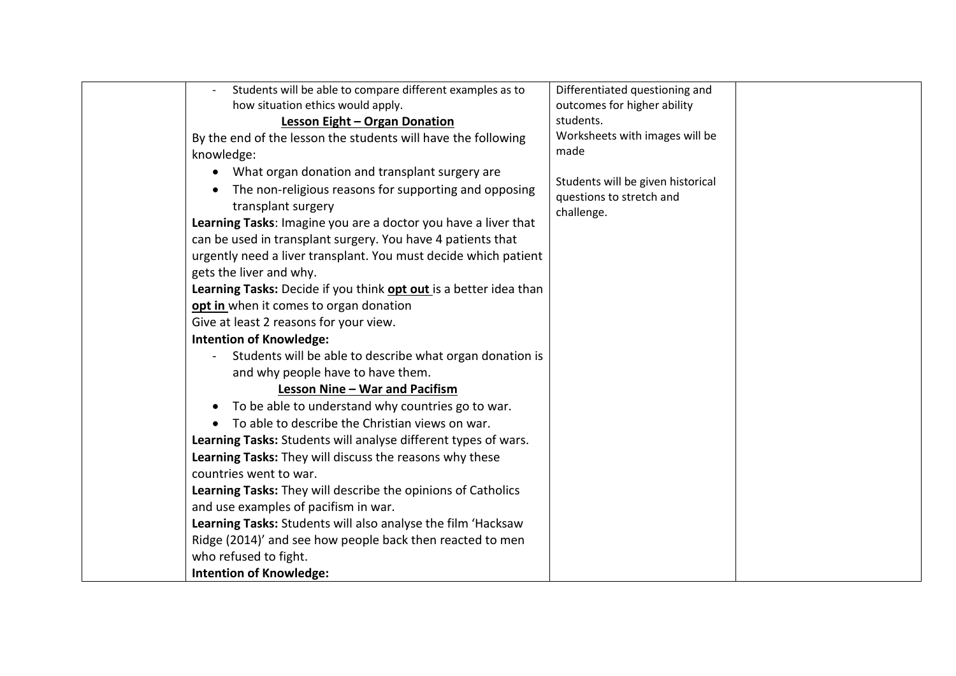| Students will be able to compare different examples as to          | Differentiated questioning and                                |  |
|--------------------------------------------------------------------|---------------------------------------------------------------|--|
| how situation ethics would apply.                                  | outcomes for higher ability                                   |  |
| <b>Lesson Eight - Organ Donation</b>                               | students.                                                     |  |
| By the end of the lesson the students will have the following      | Worksheets with images will be                                |  |
| knowledge:                                                         | made                                                          |  |
| • What organ donation and transplant surgery are                   |                                                               |  |
| The non-religious reasons for supporting and opposing<br>$\bullet$ | Students will be given historical<br>questions to stretch and |  |
| transplant surgery                                                 | challenge.                                                    |  |
| Learning Tasks: Imagine you are a doctor you have a liver that     |                                                               |  |
| can be used in transplant surgery. You have 4 patients that        |                                                               |  |
| urgently need a liver transplant. You must decide which patient    |                                                               |  |
| gets the liver and why.                                            |                                                               |  |
| Learning Tasks: Decide if you think opt out is a better idea than  |                                                               |  |
| opt in when it comes to organ donation                             |                                                               |  |
| Give at least 2 reasons for your view.                             |                                                               |  |
| <b>Intention of Knowledge:</b>                                     |                                                               |  |
| Students will be able to describe what organ donation is           |                                                               |  |
| and why people have to have them.                                  |                                                               |  |
| Lesson Nine - War and Pacifism                                     |                                                               |  |
| To be able to understand why countries go to war.<br>$\bullet$     |                                                               |  |
| To able to describe the Christian views on war.                    |                                                               |  |
| Learning Tasks: Students will analyse different types of wars.     |                                                               |  |
| Learning Tasks: They will discuss the reasons why these            |                                                               |  |
| countries went to war.                                             |                                                               |  |
| Learning Tasks: They will describe the opinions of Catholics       |                                                               |  |
| and use examples of pacifism in war.                               |                                                               |  |
| Learning Tasks: Students will also analyse the film 'Hacksaw       |                                                               |  |
| Ridge (2014)' and see how people back then reacted to men          |                                                               |  |
| who refused to fight.                                              |                                                               |  |
| <b>Intention of Knowledge:</b>                                     |                                                               |  |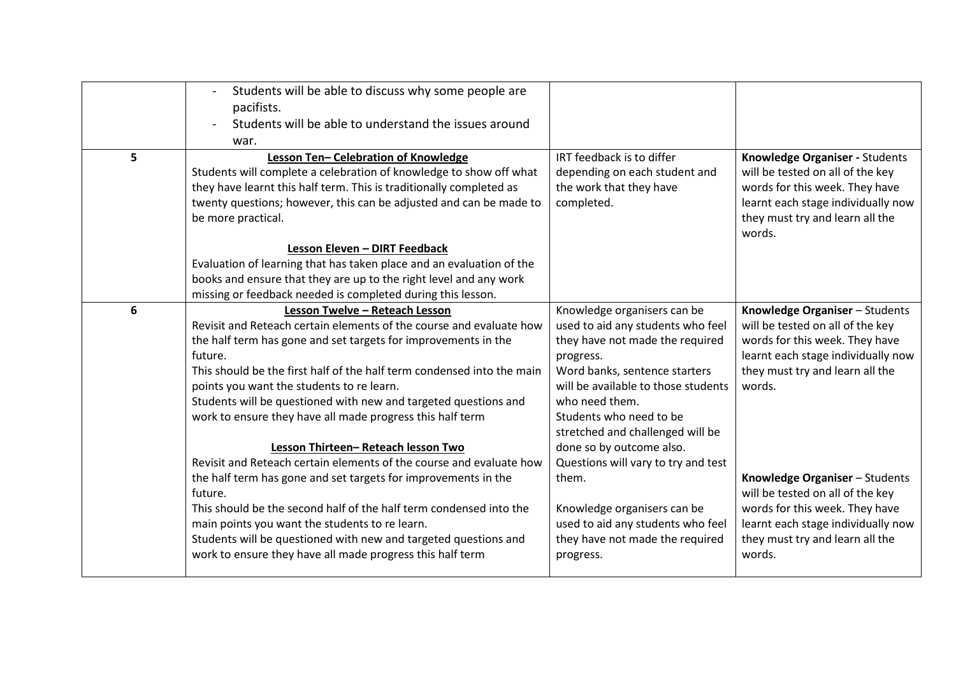| 5 | Students will be able to discuss why some people are<br>pacifists.<br>Students will be able to understand the issues around<br>war.<br>Lesson Ten-Celebration of Knowledge                                                                                                                                                                                                                                                                                                                                                                             | IRT feedback is to differ                                                                                                                                                                                                                                                                                                                    | Knowledge Organiser - Students                                                                                                                                                          |
|---|--------------------------------------------------------------------------------------------------------------------------------------------------------------------------------------------------------------------------------------------------------------------------------------------------------------------------------------------------------------------------------------------------------------------------------------------------------------------------------------------------------------------------------------------------------|----------------------------------------------------------------------------------------------------------------------------------------------------------------------------------------------------------------------------------------------------------------------------------------------------------------------------------------------|-----------------------------------------------------------------------------------------------------------------------------------------------------------------------------------------|
|   | Students will complete a celebration of knowledge to show off what<br>they have learnt this half term. This is traditionally completed as<br>twenty questions; however, this can be adjusted and can be made to<br>be more practical.<br>Lesson Eleven - DIRT Feedback                                                                                                                                                                                                                                                                                 | depending on each student and<br>the work that they have<br>completed.                                                                                                                                                                                                                                                                       | will be tested on all of the key<br>words for this week. They have<br>learnt each stage individually now<br>they must try and learn all the<br>words.                                   |
|   | Evaluation of learning that has taken place and an evaluation of the<br>books and ensure that they are up to the right level and any work<br>missing or feedback needed is completed during this lesson.                                                                                                                                                                                                                                                                                                                                               |                                                                                                                                                                                                                                                                                                                                              |                                                                                                                                                                                         |
| 6 | Lesson Twelve - Reteach Lesson<br>Revisit and Reteach certain elements of the course and evaluate how<br>the half term has gone and set targets for improvements in the<br>future.<br>This should be the first half of the half term condensed into the main<br>points you want the students to re learn.<br>Students will be questioned with new and targeted questions and<br>work to ensure they have all made progress this half term<br>Lesson Thirteen-Reteach lesson Two<br>Revisit and Reteach certain elements of the course and evaluate how | Knowledge organisers can be<br>used to aid any students who feel<br>they have not made the required<br>progress.<br>Word banks, sentence starters<br>will be available to those students<br>who need them.<br>Students who need to be<br>stretched and challenged will be<br>done so by outcome also.<br>Questions will vary to try and test | Knowledge Organiser - Students<br>will be tested on all of the key<br>words for this week. They have<br>learnt each stage individually now<br>they must try and learn all the<br>words. |
|   | the half term has gone and set targets for improvements in the<br>future.<br>This should be the second half of the half term condensed into the<br>main points you want the students to re learn.<br>Students will be questioned with new and targeted questions and<br>work to ensure they have all made progress this half term                                                                                                                                                                                                                      | them.<br>Knowledge organisers can be<br>used to aid any students who feel<br>they have not made the required<br>progress.                                                                                                                                                                                                                    | Knowledge Organiser - Students<br>will be tested on all of the key<br>words for this week. They have<br>learnt each stage individually now<br>they must try and learn all the<br>words. |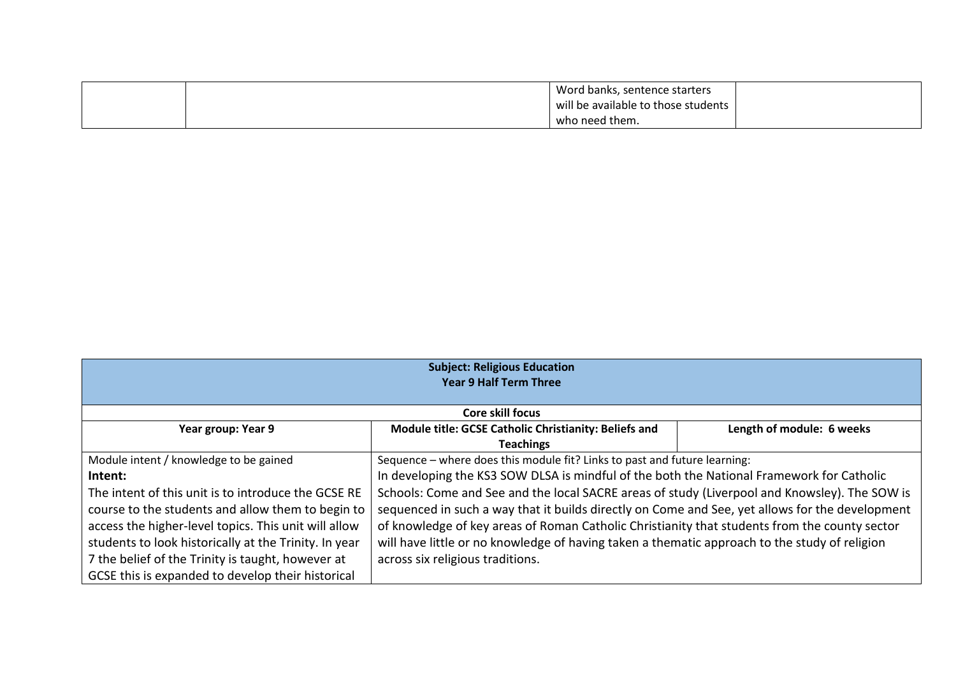|  | Word banks, sentence starters       |  |
|--|-------------------------------------|--|
|  | will be available to those students |  |
|  | who need them.                      |  |

| <b>Subject: Religious Education</b>                   |                                                                                                 |                           |
|-------------------------------------------------------|-------------------------------------------------------------------------------------------------|---------------------------|
|                                                       | <b>Year 9 Half Term Three</b>                                                                   |                           |
|                                                       |                                                                                                 |                           |
|                                                       | Core skill focus                                                                                |                           |
| Year group: Year 9                                    | Module title: GCSE Catholic Christianity: Beliefs and                                           | Length of module: 6 weeks |
|                                                       | <b>Teachings</b>                                                                                |                           |
| Module intent / knowledge to be gained                | Sequence - where does this module fit? Links to past and future learning:                       |                           |
| Intent:                                               | In developing the KS3 SOW DLSA is mindful of the both the National Framework for Catholic       |                           |
| The intent of this unit is to introduce the GCSE RE   | Schools: Come and See and the local SACRE areas of study (Liverpool and Knowsley). The SOW is   |                           |
| course to the students and allow them to begin to     | sequenced in such a way that it builds directly on Come and See, yet allows for the development |                           |
| access the higher-level topics. This unit will allow  | of knowledge of key areas of Roman Catholic Christianity that students from the county sector   |                           |
| students to look historically at the Trinity. In year | will have little or no knowledge of having taken a thematic approach to the study of religion   |                           |
| 7 the belief of the Trinity is taught, however at     | across six religious traditions.                                                                |                           |
| GCSE this is expanded to develop their historical     |                                                                                                 |                           |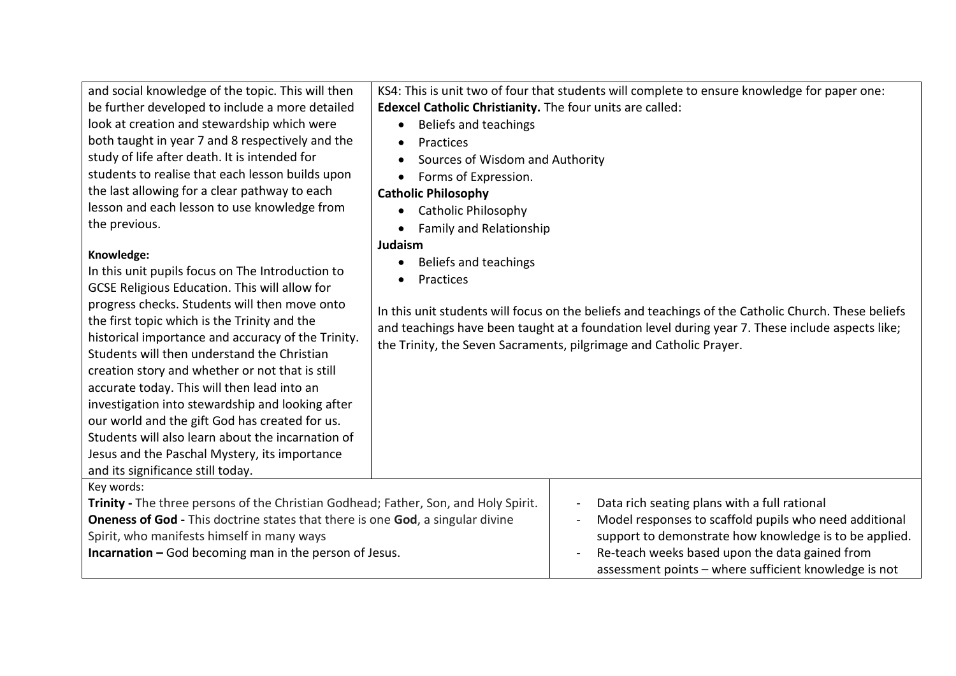| and social knowledge of the topic. This will then<br>be further developed to include a more detailed<br>look at creation and stewardship which were<br>both taught in year 7 and 8 respectively and the<br>study of life after death. It is intended for<br>students to realise that each lesson builds upon<br>the last allowing for a clear pathway to each<br>lesson and each lesson to use knowledge from<br>the previous.<br>Knowledge:<br>In this unit pupils focus on The Introduction to<br>GCSE Religious Education. This will allow for     | Edexcel Catholic Christianity. The four units are called:<br>Beliefs and teachings<br>$\bullet$<br>Practices<br>$\bullet$<br>Sources of Wisdom and Authority<br>Forms of Expression.<br><b>Catholic Philosophy</b><br>Catholic Philosophy<br>$\bullet$<br><b>Family and Relationship</b><br>Judaism<br>Beliefs and teachings<br>$\bullet$<br>Practices | KS4: This is unit two of four that students will complete to ensure knowledge for paper one:                                                                                                                                                                                                            |
|-------------------------------------------------------------------------------------------------------------------------------------------------------------------------------------------------------------------------------------------------------------------------------------------------------------------------------------------------------------------------------------------------------------------------------------------------------------------------------------------------------------------------------------------------------|--------------------------------------------------------------------------------------------------------------------------------------------------------------------------------------------------------------------------------------------------------------------------------------------------------------------------------------------------------|---------------------------------------------------------------------------------------------------------------------------------------------------------------------------------------------------------------------------------------------------------------------------------------------------------|
| progress checks. Students will then move onto<br>the first topic which is the Trinity and the<br>historical importance and accuracy of the Trinity.<br>Students will then understand the Christian<br>creation story and whether or not that is still<br>accurate today. This will then lead into an<br>investigation into stewardship and looking after<br>our world and the gift God has created for us.<br>Students will also learn about the incarnation of<br>Jesus and the Paschal Mystery, its importance<br>and its significance still today. |                                                                                                                                                                                                                                                                                                                                                        | In this unit students will focus on the beliefs and teachings of the Catholic Church. These beliefs<br>and teachings have been taught at a foundation level during year 7. These include aspects like;<br>the Trinity, the Seven Sacraments, pilgrimage and Catholic Prayer.                            |
| Key words:<br>Trinity - The three persons of the Christian Godhead; Father, Son, and Holy Spirit.<br><b>Oneness of God</b> - This doctrine states that there is one God, a singular divine<br>Spirit, who manifests himself in many ways<br><b>Incarnation - God becoming man in the person of Jesus.</b>                                                                                                                                                                                                                                             |                                                                                                                                                                                                                                                                                                                                                        | Data rich seating plans with a full rational<br>Model responses to scaffold pupils who need additional<br>$\overline{\phantom{a}}$<br>support to demonstrate how knowledge is to be applied.<br>Re-teach weeks based upon the data gained from<br>assessment points - where sufficient knowledge is not |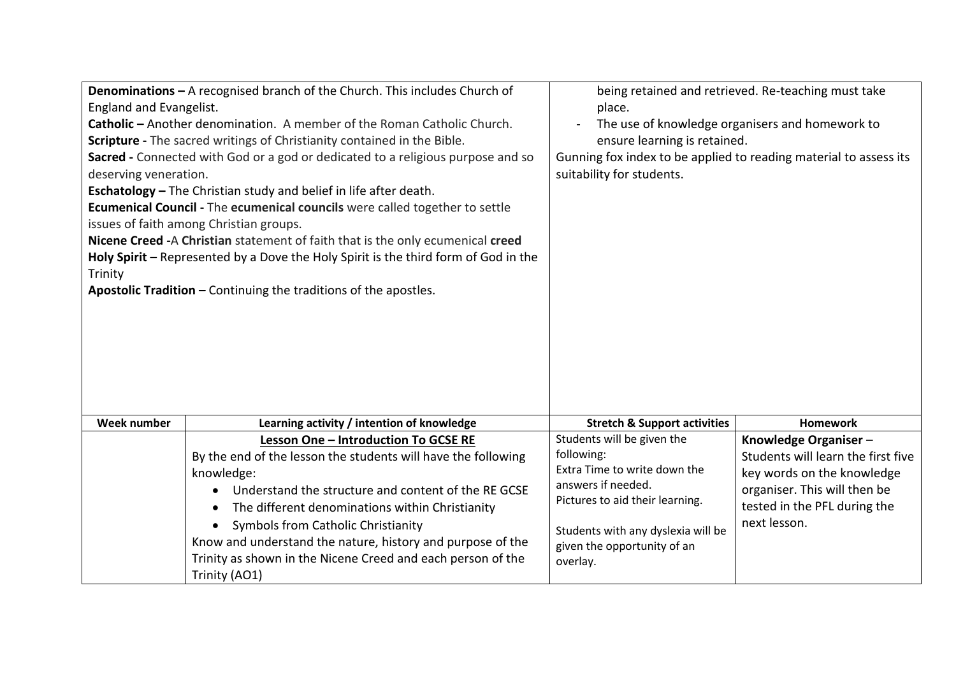| England and Evangelist.<br>deserving veneration.<br>Trinity | Denominations - A recognised branch of the Church. This includes Church of<br>Catholic – Another denomination. A member of the Roman Catholic Church.<br>Scripture - The sacred writings of Christianity contained in the Bible.<br>Sacred - Connected with God or a god or dedicated to a religious purpose and so<br><b>Eschatology</b> - The Christian study and belief in life after death.<br>Ecumenical Council - The ecumenical councils were called together to settle<br>issues of faith among Christian groups.<br>Nicene Creed -A Christian statement of faith that is the only ecumenical creed<br>Holy Spirit - Represented by a Dove the Holy Spirit is the third form of God in the<br><b>Apostolic Tradition - Continuing the traditions of the apostles.</b> | place.<br>ensure learning is retained.<br>Gunning fox index to be applied to reading material to assess its<br>suitability for students.                                                                           | being retained and retrieved. Re-teaching must take<br>The use of knowledge organisers and homework to                                                                   |
|-------------------------------------------------------------|-------------------------------------------------------------------------------------------------------------------------------------------------------------------------------------------------------------------------------------------------------------------------------------------------------------------------------------------------------------------------------------------------------------------------------------------------------------------------------------------------------------------------------------------------------------------------------------------------------------------------------------------------------------------------------------------------------------------------------------------------------------------------------|--------------------------------------------------------------------------------------------------------------------------------------------------------------------------------------------------------------------|--------------------------------------------------------------------------------------------------------------------------------------------------------------------------|
| Week number                                                 | Learning activity / intention of knowledge                                                                                                                                                                                                                                                                                                                                                                                                                                                                                                                                                                                                                                                                                                                                    | <b>Stretch &amp; Support activities</b>                                                                                                                                                                            | <b>Homework</b>                                                                                                                                                          |
|                                                             | Lesson One - Introduction To GCSE RE<br>By the end of the lesson the students will have the following<br>knowledge:<br>Understand the structure and content of the RE GCSE<br>The different denominations within Christianity<br>Symbols from Catholic Christianity<br>Know and understand the nature, history and purpose of the<br>Trinity as shown in the Nicene Creed and each person of the<br>Trinity (AO1)                                                                                                                                                                                                                                                                                                                                                             | Students will be given the<br>following:<br>Extra Time to write down the<br>answers if needed.<br>Pictures to aid their learning.<br>Students with any dyslexia will be<br>given the opportunity of an<br>overlay. | Knowledge Organiser-<br>Students will learn the first five<br>key words on the knowledge<br>organiser. This will then be<br>tested in the PFL during the<br>next lesson. |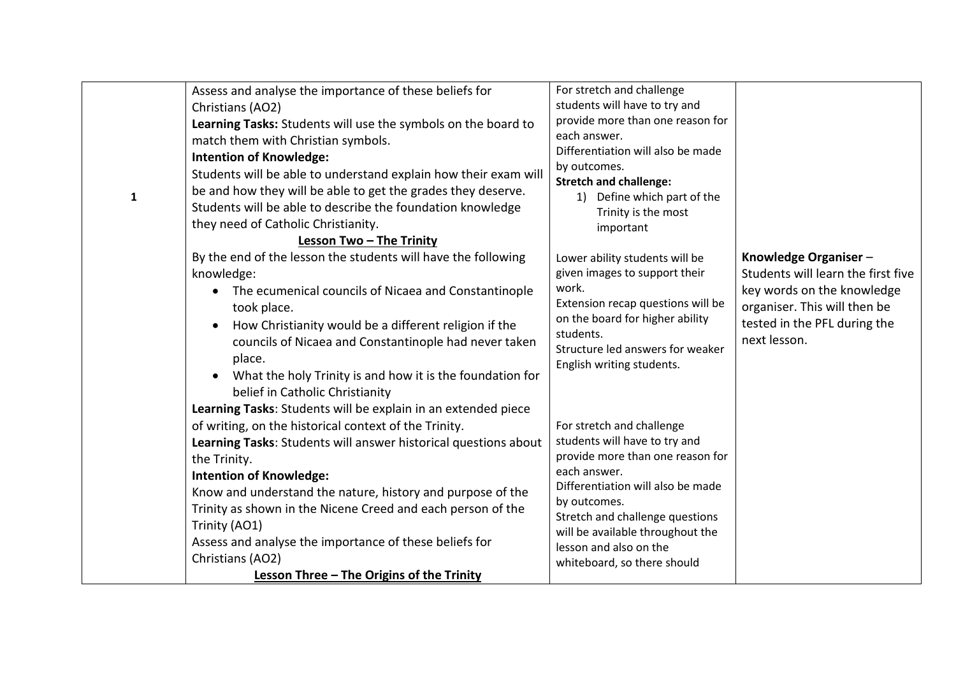|              | Assess and analyse the importance of these beliefs for<br>Christians (AO2)<br>Learning Tasks: Students will use the symbols on the board to<br>match them with Christian symbols.<br><b>Intention of Knowledge:</b>                                                                                                                                                                                                                                                       | For stretch and challenge<br>students will have to try and<br>provide more than one reason for<br>each answer.<br>Differentiation will also be made                                                                                                                                                 |                                                                                                                                                                          |
|--------------|---------------------------------------------------------------------------------------------------------------------------------------------------------------------------------------------------------------------------------------------------------------------------------------------------------------------------------------------------------------------------------------------------------------------------------------------------------------------------|-----------------------------------------------------------------------------------------------------------------------------------------------------------------------------------------------------------------------------------------------------------------------------------------------------|--------------------------------------------------------------------------------------------------------------------------------------------------------------------------|
| $\mathbf{1}$ | Students will be able to understand explain how their exam will<br>be and how they will be able to get the grades they deserve.<br>Students will be able to describe the foundation knowledge<br>they need of Catholic Christianity.<br>Lesson Two - The Trinity                                                                                                                                                                                                          | by outcomes.<br><b>Stretch and challenge:</b><br>1) Define which part of the<br>Trinity is the most<br>important                                                                                                                                                                                    |                                                                                                                                                                          |
|              | By the end of the lesson the students will have the following<br>knowledge:<br>The ecumenical councils of Nicaea and Constantinople<br>$\bullet$<br>took place.<br>How Christianity would be a different religion if the<br>$\bullet$<br>councils of Nicaea and Constantinople had never taken<br>place.<br>What the holy Trinity is and how it is the foundation for<br>belief in Catholic Christianity<br>Learning Tasks: Students will be explain in an extended piece | Lower ability students will be<br>given images to support their<br>work.<br>Extension recap questions will be<br>on the board for higher ability<br>students.<br>Structure led answers for weaker<br>English writing students.                                                                      | Knowledge Organiser-<br>Students will learn the first five<br>key words on the knowledge<br>organiser. This will then be<br>tested in the PFL during the<br>next lesson. |
|              | of writing, on the historical context of the Trinity.<br>Learning Tasks: Students will answer historical questions about<br>the Trinity.<br><b>Intention of Knowledge:</b><br>Know and understand the nature, history and purpose of the<br>Trinity as shown in the Nicene Creed and each person of the<br>Trinity (AO1)<br>Assess and analyse the importance of these beliefs for<br>Christians (AO2)<br>Lesson Three - The Origins of the Trinity                       | For stretch and challenge<br>students will have to try and<br>provide more than one reason for<br>each answer.<br>Differentiation will also be made<br>by outcomes.<br>Stretch and challenge questions<br>will be available throughout the<br>lesson and also on the<br>whiteboard, so there should |                                                                                                                                                                          |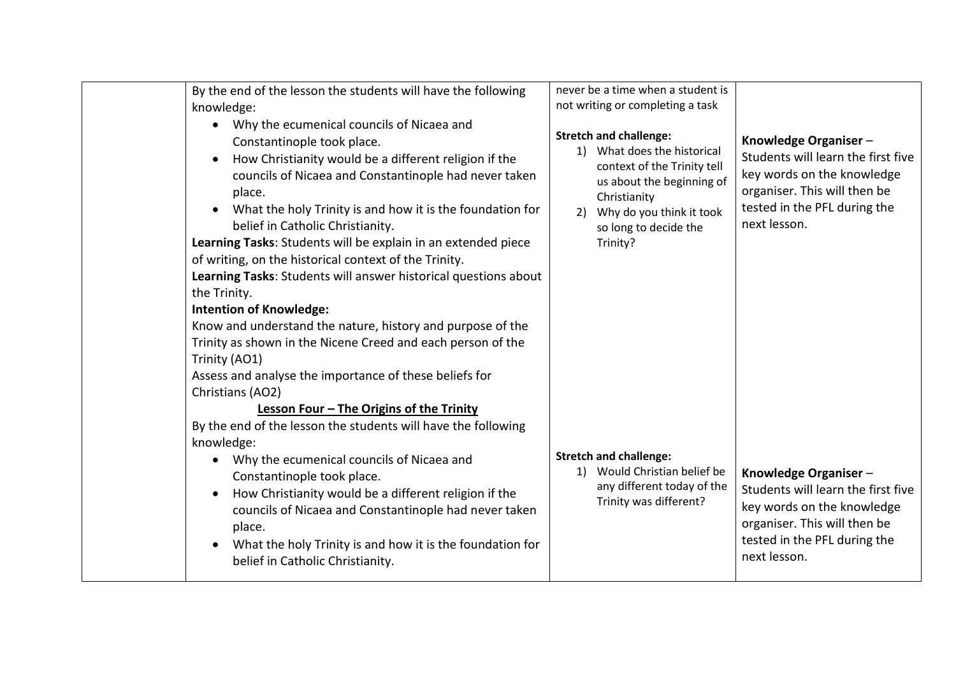| By the end of the lesson the students will have the following<br>knowledge:<br>Why the ecumenical councils of Nicaea and                                                                                                                                                                                                                                                                                                                                                                                                                                                                                                                                                                                                                                                                                                                                                   | never be a time when a student is<br>not writing or completing a task<br><b>Stretch and challenge:</b>                                                                      |                                                                                                                                                                          |
|----------------------------------------------------------------------------------------------------------------------------------------------------------------------------------------------------------------------------------------------------------------------------------------------------------------------------------------------------------------------------------------------------------------------------------------------------------------------------------------------------------------------------------------------------------------------------------------------------------------------------------------------------------------------------------------------------------------------------------------------------------------------------------------------------------------------------------------------------------------------------|-----------------------------------------------------------------------------------------------------------------------------------------------------------------------------|--------------------------------------------------------------------------------------------------------------------------------------------------------------------------|
| Constantinople took place.<br>How Christianity would be a different religion if the<br>councils of Nicaea and Constantinople had never taken<br>place.<br>What the holy Trinity is and how it is the foundation for<br>$\bullet$<br>belief in Catholic Christianity.<br>Learning Tasks: Students will be explain in an extended piece<br>of writing, on the historical context of the Trinity.<br>Learning Tasks: Students will answer historical questions about<br>the Trinity.<br><b>Intention of Knowledge:</b><br>Know and understand the nature, history and purpose of the<br>Trinity as shown in the Nicene Creed and each person of the<br>Trinity (AO1)<br>Assess and analyse the importance of these beliefs for<br>Christians (AO2)<br>Lesson Four - The Origins of the Trinity<br>By the end of the lesson the students will have the following<br>knowledge: | 1) What does the historical<br>context of the Trinity tell<br>us about the beginning of<br>Christianity<br>2) Why do you think it took<br>so long to decide the<br>Trinity? | Knowledge Organiser-<br>Students will learn the first five<br>key words on the knowledge<br>organiser. This will then be<br>tested in the PFL during the<br>next lesson. |
| Why the ecumenical councils of Nicaea and<br>$\bullet$<br>Constantinople took place.<br>How Christianity would be a different religion if the<br>$\bullet$<br>councils of Nicaea and Constantinople had never taken<br>place.<br>What the holy Trinity is and how it is the foundation for<br>belief in Catholic Christianity.                                                                                                                                                                                                                                                                                                                                                                                                                                                                                                                                             | <b>Stretch and challenge:</b><br>1) Would Christian belief be<br>any different today of the<br>Trinity was different?                                                       | Knowledge Organiser-<br>Students will learn the first five<br>key words on the knowledge<br>organiser. This will then be<br>tested in the PFL during the<br>next lesson. |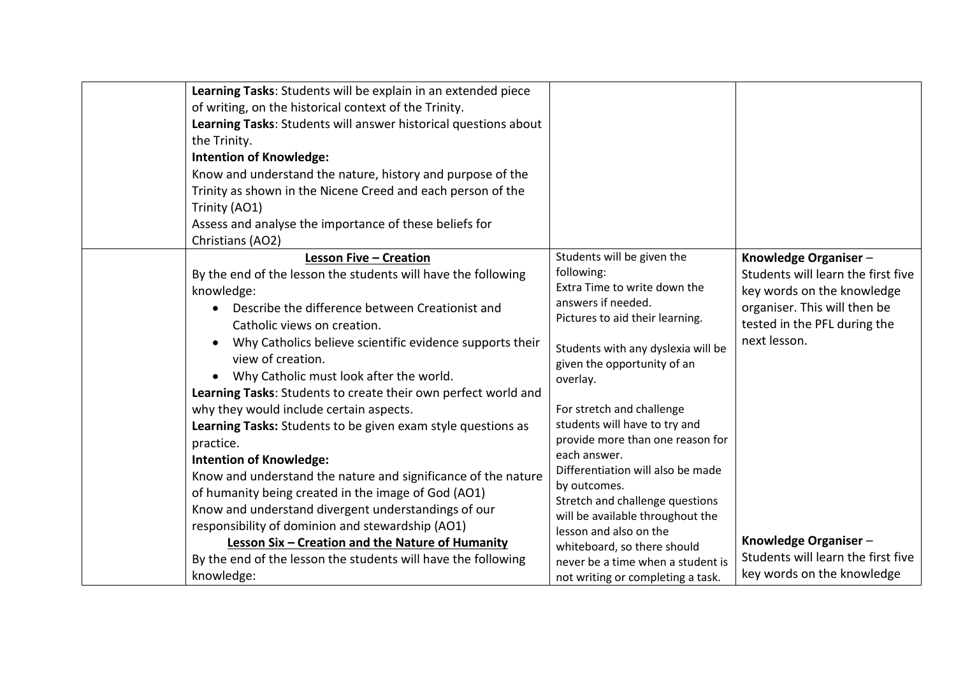| the Trinity.<br><b>Intention of Knowledge:</b><br>Trinity (AO1)<br>Christians (AO2) | Learning Tasks: Students will be explain in an extended piece<br>of writing, on the historical context of the Trinity.<br>Learning Tasks: Students will answer historical questions about<br>Know and understand the nature, history and purpose of the<br>Trinity as shown in the Nicene Creed and each person of the<br>Assess and analyse the importance of these beliefs for                                                                                |                                                                                                                                                                                                                                                                                                                                                                               |                                                                                                                                                                          |
|-------------------------------------------------------------------------------------|-----------------------------------------------------------------------------------------------------------------------------------------------------------------------------------------------------------------------------------------------------------------------------------------------------------------------------------------------------------------------------------------------------------------------------------------------------------------|-------------------------------------------------------------------------------------------------------------------------------------------------------------------------------------------------------------------------------------------------------------------------------------------------------------------------------------------------------------------------------|--------------------------------------------------------------------------------------------------------------------------------------------------------------------------|
| knowledge:<br>view of creation.                                                     | <b>Lesson Five - Creation</b><br>By the end of the lesson the students will have the following<br>Describe the difference between Creationist and<br>Catholic views on creation.<br>Why Catholics believe scientific evidence supports their<br>Why Catholic must look after the world.<br>Learning Tasks: Students to create their own perfect world and                                                                                                       | Students will be given the<br>following:<br>Extra Time to write down the<br>answers if needed.<br>Pictures to aid their learning.<br>Students with any dyslexia will be<br>given the opportunity of an<br>overlay.                                                                                                                                                            | Knowledge Organiser-<br>Students will learn the first five<br>key words on the knowledge<br>organiser. This will then be<br>tested in the PFL during the<br>next lesson. |
| practice.<br><b>Intention of Knowledge:</b><br>knowledge:                           | why they would include certain aspects.<br>Learning Tasks: Students to be given exam style questions as<br>Know and understand the nature and significance of the nature<br>of humanity being created in the image of God (AO1)<br>Know and understand divergent understandings of our<br>responsibility of dominion and stewardship (AO1)<br>Lesson Six - Creation and the Nature of Humanity<br>By the end of the lesson the students will have the following | For stretch and challenge<br>students will have to try and<br>provide more than one reason for<br>each answer.<br>Differentiation will also be made<br>by outcomes.<br>Stretch and challenge questions<br>will be available throughout the<br>lesson and also on the<br>whiteboard, so there should<br>never be a time when a student is<br>not writing or completing a task. | Knowledge Organiser-<br>Students will learn the first five<br>key words on the knowledge                                                                                 |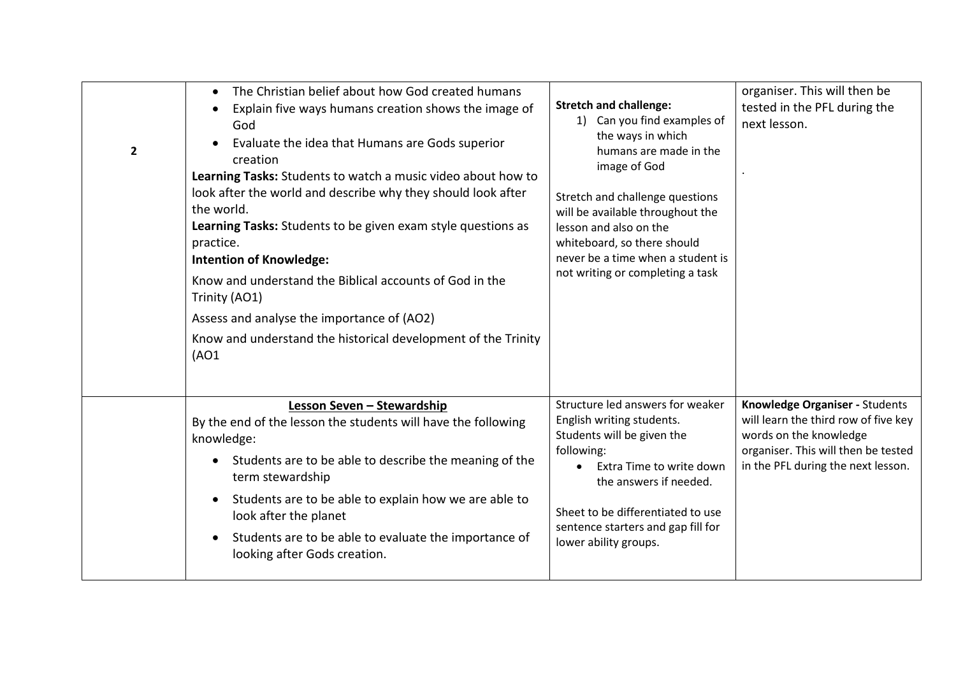| $\overline{2}$ | The Christian belief about how God created humans<br>$\bullet$<br>Explain five ways humans creation shows the image of<br>$\bullet$<br>God<br>Evaluate the idea that Humans are Gods superior<br>creation<br>Learning Tasks: Students to watch a music video about how to<br>look after the world and describe why they should look after<br>the world.<br>Learning Tasks: Students to be given exam style questions as<br>practice.<br><b>Intention of Knowledge:</b><br>Know and understand the Biblical accounts of God in the<br>Trinity (AO1)<br>Assess and analyse the importance of (AO2)<br>Know and understand the historical development of the Trinity<br>(AO1) | <b>Stretch and challenge:</b><br>1) Can you find examples of<br>the ways in which<br>humans are made in the<br>image of God<br>Stretch and challenge questions<br>will be available throughout the<br>lesson and also on the<br>whiteboard, so there should<br>never be a time when a student is<br>not writing or completing a task | organiser. This will then be<br>tested in the PFL during the<br>next lesson.                                                                                                  |
|----------------|----------------------------------------------------------------------------------------------------------------------------------------------------------------------------------------------------------------------------------------------------------------------------------------------------------------------------------------------------------------------------------------------------------------------------------------------------------------------------------------------------------------------------------------------------------------------------------------------------------------------------------------------------------------------------|--------------------------------------------------------------------------------------------------------------------------------------------------------------------------------------------------------------------------------------------------------------------------------------------------------------------------------------|-------------------------------------------------------------------------------------------------------------------------------------------------------------------------------|
|                | Lesson Seven - Stewardship<br>By the end of the lesson the students will have the following<br>knowledge:<br>Students are to be able to describe the meaning of the<br>$\bullet$<br>term stewardship<br>Students are to be able to explain how we are able to<br>$\bullet$<br>look after the planet<br>Students are to be able to evaluate the importance of<br>$\bullet$<br>looking after Gods creation.                                                                                                                                                                                                                                                                  | Structure led answers for weaker<br>English writing students.<br>Students will be given the<br>following:<br>Extra Time to write down<br>$\bullet$<br>the answers if needed.<br>Sheet to be differentiated to use<br>sentence starters and gap fill for<br>lower ability groups.                                                     | Knowledge Organiser - Students<br>will learn the third row of five key<br>words on the knowledge<br>organiser. This will then be tested<br>in the PFL during the next lesson. |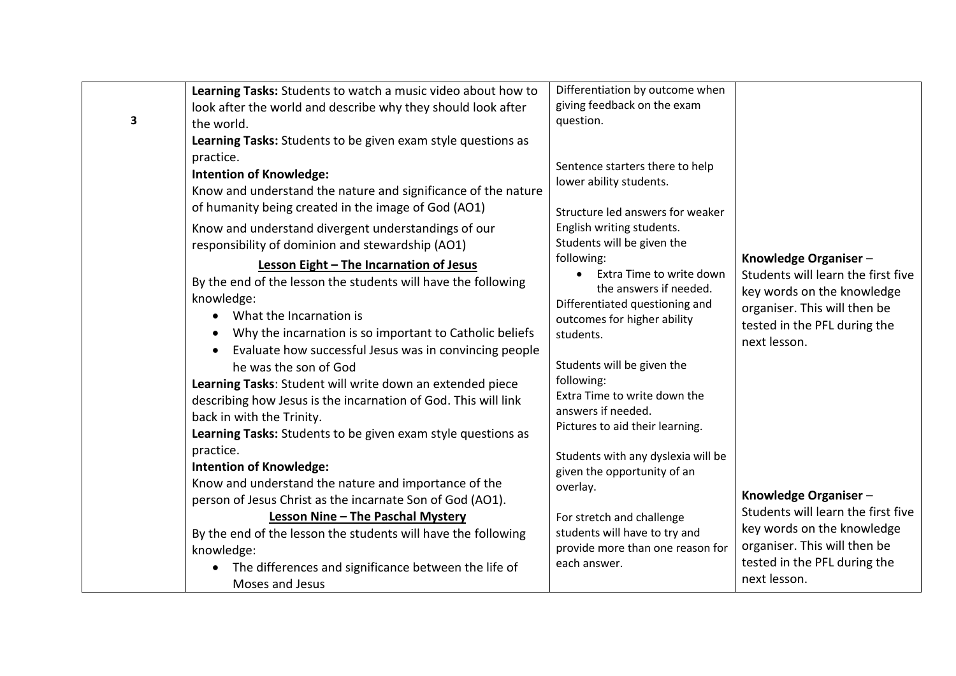|   | Learning Tasks: Students to watch a music video about how to                                                                                                                                                                                                                                                                                                                                                                                                                                                                                                                                                                                                 | Differentiation by outcome when                                                                                                                                                                                                                                                                                                                                      |                                                                                                                                                                          |
|---|--------------------------------------------------------------------------------------------------------------------------------------------------------------------------------------------------------------------------------------------------------------------------------------------------------------------------------------------------------------------------------------------------------------------------------------------------------------------------------------------------------------------------------------------------------------------------------------------------------------------------------------------------------------|----------------------------------------------------------------------------------------------------------------------------------------------------------------------------------------------------------------------------------------------------------------------------------------------------------------------------------------------------------------------|--------------------------------------------------------------------------------------------------------------------------------------------------------------------------|
|   | look after the world and describe why they should look after                                                                                                                                                                                                                                                                                                                                                                                                                                                                                                                                                                                                 | giving feedback on the exam                                                                                                                                                                                                                                                                                                                                          |                                                                                                                                                                          |
| 3 | the world.                                                                                                                                                                                                                                                                                                                                                                                                                                                                                                                                                                                                                                                   | question.                                                                                                                                                                                                                                                                                                                                                            |                                                                                                                                                                          |
|   | Learning Tasks: Students to be given exam style questions as                                                                                                                                                                                                                                                                                                                                                                                                                                                                                                                                                                                                 |                                                                                                                                                                                                                                                                                                                                                                      |                                                                                                                                                                          |
|   | practice.<br><b>Intention of Knowledge:</b><br>Know and understand the nature and significance of the nature<br>of humanity being created in the image of God (AO1)                                                                                                                                                                                                                                                                                                                                                                                                                                                                                          | Sentence starters there to help<br>lower ability students.<br>Structure led answers for weaker                                                                                                                                                                                                                                                                       |                                                                                                                                                                          |
|   | Know and understand divergent understandings of our                                                                                                                                                                                                                                                                                                                                                                                                                                                                                                                                                                                                          | English writing students.                                                                                                                                                                                                                                                                                                                                            |                                                                                                                                                                          |
|   | responsibility of dominion and stewardship (AO1)                                                                                                                                                                                                                                                                                                                                                                                                                                                                                                                                                                                                             | Students will be given the                                                                                                                                                                                                                                                                                                                                           |                                                                                                                                                                          |
|   | Lesson Eight - The Incarnation of Jesus<br>By the end of the lesson the students will have the following<br>knowledge:<br>What the Incarnation is<br>$\bullet$<br>Why the incarnation is so important to Catholic beliefs<br>Evaluate how successful Jesus was in convincing people<br>$\bullet$<br>he was the son of God<br>Learning Tasks: Student will write down an extended piece<br>describing how Jesus is the incarnation of God. This will link<br>back in with the Trinity.<br>Learning Tasks: Students to be given exam style questions as<br>practice.<br><b>Intention of Knowledge:</b><br>Know and understand the nature and importance of the | following:<br>Extra Time to write down<br>the answers if needed.<br>Differentiated questioning and<br>outcomes for higher ability<br>students.<br>Students will be given the<br>following:<br>Extra Time to write down the<br>answers if needed.<br>Pictures to aid their learning.<br>Students with any dyslexia will be<br>given the opportunity of an<br>overlay. | Knowledge Organiser-<br>Students will learn the first five<br>key words on the knowledge<br>organiser. This will then be<br>tested in the PFL during the<br>next lesson. |
|   | person of Jesus Christ as the incarnate Son of God (AO1).                                                                                                                                                                                                                                                                                                                                                                                                                                                                                                                                                                                                    |                                                                                                                                                                                                                                                                                                                                                                      | Knowledge Organiser-                                                                                                                                                     |
|   | Lesson Nine - The Paschal Mystery<br>By the end of the lesson the students will have the following<br>knowledge:<br>The differences and significance between the life of<br>$\bullet$<br>Moses and Jesus                                                                                                                                                                                                                                                                                                                                                                                                                                                     | For stretch and challenge<br>students will have to try and<br>provide more than one reason for<br>each answer.                                                                                                                                                                                                                                                       | Students will learn the first five<br>key words on the knowledge<br>organiser. This will then be<br>tested in the PFL during the<br>next lesson.                         |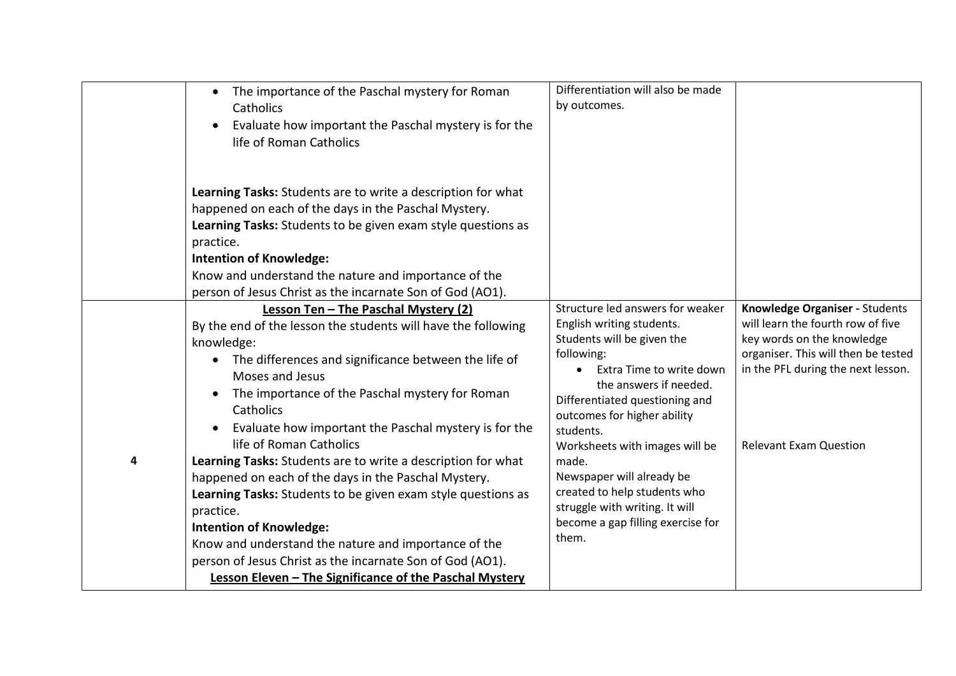|   | The importance of the Paschal mystery for Roman<br>$\bullet$<br>Catholics<br>Evaluate how important the Paschal mystery is for the<br>life of Roman Catholics                                                                                                                                                                                                                                                                                                                                                                                                                                                                                                                                                                                                             | Differentiation will also be made<br>by outcomes.                                                                                                                                                                                                                                                                                                                                                                                     |                                                                                                                                                                                                                 |
|---|---------------------------------------------------------------------------------------------------------------------------------------------------------------------------------------------------------------------------------------------------------------------------------------------------------------------------------------------------------------------------------------------------------------------------------------------------------------------------------------------------------------------------------------------------------------------------------------------------------------------------------------------------------------------------------------------------------------------------------------------------------------------------|---------------------------------------------------------------------------------------------------------------------------------------------------------------------------------------------------------------------------------------------------------------------------------------------------------------------------------------------------------------------------------------------------------------------------------------|-----------------------------------------------------------------------------------------------------------------------------------------------------------------------------------------------------------------|
|   | Learning Tasks: Students are to write a description for what<br>happened on each of the days in the Paschal Mystery.<br>Learning Tasks: Students to be given exam style questions as<br>practice.<br><b>Intention of Knowledge:</b><br>Know and understand the nature and importance of the<br>person of Jesus Christ as the incarnate Son of God (AO1).                                                                                                                                                                                                                                                                                                                                                                                                                  |                                                                                                                                                                                                                                                                                                                                                                                                                                       |                                                                                                                                                                                                                 |
| 4 | Lesson Ten - The Paschal Mystery (2)<br>By the end of the lesson the students will have the following<br>knowledge:<br>The differences and significance between the life of<br>Moses and Jesus<br>The importance of the Paschal mystery for Roman<br>Catholics<br>Evaluate how important the Paschal mystery is for the<br>life of Roman Catholics<br>Learning Tasks: Students are to write a description for what<br>happened on each of the days in the Paschal Mystery.<br>Learning Tasks: Students to be given exam style questions as<br>practice.<br><b>Intention of Knowledge:</b><br>Know and understand the nature and importance of the<br>person of Jesus Christ as the incarnate Son of God (AO1).<br>Lesson Eleven - The Significance of the Paschal Mystery | Structure led answers for weaker<br>English writing students.<br>Students will be given the<br>following:<br>Extra Time to write down<br>the answers if needed.<br>Differentiated questioning and<br>outcomes for higher ability<br>students.<br>Worksheets with images will be<br>made.<br>Newspaper will already be<br>created to help students who<br>struggle with writing. It will<br>become a gap filling exercise for<br>them. | Knowledge Organiser - Students<br>will learn the fourth row of five<br>key words on the knowledge<br>organiser. This will then be tested<br>in the PFL during the next lesson.<br><b>Relevant Exam Question</b> |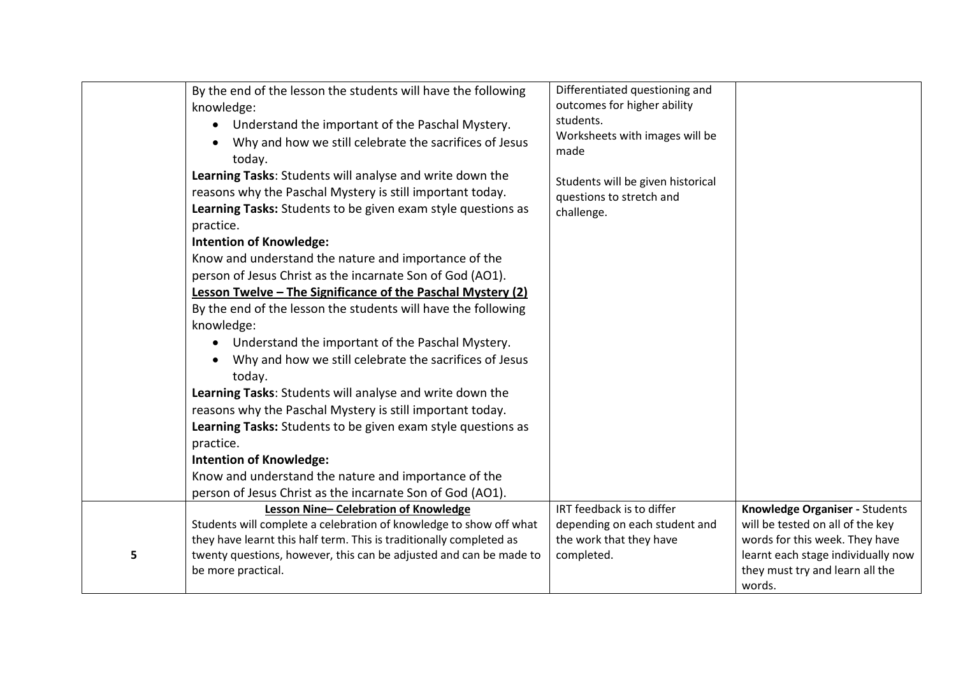|   | By the end of the lesson the students will have the following<br>knowledge: | Differentiated questioning and<br>outcomes for higher ability |                                    |
|---|-----------------------------------------------------------------------------|---------------------------------------------------------------|------------------------------------|
|   |                                                                             | students.                                                     |                                    |
|   | Understand the important of the Paschal Mystery.                            | Worksheets with images will be                                |                                    |
|   | Why and how we still celebrate the sacrifices of Jesus<br>$\bullet$         | made                                                          |                                    |
|   | today.                                                                      |                                                               |                                    |
|   | Learning Tasks: Students will analyse and write down the                    | Students will be given historical                             |                                    |
|   | reasons why the Paschal Mystery is still important today.                   | questions to stretch and                                      |                                    |
|   | Learning Tasks: Students to be given exam style questions as                | challenge.                                                    |                                    |
|   | practice.                                                                   |                                                               |                                    |
|   | <b>Intention of Knowledge:</b>                                              |                                                               |                                    |
|   | Know and understand the nature and importance of the                        |                                                               |                                    |
|   | person of Jesus Christ as the incarnate Son of God (AO1).                   |                                                               |                                    |
|   | Lesson Twelve - The Significance of the Paschal Mystery (2)                 |                                                               |                                    |
|   | By the end of the lesson the students will have the following               |                                                               |                                    |
|   | knowledge:                                                                  |                                                               |                                    |
|   | Understand the important of the Paschal Mystery.<br>$\bullet$               |                                                               |                                    |
|   | Why and how we still celebrate the sacrifices of Jesus                      |                                                               |                                    |
|   | today.                                                                      |                                                               |                                    |
|   | Learning Tasks: Students will analyse and write down the                    |                                                               |                                    |
|   | reasons why the Paschal Mystery is still important today.                   |                                                               |                                    |
|   | Learning Tasks: Students to be given exam style questions as                |                                                               |                                    |
|   | practice.                                                                   |                                                               |                                    |
|   | <b>Intention of Knowledge:</b>                                              |                                                               |                                    |
|   | Know and understand the nature and importance of the                        |                                                               |                                    |
|   | person of Jesus Christ as the incarnate Son of God (AO1).                   |                                                               |                                    |
|   | Lesson Nine-Celebration of Knowledge                                        | IRT feedback is to differ                                     | Knowledge Organiser - Students     |
|   | Students will complete a celebration of knowledge to show off what          | depending on each student and                                 | will be tested on all of the key   |
|   | they have learnt this half term. This is traditionally completed as         | the work that they have                                       | words for this week. They have     |
| 5 | twenty questions, however, this can be adjusted and can be made to          | completed.                                                    | learnt each stage individually now |
|   | be more practical.                                                          |                                                               | they must try and learn all the    |
|   |                                                                             |                                                               | words.                             |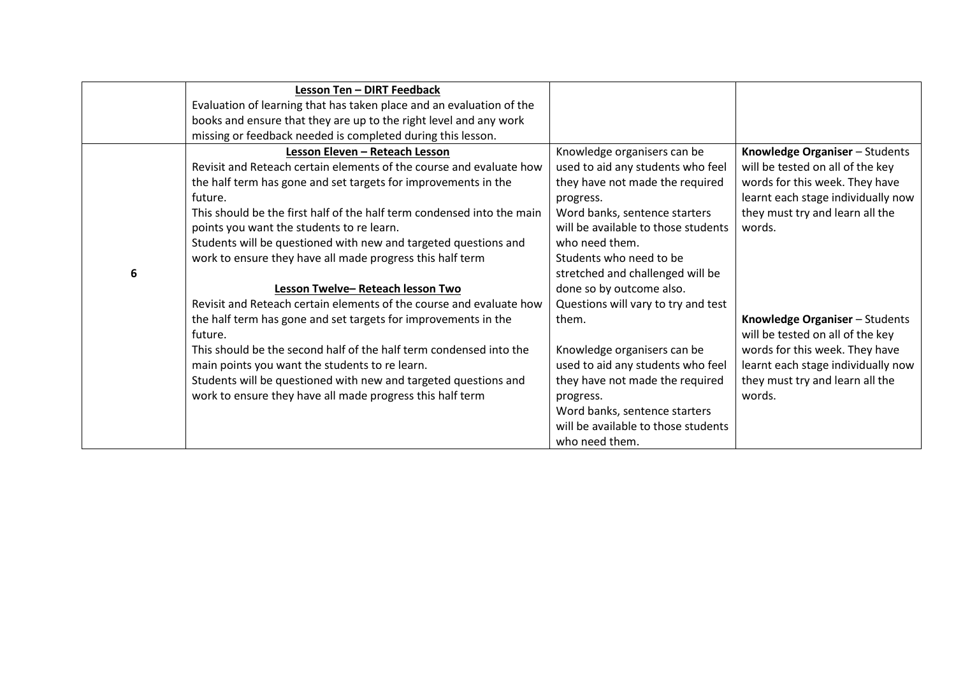|   | <b>Lesson Ten - DIRT Feedback</b>                                      |                                     |                                    |
|---|------------------------------------------------------------------------|-------------------------------------|------------------------------------|
|   | Evaluation of learning that has taken place and an evaluation of the   |                                     |                                    |
|   | books and ensure that they are up to the right level and any work      |                                     |                                    |
|   | missing or feedback needed is completed during this lesson.            |                                     |                                    |
|   | Lesson Eleven - Reteach Lesson                                         | Knowledge organisers can be         | Knowledge Organiser - Students     |
|   | Revisit and Reteach certain elements of the course and evaluate how    | used to aid any students who feel   | will be tested on all of the key   |
|   | the half term has gone and set targets for improvements in the         | they have not made the required     | words for this week. They have     |
|   | future.                                                                | progress.                           | learnt each stage individually now |
|   | This should be the first half of the half term condensed into the main | Word banks, sentence starters       | they must try and learn all the    |
|   | points you want the students to re learn.                              | will be available to those students | words.                             |
|   | Students will be questioned with new and targeted questions and        | who need them.                      |                                    |
|   | work to ensure they have all made progress this half term              | Students who need to be             |                                    |
| 6 |                                                                        | stretched and challenged will be    |                                    |
|   | Lesson Twelve-Reteach lesson Two                                       | done so by outcome also.            |                                    |
|   | Revisit and Reteach certain elements of the course and evaluate how    | Questions will vary to try and test |                                    |
|   | the half term has gone and set targets for improvements in the         | them.                               | Knowledge Organiser - Students     |
|   | future.                                                                |                                     | will be tested on all of the key   |
|   | This should be the second half of the half term condensed into the     | Knowledge organisers can be         | words for this week. They have     |
|   | main points you want the students to re learn.                         | used to aid any students who feel   | learnt each stage individually now |
|   | Students will be questioned with new and targeted questions and        | they have not made the required     | they must try and learn all the    |
|   | work to ensure they have all made progress this half term              | progress.                           | words.                             |
|   |                                                                        | Word banks, sentence starters       |                                    |
|   |                                                                        | will be available to those students |                                    |
|   |                                                                        | who need them.                      |                                    |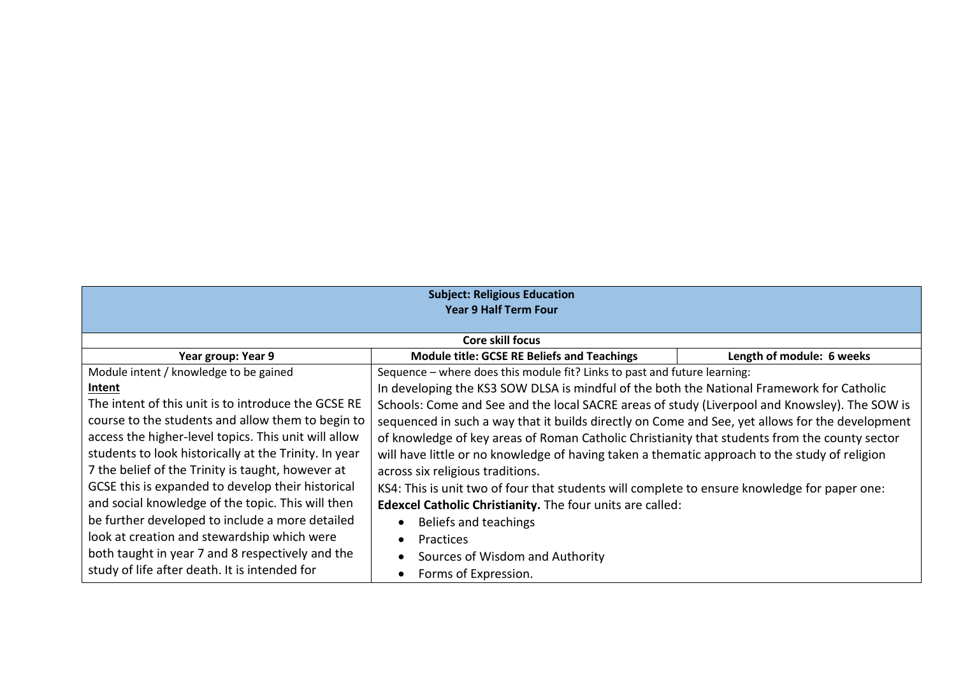| <b>Subject: Religious Education</b><br><b>Year 9 Half Term Four</b> |                                                                                                 |                           |  |
|---------------------------------------------------------------------|-------------------------------------------------------------------------------------------------|---------------------------|--|
|                                                                     | Core skill focus                                                                                |                           |  |
| Year group: Year 9                                                  | <b>Module title: GCSE RE Beliefs and Teachings</b>                                              | Length of module: 6 weeks |  |
| Module intent / knowledge to be gained                              | Sequence – where does this module fit? Links to past and future learning:                       |                           |  |
| Intent                                                              | In developing the KS3 SOW DLSA is mindful of the both the National Framework for Catholic       |                           |  |
| The intent of this unit is to introduce the GCSE RE                 | Schools: Come and See and the local SACRE areas of study (Liverpool and Knowsley). The SOW is   |                           |  |
| course to the students and allow them to begin to                   | sequenced in such a way that it builds directly on Come and See, yet allows for the development |                           |  |
| access the higher-level topics. This unit will allow                | of knowledge of key areas of Roman Catholic Christianity that students from the county sector   |                           |  |
| students to look historically at the Trinity. In year               | will have little or no knowledge of having taken a thematic approach to the study of religion   |                           |  |
| 7 the belief of the Trinity is taught, however at                   | across six religious traditions.                                                                |                           |  |
| GCSE this is expanded to develop their historical                   | KS4: This is unit two of four that students will complete to ensure knowledge for paper one:    |                           |  |
| and social knowledge of the topic. This will then                   | Edexcel Catholic Christianity. The four units are called:                                       |                           |  |
| be further developed to include a more detailed                     | Beliefs and teachings                                                                           |                           |  |
| look at creation and stewardship which were                         | Practices<br>$\bullet$                                                                          |                           |  |
| both taught in year 7 and 8 respectively and the                    | Sources of Wisdom and Authority                                                                 |                           |  |
| study of life after death. It is intended for                       | Forms of Expression.                                                                            |                           |  |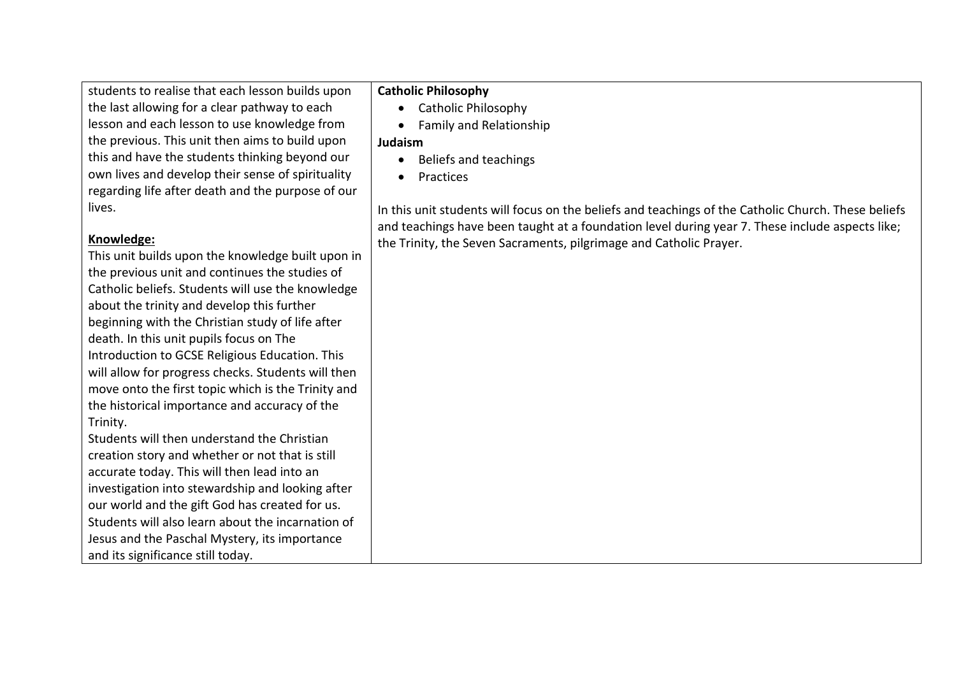students to realise that each lesson builds upon the last allowing for a clear pathway to each lesson and each lesson to use knowledge from the previous. This unit then aims to build upon this and have the students thinking beyond our own lives and develop their sense of spirituality regarding life after death and the purpose of our lives.

#### **Knowledge:**

This unit builds upon the knowledge built upon in the previous unit and continues the studies of Catholic beliefs. Students will use the knowledge about the trinity and develop this further beginning with the Christian study of life after death. In this unit pupils focus on The Introduction to GCSE Religious Education. This will allow for progress checks. Students will then move onto the first topic which is the Trinity and the historical importance and accuracy of the Trinity.

Students will then understand the Christian creation story and whether or not that is still accurate today. This will then lead into an investigation into stewardship and looking after our world and the gift God has created for us. Students will also learn about the incarnation of Jesus and the Paschal Mystery, its importance and its significance still today.

#### **Catholic Philosophy**

- Catholic Philosophy
- Family and Relationship

#### **Judaism**

- Beliefs and teachings
- Practices

In this unit students will focus on the beliefs and teachings of the Catholic Church. These beliefs and teachings have been taught at a foundation level during year 7. These include aspects like; the Trinity, the Seven Sacraments, pilgrimage and Catholic Prayer.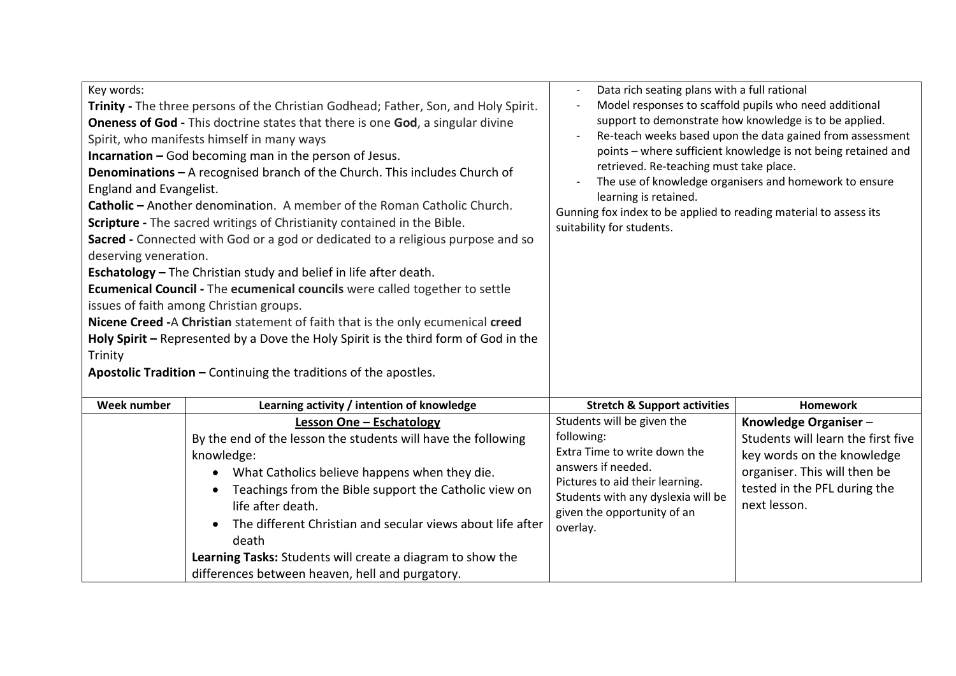| Key words:                                                                                                                                                                                                                                                                                                                                                                                                                                                                                                                                                                                                                                                                                                                                                                                                                                                                                                                                                                                                                                                                                                                            |                                                                                                                                                                                                                                                                                                                                                                                                 | Data rich seating plans with a full rational                                                                                                                                                                                                                                                                                                                                                                                                                                   |                                                                                                                                                                          |
|---------------------------------------------------------------------------------------------------------------------------------------------------------------------------------------------------------------------------------------------------------------------------------------------------------------------------------------------------------------------------------------------------------------------------------------------------------------------------------------------------------------------------------------------------------------------------------------------------------------------------------------------------------------------------------------------------------------------------------------------------------------------------------------------------------------------------------------------------------------------------------------------------------------------------------------------------------------------------------------------------------------------------------------------------------------------------------------------------------------------------------------|-------------------------------------------------------------------------------------------------------------------------------------------------------------------------------------------------------------------------------------------------------------------------------------------------------------------------------------------------------------------------------------------------|--------------------------------------------------------------------------------------------------------------------------------------------------------------------------------------------------------------------------------------------------------------------------------------------------------------------------------------------------------------------------------------------------------------------------------------------------------------------------------|--------------------------------------------------------------------------------------------------------------------------------------------------------------------------|
| Trinity - The three persons of the Christian Godhead; Father, Son, and Holy Spirit.<br><b>Oneness of God</b> - This doctrine states that there is one God, a singular divine<br>Spirit, who manifests himself in many ways<br><b>Incarnation - God becoming man in the person of Jesus.</b><br>Denominations - A recognised branch of the Church. This includes Church of<br>England and Evangelist.<br>Catholic - Another denomination. A member of the Roman Catholic Church.<br>Scripture - The sacred writings of Christianity contained in the Bible.<br>Sacred - Connected with God or a god or dedicated to a religious purpose and so<br>deserving veneration.<br><b>Eschatology</b> - The Christian study and belief in life after death.<br>Ecumenical Council - The ecumenical councils were called together to settle<br>issues of faith among Christian groups.<br>Nicene Creed - A Christian statement of faith that is the only ecumenical creed<br>Holy Spirit - Represented by a Dove the Holy Spirit is the third form of God in the<br>Trinity<br>Apostolic Tradition - Continuing the traditions of the apostles. |                                                                                                                                                                                                                                                                                                                                                                                                 | Model responses to scaffold pupils who need additional<br>support to demonstrate how knowledge is to be applied.<br>Re-teach weeks based upon the data gained from assessment<br>points - where sufficient knowledge is not being retained and<br>retrieved. Re-teaching must take place.<br>The use of knowledge organisers and homework to ensure<br>learning is retained.<br>Gunning fox index to be applied to reading material to assess its<br>suitability for students. |                                                                                                                                                                          |
| <b>Week number</b>                                                                                                                                                                                                                                                                                                                                                                                                                                                                                                                                                                                                                                                                                                                                                                                                                                                                                                                                                                                                                                                                                                                    | Learning activity / intention of knowledge                                                                                                                                                                                                                                                                                                                                                      | <b>Stretch &amp; Support activities</b>                                                                                                                                                                                                                                                                                                                                                                                                                                        | <b>Homework</b>                                                                                                                                                          |
|                                                                                                                                                                                                                                                                                                                                                                                                                                                                                                                                                                                                                                                                                                                                                                                                                                                                                                                                                                                                                                                                                                                                       | <b>Lesson One - Eschatology</b><br>By the end of the lesson the students will have the following<br>knowledge:<br>What Catholics believe happens when they die.<br>$\bullet$<br>Teachings from the Bible support the Catholic view on<br>life after death.<br>The different Christian and secular views about life after<br>death<br>Learning Tasks: Students will create a diagram to show the | Students will be given the<br>following:<br>Extra Time to write down the<br>answers if needed.<br>Pictures to aid their learning.<br>Students with any dyslexia will be<br>given the opportunity of an<br>overlay.                                                                                                                                                                                                                                                             | Knowledge Organiser-<br>Students will learn the first five<br>key words on the knowledge<br>organiser. This will then be<br>tested in the PFL during the<br>next lesson. |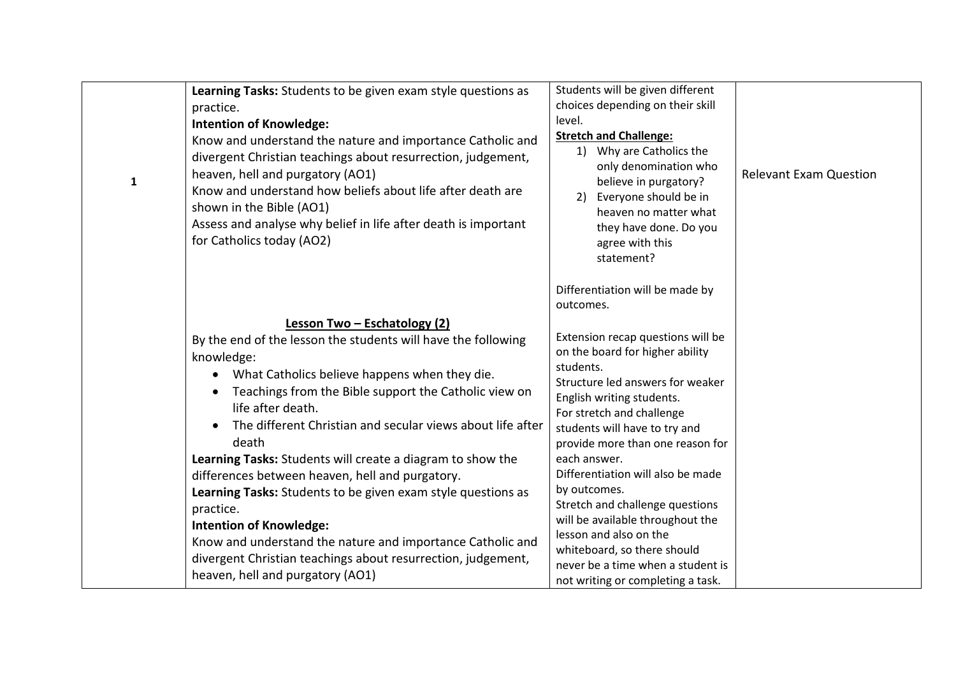| ${\bf 1}$ | Learning Tasks: Students to be given exam style questions as<br>practice.<br><b>Intention of Knowledge:</b><br>Know and understand the nature and importance Catholic and<br>divergent Christian teachings about resurrection, judgement,<br>heaven, hell and purgatory (AO1)<br>Know and understand how beliefs about life after death are<br>shown in the Bible (AO1)<br>Assess and analyse why belief in life after death is important<br>for Catholics today (AO2)                                                                                                                                                                                                                                              | Students will be given different<br>choices depending on their skill<br>level.<br><b>Stretch and Challenge:</b><br>1) Why are Catholics the<br>only denomination who<br>believe in purgatory?<br>Everyone should be in<br>2)<br>heaven no matter what<br>they have done. Do you<br>agree with this<br>statement?                                                                                                                                                                                                                                                                    | <b>Relevant Exam Question</b> |
|-----------|---------------------------------------------------------------------------------------------------------------------------------------------------------------------------------------------------------------------------------------------------------------------------------------------------------------------------------------------------------------------------------------------------------------------------------------------------------------------------------------------------------------------------------------------------------------------------------------------------------------------------------------------------------------------------------------------------------------------|-------------------------------------------------------------------------------------------------------------------------------------------------------------------------------------------------------------------------------------------------------------------------------------------------------------------------------------------------------------------------------------------------------------------------------------------------------------------------------------------------------------------------------------------------------------------------------------|-------------------------------|
|           | Lesson Two - Eschatology (2)<br>By the end of the lesson the students will have the following<br>knowledge:<br>What Catholics believe happens when they die.<br>Teachings from the Bible support the Catholic view on<br>life after death.<br>The different Christian and secular views about life after<br>death<br>Learning Tasks: Students will create a diagram to show the<br>differences between heaven, hell and purgatory.<br>Learning Tasks: Students to be given exam style questions as<br>practice.<br><b>Intention of Knowledge:</b><br>Know and understand the nature and importance Catholic and<br>divergent Christian teachings about resurrection, judgement,<br>heaven, hell and purgatory (AO1) | Differentiation will be made by<br>outcomes.<br>Extension recap questions will be<br>on the board for higher ability<br>students.<br>Structure led answers for weaker<br>English writing students.<br>For stretch and challenge<br>students will have to try and<br>provide more than one reason for<br>each answer.<br>Differentiation will also be made<br>by outcomes.<br>Stretch and challenge questions<br>will be available throughout the<br>lesson and also on the<br>whiteboard, so there should<br>never be a time when a student is<br>not writing or completing a task. |                               |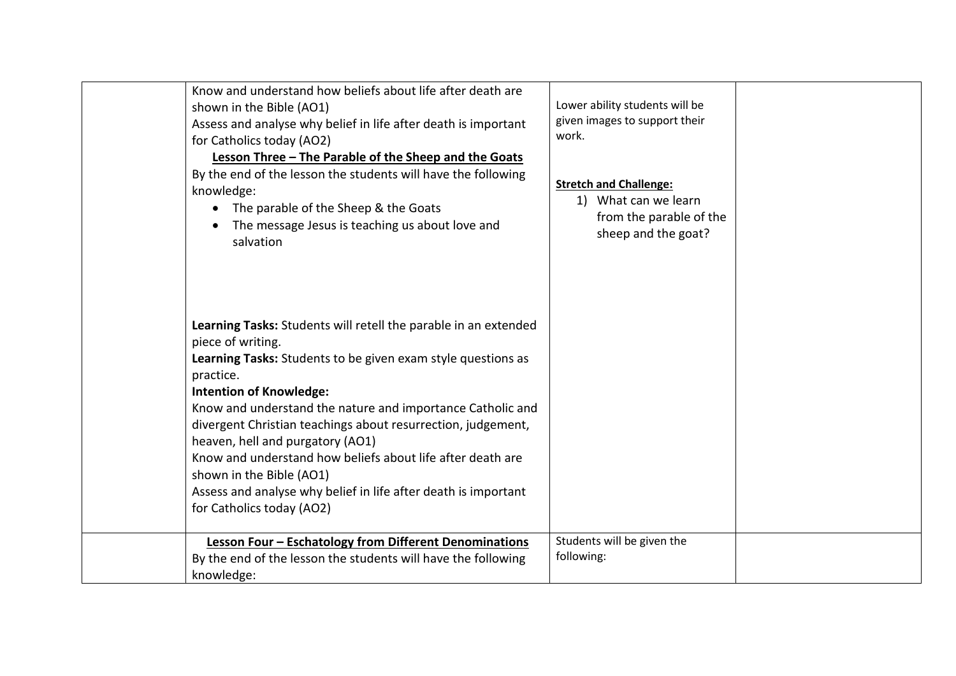| Know and understand how beliefs about life after death are<br>shown in the Bible (AO1)<br>Assess and analyse why belief in life after death is important<br>for Catholics today (AO2)<br>Lesson Three - The Parable of the Sheep and the Goats<br>By the end of the lesson the students will have the following<br>knowledge:<br>The parable of the Sheep & the Goats<br>The message Jesus is teaching us about love and<br>salvation                                                                                                                          | Lower ability students will be<br>given images to support their<br>work.<br><b>Stretch and Challenge:</b><br>1) What can we learn<br>from the parable of the<br>sheep and the goat? |  |
|----------------------------------------------------------------------------------------------------------------------------------------------------------------------------------------------------------------------------------------------------------------------------------------------------------------------------------------------------------------------------------------------------------------------------------------------------------------------------------------------------------------------------------------------------------------|-------------------------------------------------------------------------------------------------------------------------------------------------------------------------------------|--|
| Learning Tasks: Students will retell the parable in an extended<br>piece of writing.<br>Learning Tasks: Students to be given exam style questions as<br>practice.<br><b>Intention of Knowledge:</b><br>Know and understand the nature and importance Catholic and<br>divergent Christian teachings about resurrection, judgement,<br>heaven, hell and purgatory (AO1)<br>Know and understand how beliefs about life after death are<br>shown in the Bible (AO1)<br>Assess and analyse why belief in life after death is important<br>for Catholics today (AO2) |                                                                                                                                                                                     |  |
| <b>Lesson Four - Eschatology from Different Denominations</b><br>By the end of the lesson the students will have the following<br>knowledge:                                                                                                                                                                                                                                                                                                                                                                                                                   | Students will be given the<br>following:                                                                                                                                            |  |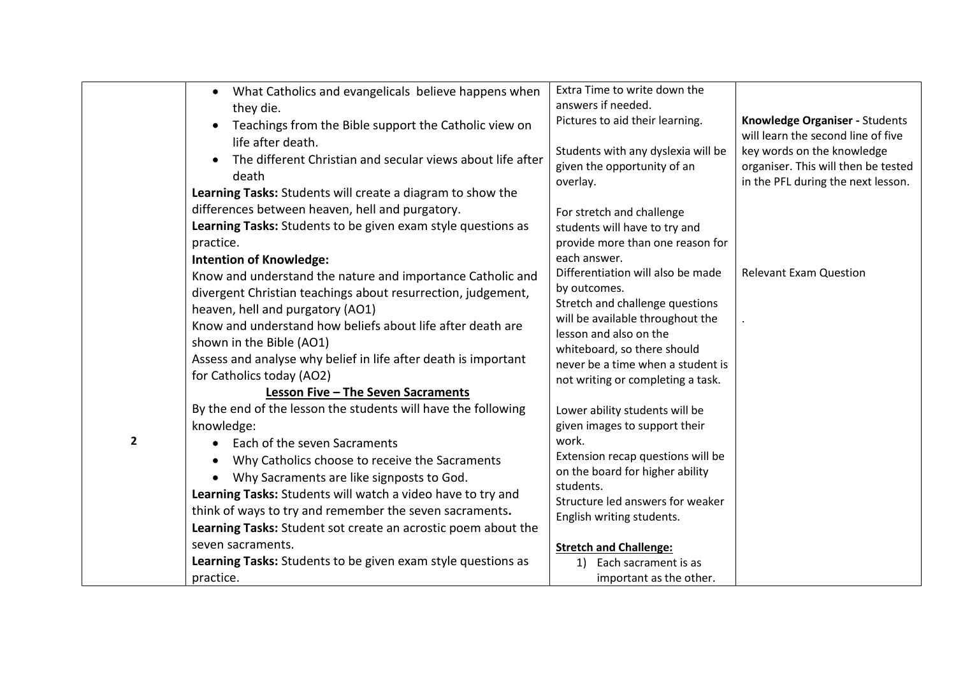|              | What Catholics and evangelicals believe happens when<br>$\bullet$<br>they die.<br>Teachings from the Bible support the Catholic view on<br>life after death.<br>The different Christian and secular views about life after<br>death<br>Learning Tasks: Students will create a diagram to show the                                                                                                    | Extra Time to write down the<br>answers if needed.<br>Pictures to aid their learning.<br>Students with any dyslexia will be<br>given the opportunity of an<br>overlay.                                                                                      | Knowledge Organiser - Students<br>will learn the second line of five<br>key words on the knowledge<br>organiser. This will then be tested<br>in the PFL during the next lesson. |
|--------------|------------------------------------------------------------------------------------------------------------------------------------------------------------------------------------------------------------------------------------------------------------------------------------------------------------------------------------------------------------------------------------------------------|-------------------------------------------------------------------------------------------------------------------------------------------------------------------------------------------------------------------------------------------------------------|---------------------------------------------------------------------------------------------------------------------------------------------------------------------------------|
|              | differences between heaven, hell and purgatory.<br>Learning Tasks: Students to be given exam style questions as<br>practice.<br><b>Intention of Knowledge:</b>                                                                                                                                                                                                                                       | For stretch and challenge<br>students will have to try and<br>provide more than one reason for<br>each answer.                                                                                                                                              |                                                                                                                                                                                 |
|              | Know and understand the nature and importance Catholic and<br>divergent Christian teachings about resurrection, judgement,<br>heaven, hell and purgatory (AO1)<br>Know and understand how beliefs about life after death are<br>shown in the Bible (AO1)<br>Assess and analyse why belief in life after death is important<br>for Catholics today (AO2)<br><b>Lesson Five - The Seven Sacraments</b> | Differentiation will also be made<br>by outcomes.<br>Stretch and challenge questions<br>will be available throughout the<br>lesson and also on the<br>whiteboard, so there should<br>never be a time when a student is<br>not writing or completing a task. | <b>Relevant Exam Question</b>                                                                                                                                                   |
| $\mathbf{2}$ | By the end of the lesson the students will have the following<br>knowledge:<br>Each of the seven Sacraments<br>$\bullet$                                                                                                                                                                                                                                                                             | Lower ability students will be<br>given images to support their<br>work.                                                                                                                                                                                    |                                                                                                                                                                                 |
|              | Why Catholics choose to receive the Sacraments<br>$\bullet$<br>Why Sacraments are like signposts to God.<br>Learning Tasks: Students will watch a video have to try and<br>think of ways to try and remember the seven sacraments.<br>Learning Tasks: Student sot create an acrostic poem about the                                                                                                  | Extension recap questions will be<br>on the board for higher ability<br>students.<br>Structure led answers for weaker<br>English writing students.                                                                                                          |                                                                                                                                                                                 |
|              | seven sacraments.<br>Learning Tasks: Students to be given exam style questions as<br>practice.                                                                                                                                                                                                                                                                                                       | <b>Stretch and Challenge:</b><br>Each sacrament is as<br>1)<br>important as the other.                                                                                                                                                                      |                                                                                                                                                                                 |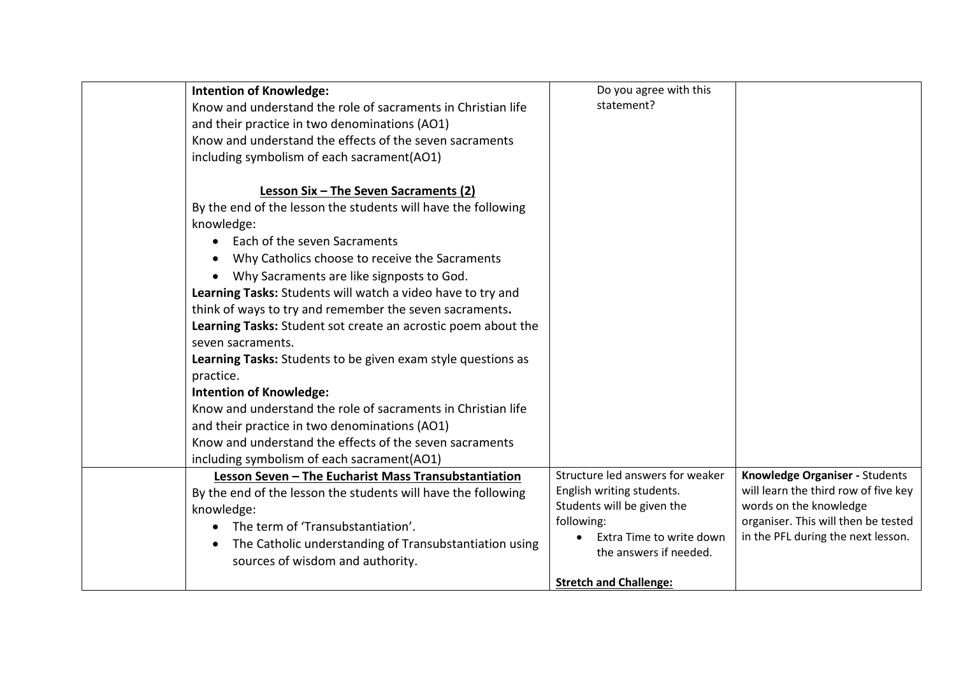| <b>Intention of Knowledge:</b><br>Know and understand the role of sacraments in Christian life<br>and their practice in two denominations (AO1)<br>Know and understand the effects of the seven sacraments<br>including symbolism of each sacrament(AO1)                                                                                                                                                                                                                                                                                                                                                                                                                                                                                                                                                                  | Do you agree with this<br>statement?                                                                                                                                                             |                                                                                                                                                                               |
|---------------------------------------------------------------------------------------------------------------------------------------------------------------------------------------------------------------------------------------------------------------------------------------------------------------------------------------------------------------------------------------------------------------------------------------------------------------------------------------------------------------------------------------------------------------------------------------------------------------------------------------------------------------------------------------------------------------------------------------------------------------------------------------------------------------------------|--------------------------------------------------------------------------------------------------------------------------------------------------------------------------------------------------|-------------------------------------------------------------------------------------------------------------------------------------------------------------------------------|
| Lesson Six - The Seven Sacraments (2)<br>By the end of the lesson the students will have the following<br>knowledge:<br>Each of the seven Sacraments<br>$\bullet$<br>Why Catholics choose to receive the Sacraments<br>Why Sacraments are like signposts to God.<br>Learning Tasks: Students will watch a video have to try and<br>think of ways to try and remember the seven sacraments.<br>Learning Tasks: Student sot create an acrostic poem about the<br>seven sacraments.<br>Learning Tasks: Students to be given exam style questions as<br>practice.<br><b>Intention of Knowledge:</b><br>Know and understand the role of sacraments in Christian life<br>and their practice in two denominations (AO1)<br>Know and understand the effects of the seven sacraments<br>including symbolism of each sacrament(AO1) |                                                                                                                                                                                                  |                                                                                                                                                                               |
| Lesson Seven - The Eucharist Mass Transubstantiation<br>By the end of the lesson the students will have the following<br>knowledge:<br>The term of 'Transubstantiation'.<br>The Catholic understanding of Transubstantiation using<br>sources of wisdom and authority.                                                                                                                                                                                                                                                                                                                                                                                                                                                                                                                                                    | Structure led answers for weaker<br>English writing students.<br>Students will be given the<br>following:<br>Extra Time to write down<br>the answers if needed.<br><b>Stretch and Challenge:</b> | Knowledge Organiser - Students<br>will learn the third row of five key<br>words on the knowledge<br>organiser. This will then be tested<br>in the PFL during the next lesson. |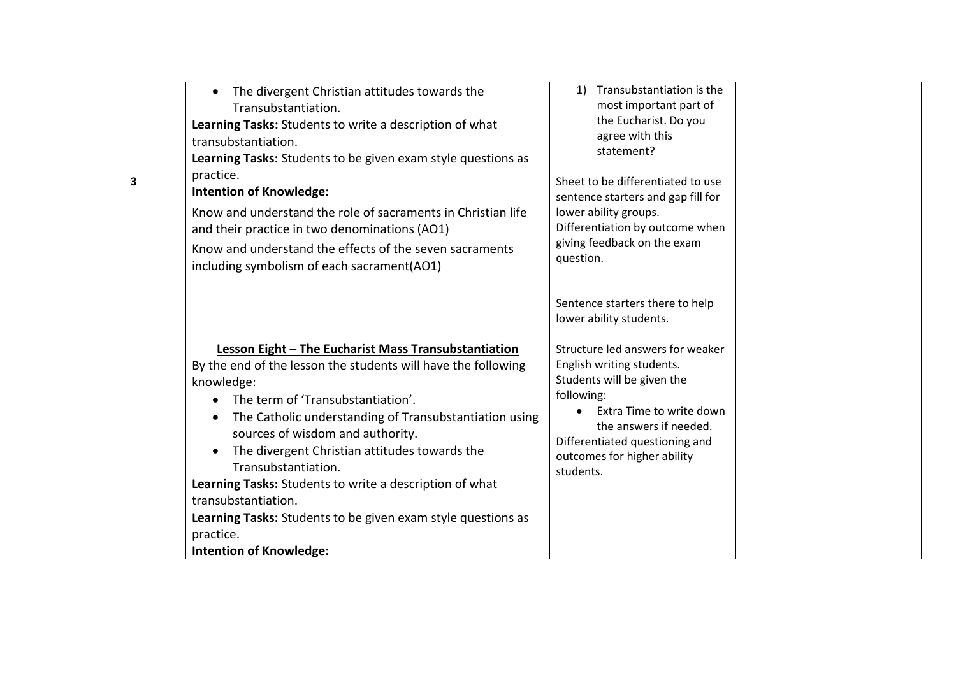| 3 | The divergent Christian attitudes towards the<br>$\bullet$<br>Transubstantiation.<br>Learning Tasks: Students to write a description of what<br>transubstantiation.<br>Learning Tasks: Students to be given exam style questions as<br>practice.<br><b>Intention of Knowledge:</b><br>Know and understand the role of sacraments in Christian life<br>and their practice in two denominations (AO1)<br>Know and understand the effects of the seven sacraments<br>including symbolism of each sacrament(AO1) | Transubstantiation is the<br>1)<br>most important part of<br>the Eucharist. Do you<br>agree with this<br>statement?<br>Sheet to be differentiated to use<br>sentence starters and gap fill for<br>lower ability groups.<br>Differentiation by outcome when<br>giving feedback on the exam<br>question.      |  |
|---|--------------------------------------------------------------------------------------------------------------------------------------------------------------------------------------------------------------------------------------------------------------------------------------------------------------------------------------------------------------------------------------------------------------------------------------------------------------------------------------------------------------|-------------------------------------------------------------------------------------------------------------------------------------------------------------------------------------------------------------------------------------------------------------------------------------------------------------|--|
|   | Lesson Eight - The Eucharist Mass Transubstantiation<br>By the end of the lesson the students will have the following<br>knowledge:<br>The term of 'Transubstantiation'.<br>$\bullet$<br>The Catholic understanding of Transubstantiation using<br>$\bullet$<br>sources of wisdom and authority.<br>The divergent Christian attitudes towards the<br>$\bullet$<br>Transubstantiation.<br>Learning Tasks: Students to write a description of what<br>transubstantiation.                                      | Sentence starters there to help<br>lower ability students.<br>Structure led answers for weaker<br>English writing students.<br>Students will be given the<br>following:<br>Extra Time to write down<br>the answers if needed.<br>Differentiated questioning and<br>outcomes for higher ability<br>students. |  |
|   | Learning Tasks: Students to be given exam style questions as<br>practice.<br><b>Intention of Knowledge:</b>                                                                                                                                                                                                                                                                                                                                                                                                  |                                                                                                                                                                                                                                                                                                             |  |
|   |                                                                                                                                                                                                                                                                                                                                                                                                                                                                                                              |                                                                                                                                                                                                                                                                                                             |  |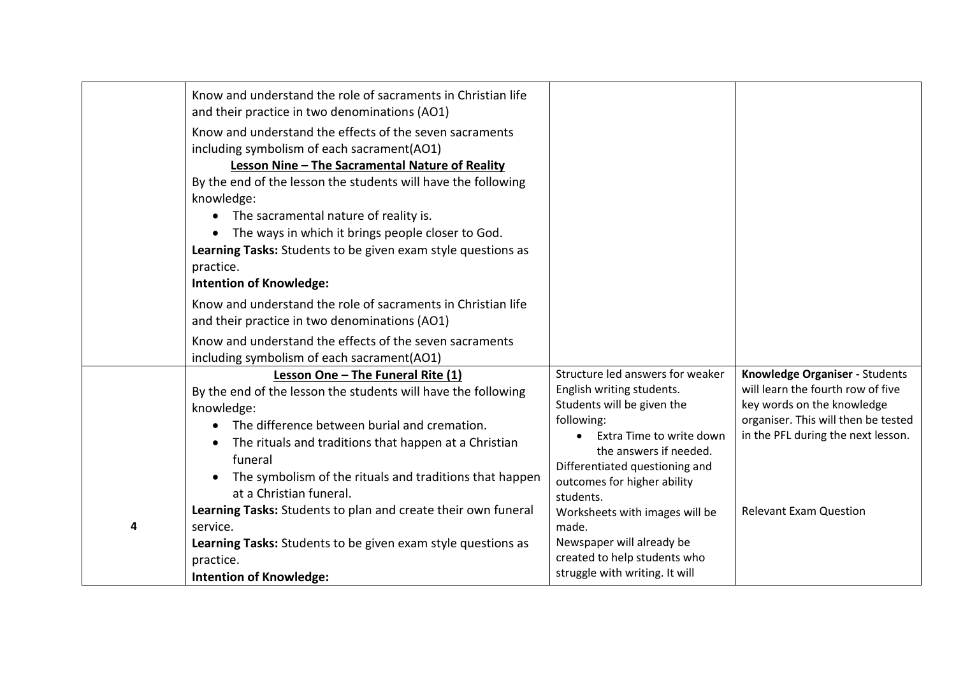|   | Know and understand the role of sacraments in Christian life<br>and their practice in two denominations (AO1)<br>Know and understand the effects of the seven sacraments<br>including symbolism of each sacrament(AO1)<br>Lesson Nine - The Sacramental Nature of Reality<br>By the end of the lesson the students will have the following<br>knowledge:<br>The sacramental nature of reality is.<br>The ways in which it brings people closer to God.<br>Learning Tasks: Students to be given exam style questions as<br>practice.<br><b>Intention of Knowledge:</b><br>Know and understand the role of sacraments in Christian life<br>and their practice in two denominations (AO1)<br>Know and understand the effects of the seven sacraments |                                                                                                                                                                                                                                                                                                                                                                                         |                                                                                                                                                                                                                 |
|---|---------------------------------------------------------------------------------------------------------------------------------------------------------------------------------------------------------------------------------------------------------------------------------------------------------------------------------------------------------------------------------------------------------------------------------------------------------------------------------------------------------------------------------------------------------------------------------------------------------------------------------------------------------------------------------------------------------------------------------------------------|-----------------------------------------------------------------------------------------------------------------------------------------------------------------------------------------------------------------------------------------------------------------------------------------------------------------------------------------------------------------------------------------|-----------------------------------------------------------------------------------------------------------------------------------------------------------------------------------------------------------------|
| 4 | including symbolism of each sacrament(AO1)<br>Lesson One - The Funeral Rite (1)<br>By the end of the lesson the students will have the following<br>knowledge:<br>The difference between burial and cremation.<br>The rituals and traditions that happen at a Christian<br>funeral<br>The symbolism of the rituals and traditions that happen<br>at a Christian funeral.<br>Learning Tasks: Students to plan and create their own funeral<br>service.<br>Learning Tasks: Students to be given exam style questions as<br>practice.<br><b>Intention of Knowledge:</b>                                                                                                                                                                              | Structure led answers for weaker<br>English writing students.<br>Students will be given the<br>following:<br>Extra Time to write down<br>the answers if needed.<br>Differentiated questioning and<br>outcomes for higher ability<br>students.<br>Worksheets with images will be<br>made.<br>Newspaper will already be<br>created to help students who<br>struggle with writing. It will | Knowledge Organiser - Students<br>will learn the fourth row of five<br>key words on the knowledge<br>organiser. This will then be tested<br>in the PFL during the next lesson.<br><b>Relevant Exam Question</b> |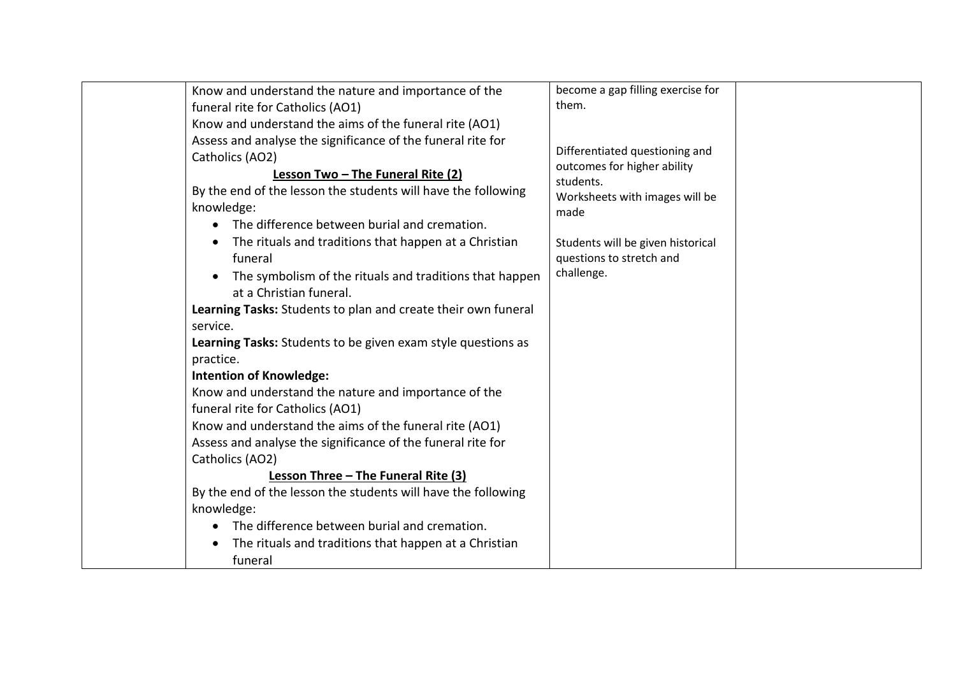|                                                                            | Know and understand the nature and importance of the<br>funeral rite for Catholics (AO1)<br>Know and understand the aims of the funeral rite (AO1)<br>Assess and analyse the significance of the funeral rite for                                                                                                                                                                                                                                                                                                                                                                                                                                                                                                                                                                             | become a gap filling exercise for<br>them.                                                                           |  |
|----------------------------------------------------------------------------|-----------------------------------------------------------------------------------------------------------------------------------------------------------------------------------------------------------------------------------------------------------------------------------------------------------------------------------------------------------------------------------------------------------------------------------------------------------------------------------------------------------------------------------------------------------------------------------------------------------------------------------------------------------------------------------------------------------------------------------------------------------------------------------------------|----------------------------------------------------------------------------------------------------------------------|--|
| knowledge:                                                                 | Catholics (AO2)<br>Lesson Two - The Funeral Rite (2)<br>By the end of the lesson the students will have the following<br>The difference between burial and cremation.                                                                                                                                                                                                                                                                                                                                                                                                                                                                                                                                                                                                                         | Differentiated questioning and<br>outcomes for higher ability<br>students.<br>Worksheets with images will be<br>made |  |
| $\bullet$<br>$\bullet$<br>service.<br>practice.<br>knowledge:<br>$\bullet$ | The rituals and traditions that happen at a Christian<br>funeral<br>The symbolism of the rituals and traditions that happen<br>at a Christian funeral.<br>Learning Tasks: Students to plan and create their own funeral<br>Learning Tasks: Students to be given exam style questions as<br><b>Intention of Knowledge:</b><br>Know and understand the nature and importance of the<br>funeral rite for Catholics (AO1)<br>Know and understand the aims of the funeral rite (AO1)<br>Assess and analyse the significance of the funeral rite for<br>Catholics (AO2)<br>Lesson Three - The Funeral Rite (3)<br>By the end of the lesson the students will have the following<br>The difference between burial and cremation.<br>The rituals and traditions that happen at a Christian<br>funeral | Students will be given historical<br>questions to stretch and<br>challenge.                                          |  |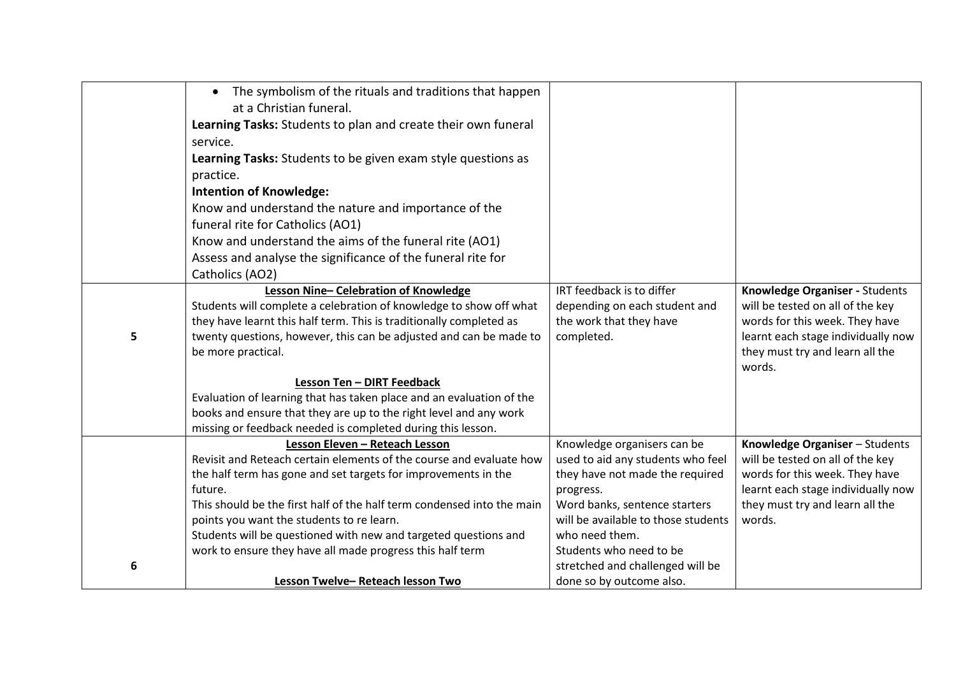|   | • The symbolism of the rituals and traditions that happen<br>at a Christian funeral.     |                                            |                                                                       |
|---|------------------------------------------------------------------------------------------|--------------------------------------------|-----------------------------------------------------------------------|
|   | Learning Tasks: Students to plan and create their own funeral                            |                                            |                                                                       |
|   | service.                                                                                 |                                            |                                                                       |
|   | Learning Tasks: Students to be given exam style questions as                             |                                            |                                                                       |
|   | practice.                                                                                |                                            |                                                                       |
|   | <b>Intention of Knowledge:</b>                                                           |                                            |                                                                       |
|   | Know and understand the nature and importance of the                                     |                                            |                                                                       |
|   | funeral rite for Catholics (AO1)                                                         |                                            |                                                                       |
|   | Know and understand the aims of the funeral rite (AO1)                                   |                                            |                                                                       |
|   | Assess and analyse the significance of the funeral rite for                              |                                            |                                                                       |
|   | Catholics (AO2)                                                                          |                                            |                                                                       |
|   | Lesson Nine-Celebration of Knowledge                                                     | IRT feedback is to differ                  | Knowledge Organiser - Students                                        |
|   | Students will complete a celebration of knowledge to show off what                       | depending on each student and              | will be tested on all of the key                                      |
|   | they have learnt this half term. This is traditionally completed as                      | the work that they have                    | words for this week. They have                                        |
| 5 | twenty questions, however, this can be adjusted and can be made to<br>be more practical. | completed.                                 | learnt each stage individually now<br>they must try and learn all the |
|   |                                                                                          |                                            | words.                                                                |
|   | Lesson Ten - DIRT Feedback                                                               |                                            |                                                                       |
|   | Evaluation of learning that has taken place and an evaluation of the                     |                                            |                                                                       |
|   | books and ensure that they are up to the right level and any work                        |                                            |                                                                       |
|   | missing or feedback needed is completed during this lesson.                              |                                            |                                                                       |
|   | Lesson Eleven - Reteach Lesson                                                           | Knowledge organisers can be                | Knowledge Organiser - Students                                        |
|   | Revisit and Reteach certain elements of the course and evaluate how                      | used to aid any students who feel          | will be tested on all of the key                                      |
|   | the half term has gone and set targets for improvements in the<br>future.                | they have not made the required            | words for this week. They have<br>learnt each stage individually now  |
|   | This should be the first half of the half term condensed into the main                   | progress.<br>Word banks, sentence starters | they must try and learn all the                                       |
|   | points you want the students to re learn.                                                | will be available to those students        | words.                                                                |
|   | Students will be questioned with new and targeted questions and                          | who need them.                             |                                                                       |
|   | work to ensure they have all made progress this half term                                | Students who need to be                    |                                                                       |
| 6 |                                                                                          | stretched and challenged will be           |                                                                       |
|   | Lesson Twelve-Reteach lesson Two                                                         | done so by outcome also.                   |                                                                       |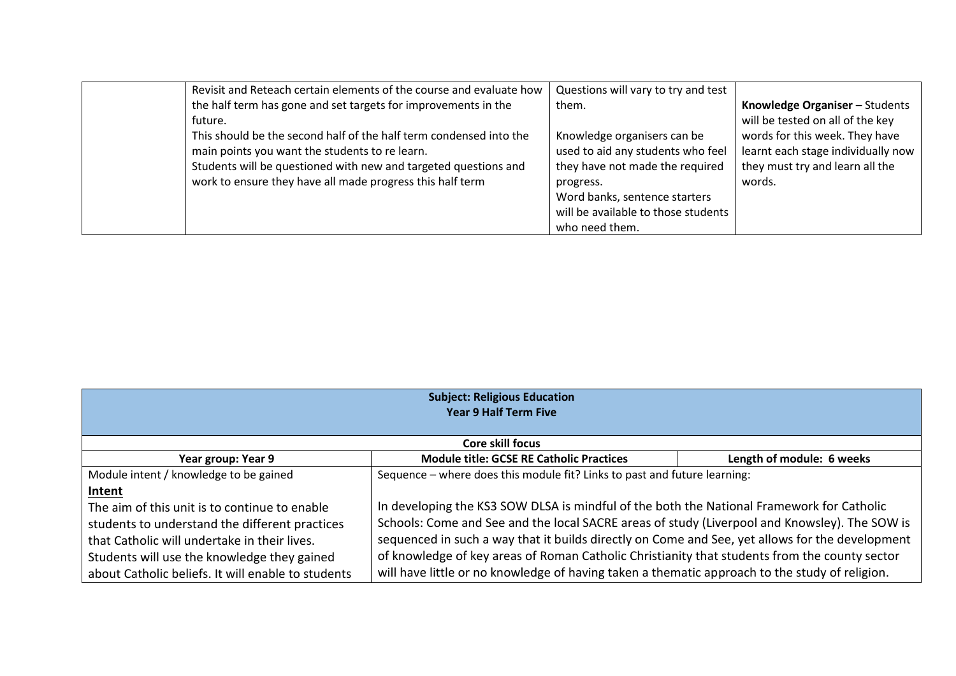| Revisit and Reteach certain elements of the course and evaluate how | Questions will vary to try and test |                                    |
|---------------------------------------------------------------------|-------------------------------------|------------------------------------|
| the half term has gone and set targets for improvements in the      | them.                               | Knowledge Organiser - Students     |
| future.                                                             |                                     | will be tested on all of the key   |
| This should be the second half of the half term condensed into the  | Knowledge organisers can be         | words for this week. They have     |
| main points you want the students to re learn.                      | used to aid any students who feel   | learnt each stage individually now |
| Students will be questioned with new and targeted questions and     | they have not made the required     | they must try and learn all the    |
| work to ensure they have all made progress this half term           | progress.                           | words.                             |
|                                                                     | Word banks, sentence starters       |                                    |
|                                                                     | will be available to those students |                                    |
|                                                                     | who need them.                      |                                    |

| <b>Subject: Religious Education</b><br><b>Year 9 Half Term Five</b>                                                                                        |                                                                                                                                                                                                                                                                                                    |                           |  |
|------------------------------------------------------------------------------------------------------------------------------------------------------------|----------------------------------------------------------------------------------------------------------------------------------------------------------------------------------------------------------------------------------------------------------------------------------------------------|---------------------------|--|
| <b>Core skill focus</b>                                                                                                                                    |                                                                                                                                                                                                                                                                                                    |                           |  |
| Year group: Year 9                                                                                                                                         | <b>Module title: GCSE RE Catholic Practices</b>                                                                                                                                                                                                                                                    | Length of module: 6 weeks |  |
| Module intent / knowledge to be gained<br><b>Intent</b><br>The aim of this unit is to continue to enable<br>students to understand the different practices | Sequence - where does this module fit? Links to past and future learning:<br>In developing the KS3 SOW DLSA is mindful of the both the National Framework for Catholic<br>Schools: Come and See and the local SACRE areas of study (Liverpool and Knowsley). The SOW is                            |                           |  |
| that Catholic will undertake in their lives.<br>Students will use the knowledge they gained<br>about Catholic beliefs. It will enable to students          | sequenced in such a way that it builds directly on Come and See, yet allows for the development<br>of knowledge of key areas of Roman Catholic Christianity that students from the county sector<br>will have little or no knowledge of having taken a thematic approach to the study of religion. |                           |  |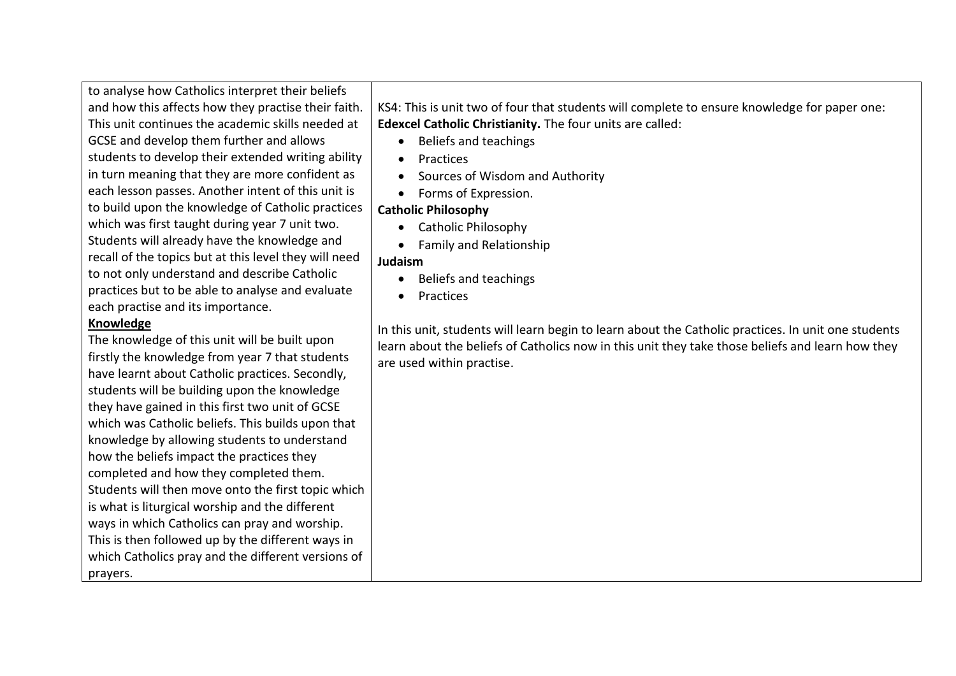to analyse how Catholics interpret their beliefs and how this affects how they practise their faith. This unit continues the academic skills needed at GCSE and develop them further and allows students to develop their extended writing ability in turn meaning that they are more confident as each lesson passes. Another intent of this unit is to build upon the knowledge of Catholic practices which was first taught during year 7 unit two. Students will already have the knowledge and recall of the topics but at this level they will need to not only understand and describe Catholic practices but to be able to analyse and evaluate each practise and its importance.

#### **Knowledge**

The knowledge of this unit will be built upon firstly the knowledge from year 7 that students have learnt about Catholic practices. Secondly, students will be building upon the knowledge they have gained in this first two unit of GCSE which was Catholic beliefs. This builds upon that knowledge by allowing students to understand how the beliefs impact the practices they completed and how they completed them. Students will then move onto the first topic which is what is liturgical worship and the different ways in which Catholics can pray and worship. This is then followed up by the different ways in which Catholics pray and the different versions of prayers.

KS4: This is unit two of four that students will complete to ensure knowledge for paper one: **Edexcel Catholic Christianity.** The four units are called:

- Beliefs and teachings
- Practices
- Sources of Wisdom and Authority
- Forms of Expression.

## **Catholic Philosophy**

- Catholic Philosophy
- Family and Relationship

## **Judaism**

- Beliefs and teachings
- Practices

In this unit, students will learn begin to learn about the Catholic practices. In unit one students learn about the beliefs of Catholics now in this unit they take those beliefs and learn how they are used within practise.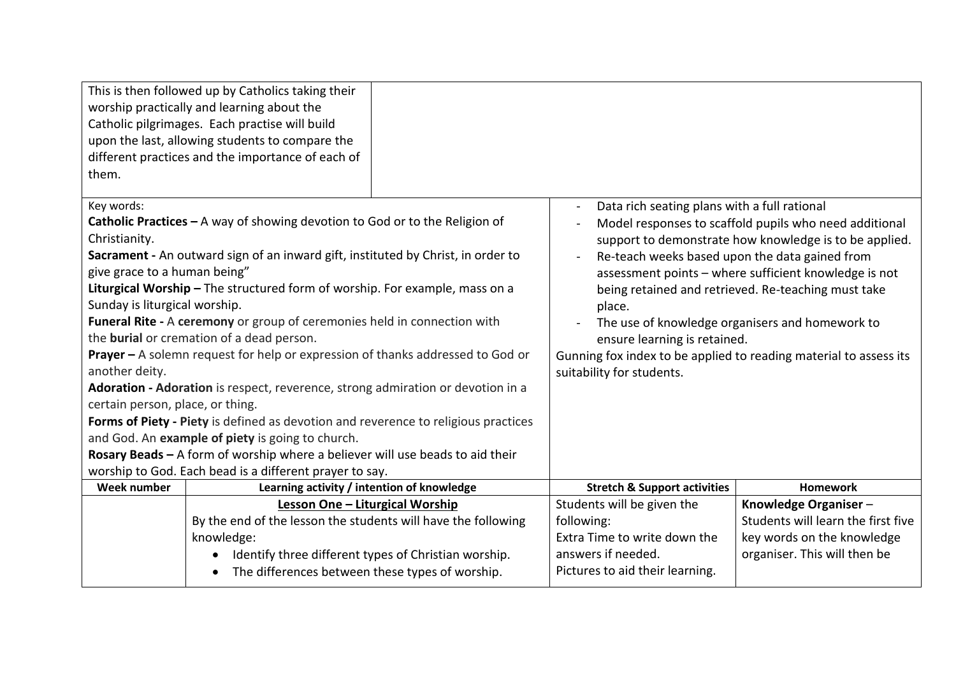| them.                                                                                                                                                                                                                                                                                                                                                                                                                                                                                                                                                                                                                                                                                                                                                                                                                                                                                                                                         | This is then followed up by Catholics taking their<br>worship practically and learning about the<br>Catholic pilgrimages. Each practise will build<br>upon the last, allowing students to compare the<br>different practices and the importance of each of |                                                                                                                                                                                                                                            |                                                                                                                                                                                                                                                                                     |                                                                                                                          |
|-----------------------------------------------------------------------------------------------------------------------------------------------------------------------------------------------------------------------------------------------------------------------------------------------------------------------------------------------------------------------------------------------------------------------------------------------------------------------------------------------------------------------------------------------------------------------------------------------------------------------------------------------------------------------------------------------------------------------------------------------------------------------------------------------------------------------------------------------------------------------------------------------------------------------------------------------|------------------------------------------------------------------------------------------------------------------------------------------------------------------------------------------------------------------------------------------------------------|--------------------------------------------------------------------------------------------------------------------------------------------------------------------------------------------------------------------------------------------|-------------------------------------------------------------------------------------------------------------------------------------------------------------------------------------------------------------------------------------------------------------------------------------|--------------------------------------------------------------------------------------------------------------------------|
| Key words:<br>Catholic Practices $-$ A way of showing devotion to God or to the Religion of<br>Christianity.<br>Sacrament - An outward sign of an inward gift, instituted by Christ, in order to<br>give grace to a human being"<br>Liturgical Worship - The structured form of worship. For example, mass on a<br>Sunday is liturgical worship.<br>Funeral Rite - A ceremony or group of ceremonies held in connection with<br>the <b>burial</b> or cremation of a dead person.<br><b>Prayer -</b> A solemn request for help or expression of thanks addressed to God or<br>another deity.<br>Adoration - Adoration is respect, reverence, strong admiration or devotion in a<br>certain person, place, or thing.<br>Forms of Piety - Piety is defined as devotion and reverence to religious practices<br>and God. An example of piety is going to church.<br>Rosary Beads - A form of worship where a believer will use beads to aid their |                                                                                                                                                                                                                                                            | Data rich seating plans with a full rational<br>Re-teach weeks based upon the data gained from<br>place.<br>ensure learning is retained.<br>Gunning fox index to be applied to reading material to assess its<br>suitability for students. | Model responses to scaffold pupils who need additional<br>support to demonstrate how knowledge is to be applied.<br>assessment points - where sufficient knowledge is not<br>being retained and retrieved. Re-teaching must take<br>The use of knowledge organisers and homework to |                                                                                                                          |
| <b>Week number</b>                                                                                                                                                                                                                                                                                                                                                                                                                                                                                                                                                                                                                                                                                                                                                                                                                                                                                                                            | worship to God. Each bead is a different prayer to say.<br>Learning activity / intention of knowledge                                                                                                                                                      |                                                                                                                                                                                                                                            | <b>Stretch &amp; Support activities</b>                                                                                                                                                                                                                                             | <b>Homework</b>                                                                                                          |
|                                                                                                                                                                                                                                                                                                                                                                                                                                                                                                                                                                                                                                                                                                                                                                                                                                                                                                                                               | Lesson One - Liturgical Worship<br>By the end of the lesson the students will have the following<br>knowledge:<br>Identify three different types of Christian worship.<br>The differences between these types of worship.                                  |                                                                                                                                                                                                                                            | Students will be given the<br>following:<br>Extra Time to write down the<br>answers if needed.<br>Pictures to aid their learning.                                                                                                                                                   | Knowledge Organiser-<br>Students will learn the first five<br>key words on the knowledge<br>organiser. This will then be |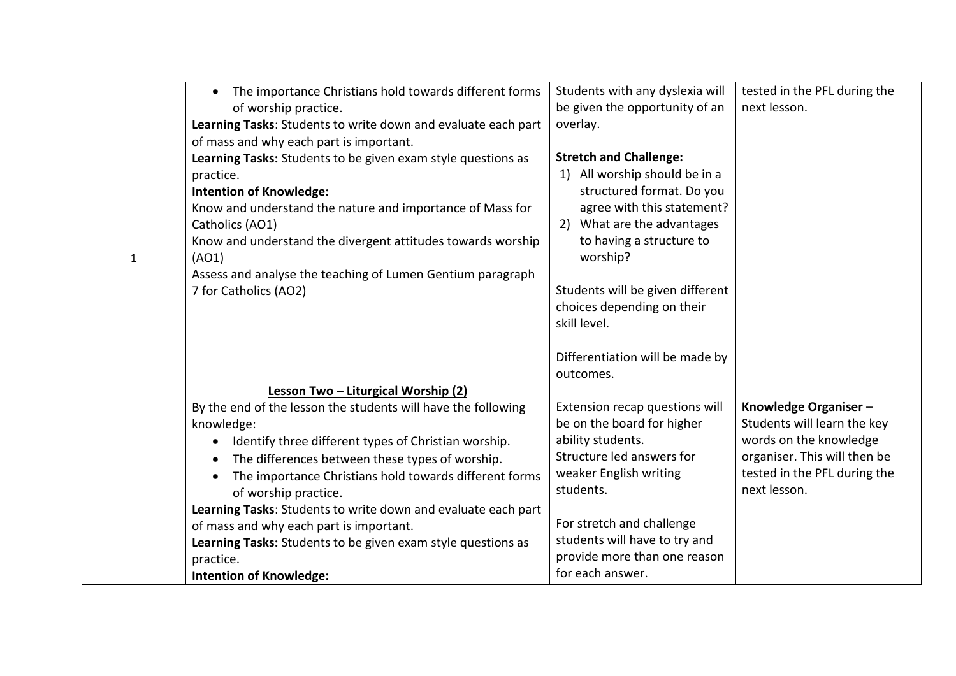|   | The importance Christians hold towards different forms<br>$\bullet$ | Students with any dyslexia will  | tested in the PFL during the |
|---|---------------------------------------------------------------------|----------------------------------|------------------------------|
|   | of worship practice.                                                | be given the opportunity of an   | next lesson.                 |
|   | Learning Tasks: Students to write down and evaluate each part       | overlay.                         |                              |
|   | of mass and why each part is important.                             |                                  |                              |
|   | Learning Tasks: Students to be given exam style questions as        | <b>Stretch and Challenge:</b>    |                              |
|   | practice.                                                           | 1) All worship should be in a    |                              |
|   | <b>Intention of Knowledge:</b>                                      | structured format. Do you        |                              |
|   | Know and understand the nature and importance of Mass for           | agree with this statement?       |                              |
|   | Catholics (AO1)                                                     | 2) What are the advantages       |                              |
|   | Know and understand the divergent attitudes towards worship         | to having a structure to         |                              |
| 1 | (AO1)                                                               | worship?                         |                              |
|   | Assess and analyse the teaching of Lumen Gentium paragraph          |                                  |                              |
|   | 7 for Catholics (AO2)                                               | Students will be given different |                              |
|   |                                                                     | choices depending on their       |                              |
|   |                                                                     | skill level.                     |                              |
|   |                                                                     |                                  |                              |
|   |                                                                     | Differentiation will be made by  |                              |
|   |                                                                     | outcomes.                        |                              |
|   | Lesson Two - Liturgical Worship (2)                                 |                                  |                              |
|   | By the end of the lesson the students will have the following       | Extension recap questions will   | Knowledge Organiser-         |
|   | knowledge:                                                          | be on the board for higher       | Students will learn the key  |
|   | Identify three different types of Christian worship.<br>$\bullet$   | ability students.                | words on the knowledge       |
|   | The differences between these types of worship.<br>$\bullet$        | Structure led answers for        | organiser. This will then be |
|   | The importance Christians hold towards different forms<br>$\bullet$ | weaker English writing           | tested in the PFL during the |
|   | of worship practice.                                                | students.                        | next lesson.                 |
|   | Learning Tasks: Students to write down and evaluate each part       |                                  |                              |
|   | of mass and why each part is important.                             | For stretch and challenge        |                              |
|   | Learning Tasks: Students to be given exam style questions as        | students will have to try and    |                              |
|   | practice.                                                           | provide more than one reason     |                              |
|   | <b>Intention of Knowledge:</b>                                      | for each answer.                 |                              |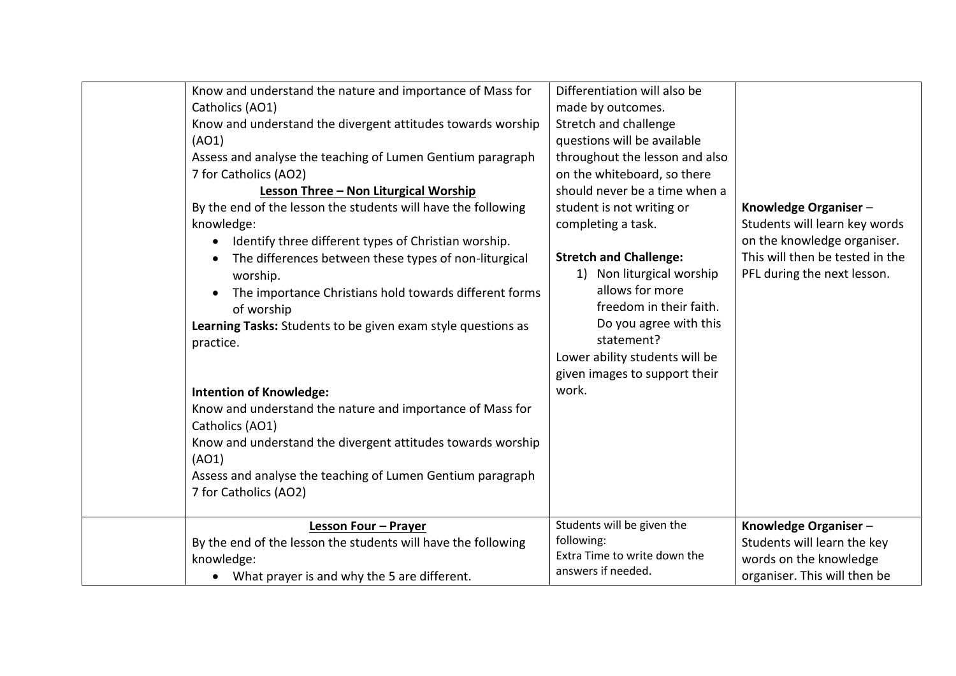| Know and understand the nature and importance of Mass for<br>Catholics (AO1)<br>Know and understand the divergent attitudes towards worship<br>(AO1)<br>Assess and analyse the teaching of Lumen Gentium paragraph<br>7 for Catholics (AO2)<br>Lesson Three - Non Liturgical Worship<br>By the end of the lesson the students will have the following<br>knowledge:<br>Identify three different types of Christian worship.<br>$\bullet$<br>The differences between these types of non-liturgical<br>$\bullet$<br>worship.<br>The importance Christians hold towards different forms<br>$\bullet$<br>of worship<br>Learning Tasks: Students to be given exam style questions as<br>practice.<br><b>Intention of Knowledge:</b><br>Know and understand the nature and importance of Mass for<br>Catholics (AO1)<br>Know and understand the divergent attitudes towards worship<br>(AO1)<br>Assess and analyse the teaching of Lumen Gentium paragraph<br>7 for Catholics (AO2) | Differentiation will also be<br>made by outcomes.<br>Stretch and challenge<br>questions will be available<br>throughout the lesson and also<br>on the whiteboard, so there<br>should never be a time when a<br>student is not writing or<br>Knowledge Organiser-<br>completing a task.<br>Students will learn key words<br>on the knowledge organiser.<br>This will then be tested in the<br><b>Stretch and Challenge:</b><br>1) Non liturgical worship<br>PFL during the next lesson.<br>allows for more<br>freedom in their faith.<br>Do you agree with this<br>statement?<br>Lower ability students will be<br>given images to support their<br>work. |
|-------------------------------------------------------------------------------------------------------------------------------------------------------------------------------------------------------------------------------------------------------------------------------------------------------------------------------------------------------------------------------------------------------------------------------------------------------------------------------------------------------------------------------------------------------------------------------------------------------------------------------------------------------------------------------------------------------------------------------------------------------------------------------------------------------------------------------------------------------------------------------------------------------------------------------------------------------------------------------|----------------------------------------------------------------------------------------------------------------------------------------------------------------------------------------------------------------------------------------------------------------------------------------------------------------------------------------------------------------------------------------------------------------------------------------------------------------------------------------------------------------------------------------------------------------------------------------------------------------------------------------------------------|
| Lesson Four - Prayer<br>By the end of the lesson the students will have the following<br>knowledge:<br>What prayer is and why the 5 are different.                                                                                                                                                                                                                                                                                                                                                                                                                                                                                                                                                                                                                                                                                                                                                                                                                            | Students will be given the<br>Knowledge Organiser-<br>following:<br>Students will learn the key<br>Extra Time to write down the<br>words on the knowledge<br>answers if needed.<br>organiser. This will then be                                                                                                                                                                                                                                                                                                                                                                                                                                          |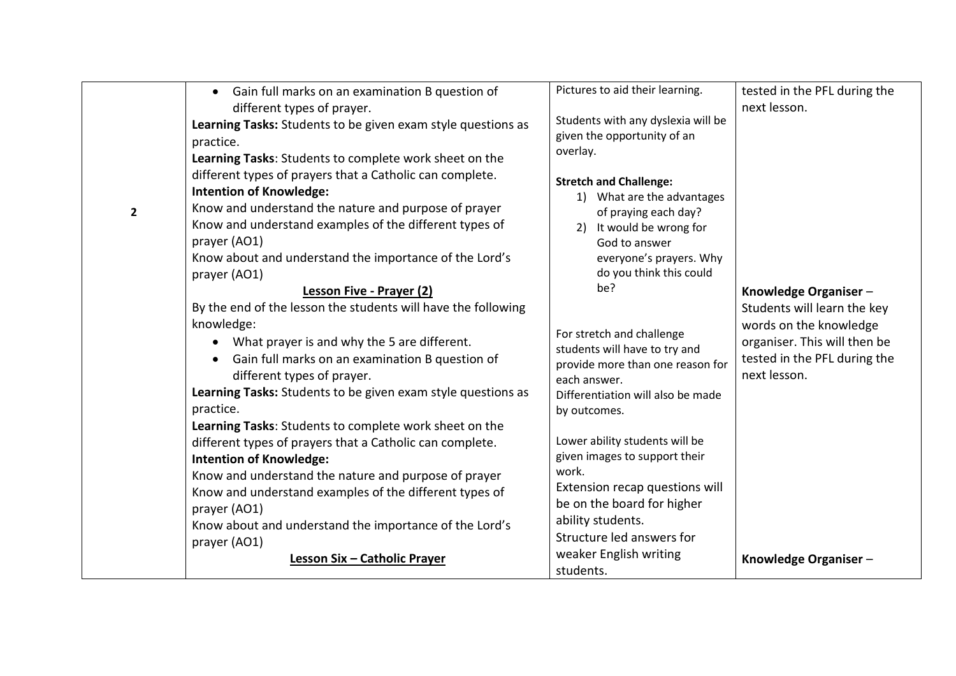| $\overline{2}$ | Gain full marks on an examination B question of<br>$\bullet$<br>different types of prayer.<br>Learning Tasks: Students to be given exam style questions as<br>practice.<br>Learning Tasks: Students to complete work sheet on the<br>different types of prayers that a Catholic can complete.<br><b>Intention of Knowledge:</b><br>Know and understand the nature and purpose of prayer<br>Know and understand examples of the different types of<br>prayer (AO1)<br>Know about and understand the importance of the Lord's<br>prayer (AO1)<br><b>Lesson Five - Prayer (2)</b><br>By the end of the lesson the students will have the following<br>knowledge:<br>What prayer is and why the 5 are different.<br>$\bullet$<br>Gain full marks on an examination B question of<br>different types of prayer.<br>Learning Tasks: Students to be given exam style questions as<br>practice.<br>Learning Tasks: Students to complete work sheet on the<br>different types of prayers that a Catholic can complete.<br><b>Intention of Knowledge:</b><br>Know and understand the nature and purpose of prayer<br>Know and understand examples of the different types of<br>prayer (AO1)<br>Know about and understand the importance of the Lord's | Pictures to aid their learning.<br>Students with any dyslexia will be<br>given the opportunity of an<br>overlay.<br><b>Stretch and Challenge:</b><br>1) What are the advantages<br>of praying each day?<br>It would be wrong for<br>2)<br>God to answer<br>everyone's prayers. Why<br>do you think this could<br>be?<br>For stretch and challenge<br>students will have to try and<br>provide more than one reason for<br>each answer.<br>Differentiation will also be made<br>by outcomes.<br>Lower ability students will be<br>given images to support their<br>work.<br>Extension recap questions will<br>be on the board for higher<br>ability students. | tested in the PFL during the<br>next lesson.<br>Knowledge Organiser-<br>Students will learn the key<br>words on the knowledge<br>organiser. This will then be<br>tested in the PFL during the<br>next lesson. |
|----------------|---------------------------------------------------------------------------------------------------------------------------------------------------------------------------------------------------------------------------------------------------------------------------------------------------------------------------------------------------------------------------------------------------------------------------------------------------------------------------------------------------------------------------------------------------------------------------------------------------------------------------------------------------------------------------------------------------------------------------------------------------------------------------------------------------------------------------------------------------------------------------------------------------------------------------------------------------------------------------------------------------------------------------------------------------------------------------------------------------------------------------------------------------------------------------------------------------------------------------------------------|--------------------------------------------------------------------------------------------------------------------------------------------------------------------------------------------------------------------------------------------------------------------------------------------------------------------------------------------------------------------------------------------------------------------------------------------------------------------------------------------------------------------------------------------------------------------------------------------------------------------------------------------------------------|---------------------------------------------------------------------------------------------------------------------------------------------------------------------------------------------------------------|
|                | prayer (AO1)<br>Lesson Six - Catholic Prayer                                                                                                                                                                                                                                                                                                                                                                                                                                                                                                                                                                                                                                                                                                                                                                                                                                                                                                                                                                                                                                                                                                                                                                                                | Structure led answers for<br>weaker English writing<br>students.                                                                                                                                                                                                                                                                                                                                                                                                                                                                                                                                                                                             | Knowledge Organiser-                                                                                                                                                                                          |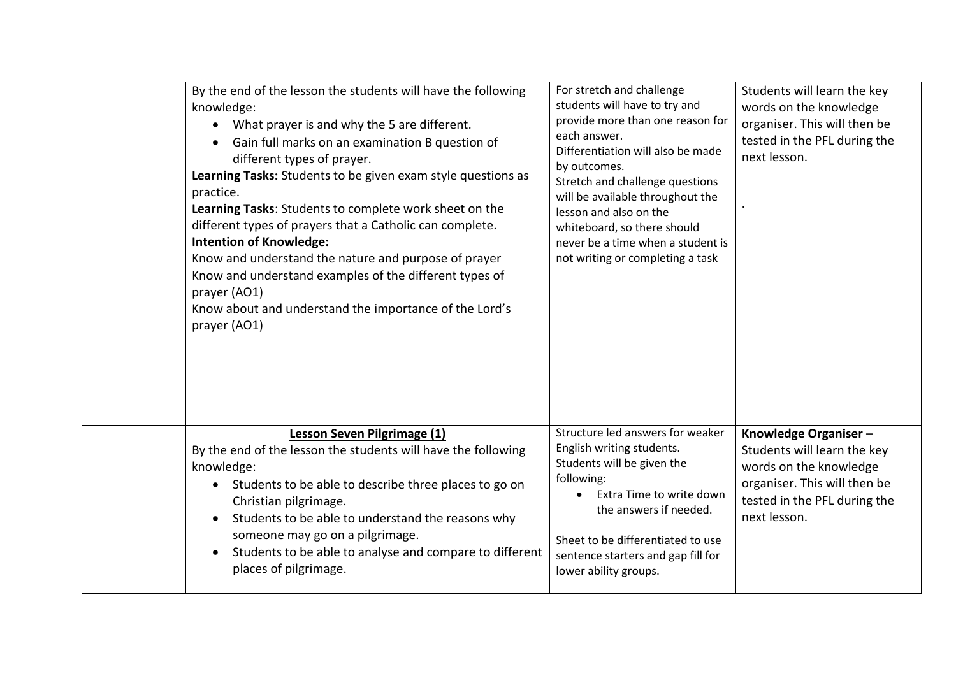| By the end of the lesson the students will have the following<br>knowledge:<br>What prayer is and why the 5 are different.<br>Gain full marks on an examination B question of<br>$\bullet$<br>different types of prayer.<br>Learning Tasks: Students to be given exam style questions as<br>practice.<br>Learning Tasks: Students to complete work sheet on the<br>different types of prayers that a Catholic can complete.<br><b>Intention of Knowledge:</b><br>Know and understand the nature and purpose of prayer<br>Know and understand examples of the different types of<br>prayer (AO1)<br>Know about and understand the importance of the Lord's<br>prayer (AO1) | For stretch and challenge<br>students will have to try and<br>provide more than one reason for<br>each answer.<br>Differentiation will also be made<br>by outcomes.<br>Stretch and challenge questions<br>will be available throughout the<br>lesson and also on the<br>whiteboard, so there should<br>never be a time when a student is<br>not writing or completing a task | Students will learn the key<br>words on the knowledge<br>organiser. This will then be<br>tested in the PFL during the<br>next lesson.                         |
|---------------------------------------------------------------------------------------------------------------------------------------------------------------------------------------------------------------------------------------------------------------------------------------------------------------------------------------------------------------------------------------------------------------------------------------------------------------------------------------------------------------------------------------------------------------------------------------------------------------------------------------------------------------------------|------------------------------------------------------------------------------------------------------------------------------------------------------------------------------------------------------------------------------------------------------------------------------------------------------------------------------------------------------------------------------|---------------------------------------------------------------------------------------------------------------------------------------------------------------|
| Lesson Seven Pilgrimage (1)<br>By the end of the lesson the students will have the following<br>knowledge:<br>Students to be able to describe three places to go on<br>$\bullet$<br>Christian pilgrimage.<br>Students to be able to understand the reasons why<br>$\bullet$<br>someone may go on a pilgrimage.<br>Students to be able to analyse and compare to different<br>$\bullet$<br>places of pilgrimage.                                                                                                                                                                                                                                                           | Structure led answers for weaker<br>English writing students.<br>Students will be given the<br>following:<br>Extra Time to write down<br>the answers if needed.<br>Sheet to be differentiated to use<br>sentence starters and gap fill for<br>lower ability groups.                                                                                                          | Knowledge Organiser-<br>Students will learn the key<br>words on the knowledge<br>organiser. This will then be<br>tested in the PFL during the<br>next lesson. |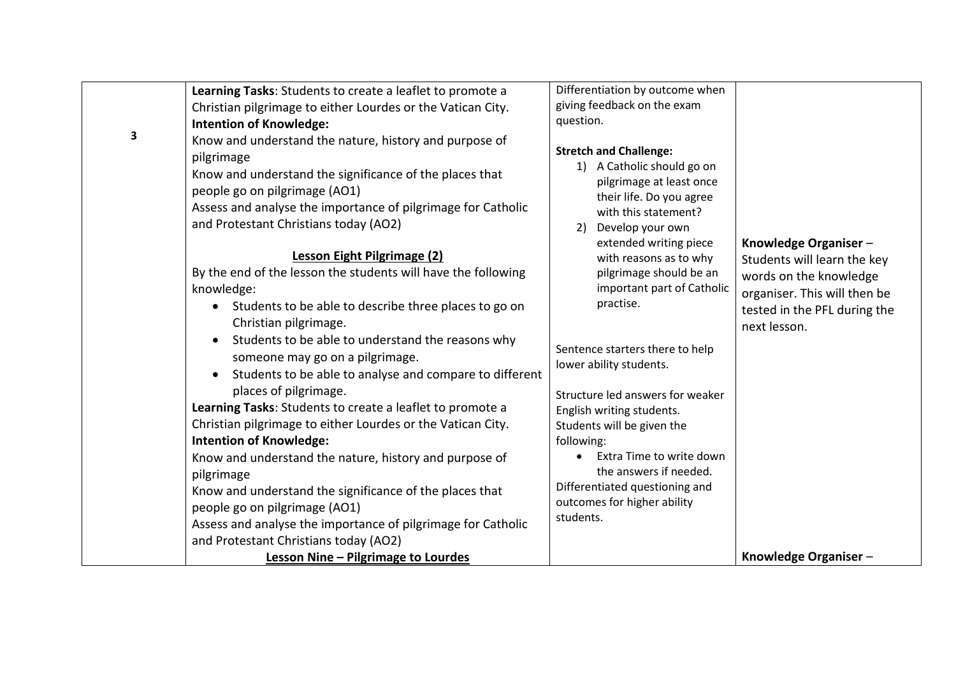|   | Learning Tasks: Students to create a leaflet to promote a                                                                                                                                                                                                                                                | Differentiation by outcome when                                                                                                                                                                                           |                                                                                                        |
|---|----------------------------------------------------------------------------------------------------------------------------------------------------------------------------------------------------------------------------------------------------------------------------------------------------------|---------------------------------------------------------------------------------------------------------------------------------------------------------------------------------------------------------------------------|--------------------------------------------------------------------------------------------------------|
|   | Christian pilgrimage to either Lourdes or the Vatican City.                                                                                                                                                                                                                                              | giving feedback on the exam                                                                                                                                                                                               |                                                                                                        |
|   | <b>Intention of Knowledge:</b>                                                                                                                                                                                                                                                                           | question.                                                                                                                                                                                                                 |                                                                                                        |
| 3 | Know and understand the nature, history and purpose of<br>pilgrimage<br>Know and understand the significance of the places that<br>people go on pilgrimage (AO1)<br>Assess and analyse the importance of pilgrimage for Catholic<br>and Protestant Christians today (AO2)<br>Lesson Eight Pilgrimage (2) | <b>Stretch and Challenge:</b><br>1) A Catholic should go on<br>pilgrimage at least once<br>their life. Do you agree<br>with this statement?<br>Develop your own<br>2)<br>extended writing piece<br>with reasons as to why | Knowledge Organiser -<br>Students will learn the key                                                   |
|   | By the end of the lesson the students will have the following<br>knowledge:<br>Students to be able to describe three places to go on<br>Christian pilgrimage.                                                                                                                                            | pilgrimage should be an<br>important part of Catholic<br>practise.                                                                                                                                                        | words on the knowledge<br>organiser. This will then be<br>tested in the PFL during the<br>next lesson. |
|   | Students to be able to understand the reasons why<br>$\bullet$<br>someone may go on a pilgrimage.<br>Students to be able to analyse and compare to different<br>$\bullet$                                                                                                                                | Sentence starters there to help<br>lower ability students.                                                                                                                                                                |                                                                                                        |
|   | places of pilgrimage.<br>Learning Tasks: Students to create a leaflet to promote a<br>Christian pilgrimage to either Lourdes or the Vatican City.                                                                                                                                                        | Structure led answers for weaker<br>English writing students.<br>Students will be given the                                                                                                                               |                                                                                                        |
|   | <b>Intention of Knowledge:</b>                                                                                                                                                                                                                                                                           | following:                                                                                                                                                                                                                |                                                                                                        |
|   | Know and understand the nature, history and purpose of<br>pilgrimage                                                                                                                                                                                                                                     | Extra Time to write down<br>the answers if needed.                                                                                                                                                                        |                                                                                                        |
|   | Know and understand the significance of the places that<br>people go on pilgrimage (AO1)                                                                                                                                                                                                                 | Differentiated questioning and<br>outcomes for higher ability<br>students.                                                                                                                                                |                                                                                                        |
|   | Assess and analyse the importance of pilgrimage for Catholic<br>and Protestant Christians today (AO2)                                                                                                                                                                                                    |                                                                                                                                                                                                                           |                                                                                                        |
|   | Lesson Nine - Pilgrimage to Lourdes                                                                                                                                                                                                                                                                      |                                                                                                                                                                                                                           | Knowledge Organiser-                                                                                   |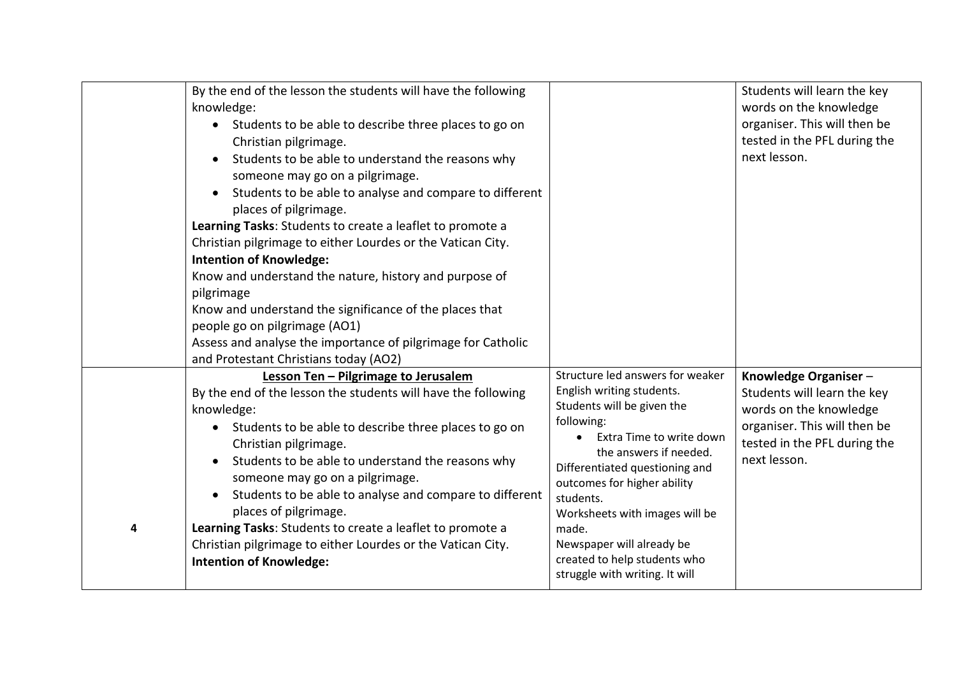|   | By the end of the lesson the students will have the following                                 |                                                               | Students will learn the key                  |
|---|-----------------------------------------------------------------------------------------------|---------------------------------------------------------------|----------------------------------------------|
|   | knowledge:                                                                                    |                                                               | words on the knowledge                       |
|   | • Students to be able to describe three places to go on                                       |                                                               | organiser. This will then be                 |
|   | Christian pilgrimage.                                                                         |                                                               | tested in the PFL during the                 |
|   | Students to be able to understand the reasons why                                             |                                                               | next lesson.                                 |
|   | someone may go on a pilgrimage.                                                               |                                                               |                                              |
|   | Students to be able to analyse and compare to different<br>$\bullet$                          |                                                               |                                              |
|   | places of pilgrimage.                                                                         |                                                               |                                              |
|   | Learning Tasks: Students to create a leaflet to promote a                                     |                                                               |                                              |
|   | Christian pilgrimage to either Lourdes or the Vatican City.                                   |                                                               |                                              |
|   | <b>Intention of Knowledge:</b>                                                                |                                                               |                                              |
|   | Know and understand the nature, history and purpose of                                        |                                                               |                                              |
|   | pilgrimage                                                                                    |                                                               |                                              |
|   | Know and understand the significance of the places that                                       |                                                               |                                              |
|   | people go on pilgrimage (AO1)                                                                 |                                                               |                                              |
|   | Assess and analyse the importance of pilgrimage for Catholic                                  |                                                               |                                              |
|   | and Protestant Christians today (AO2)                                                         |                                                               |                                              |
|   | Lesson Ten - Pilgrimage to Jerusalem                                                          | Structure led answers for weaker<br>English writing students. | Knowledge Organiser-                         |
|   | By the end of the lesson the students will have the following                                 | Students will be given the                                    | Students will learn the key                  |
|   | knowledge:                                                                                    | following:                                                    | words on the knowledge                       |
|   | • Students to be able to describe three places to go on                                       | Extra Time to write down                                      | organiser. This will then be                 |
|   | Christian pilgrimage.                                                                         | the answers if needed.                                        | tested in the PFL during the<br>next lesson. |
|   | Students to be able to understand the reasons why                                             | Differentiated questioning and                                |                                              |
|   | someone may go on a pilgrimage.                                                               | outcomes for higher ability                                   |                                              |
|   | Students to be able to analyse and compare to different                                       | students.                                                     |                                              |
| 4 | places of pilgrimage.                                                                         | Worksheets with images will be<br>made.                       |                                              |
|   | Learning Tasks: Students to create a leaflet to promote a                                     | Newspaper will already be                                     |                                              |
|   | Christian pilgrimage to either Lourdes or the Vatican City.<br><b>Intention of Knowledge:</b> | created to help students who                                  |                                              |
|   |                                                                                               | struggle with writing. It will                                |                                              |
|   |                                                                                               |                                                               |                                              |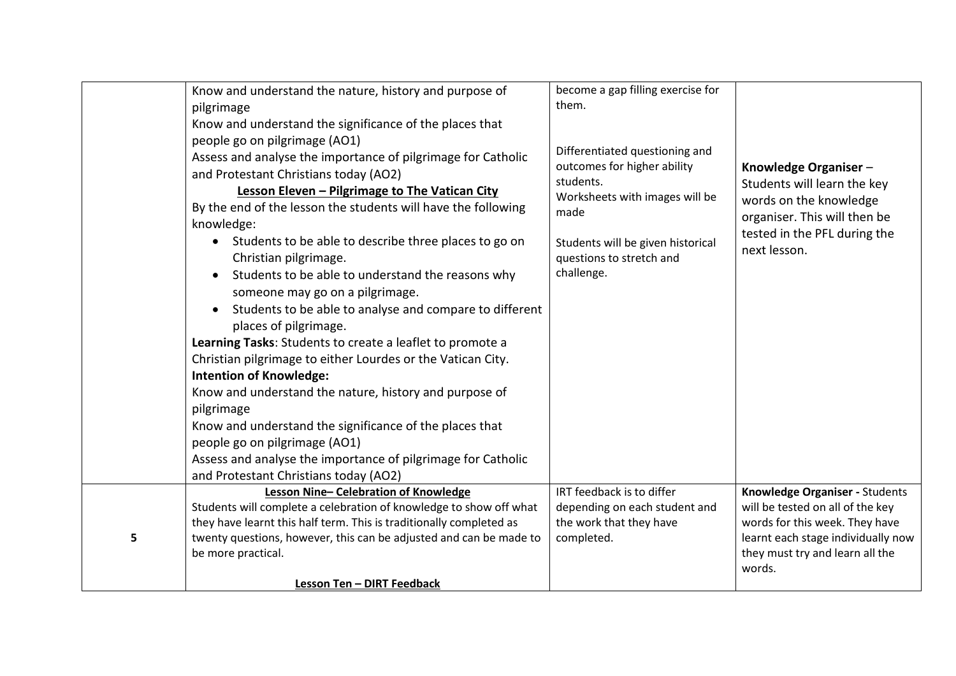|   | Know and understand the nature, history and purpose of<br>pilgrimage<br>Know and understand the significance of the places that<br>people go on pilgrimage (AO1)<br>Assess and analyse the importance of pilgrimage for Catholic<br>and Protestant Christians today (AO2)<br>Lesson Eleven - Pilgrimage to The Vatican City<br>By the end of the lesson the students will have the following<br>knowledge:<br>• Students to be able to describe three places to go on<br>Christian pilgrimage.<br>Students to be able to understand the reasons why<br>$\bullet$<br>someone may go on a pilgrimage.<br>Students to be able to analyse and compare to different<br>$\bullet$<br>places of pilgrimage.<br>Learning Tasks: Students to create a leaflet to promote a<br>Christian pilgrimage to either Lourdes or the Vatican City. | become a gap filling exercise for<br>them.<br>Differentiated questioning and<br>outcomes for higher ability<br>students.<br>Worksheets with images will be<br>made<br>Students will be given historical<br>questions to stretch and<br>challenge. | Knowledge Organiser-<br>Students will learn the key<br>words on the knowledge<br>organiser. This will then be<br>tested in the PFL during the<br>next lesson. |
|---|----------------------------------------------------------------------------------------------------------------------------------------------------------------------------------------------------------------------------------------------------------------------------------------------------------------------------------------------------------------------------------------------------------------------------------------------------------------------------------------------------------------------------------------------------------------------------------------------------------------------------------------------------------------------------------------------------------------------------------------------------------------------------------------------------------------------------------|---------------------------------------------------------------------------------------------------------------------------------------------------------------------------------------------------------------------------------------------------|---------------------------------------------------------------------------------------------------------------------------------------------------------------|
|   | Know and understand the nature, history and purpose of<br>pilgrimage<br>Know and understand the significance of the places that<br>people go on pilgrimage (AO1)<br>Assess and analyse the importance of pilgrimage for Catholic<br>and Protestant Christians today (AO2)<br>Lesson Nine-Celebration of Knowledge                                                                                                                                                                                                                                                                                                                                                                                                                                                                                                                | IRT feedback is to differ                                                                                                                                                                                                                         | Knowledge Organiser - Students                                                                                                                                |
| 5 | Students will complete a celebration of knowledge to show off what<br>they have learnt this half term. This is traditionally completed as<br>twenty questions, however, this can be adjusted and can be made to<br>be more practical.<br><b>Lesson Ten - DIRT Feedback</b>                                                                                                                                                                                                                                                                                                                                                                                                                                                                                                                                                       | depending on each student and<br>the work that they have<br>completed.                                                                                                                                                                            | will be tested on all of the key<br>words for this week. They have<br>learnt each stage individually now<br>they must try and learn all the<br>words.         |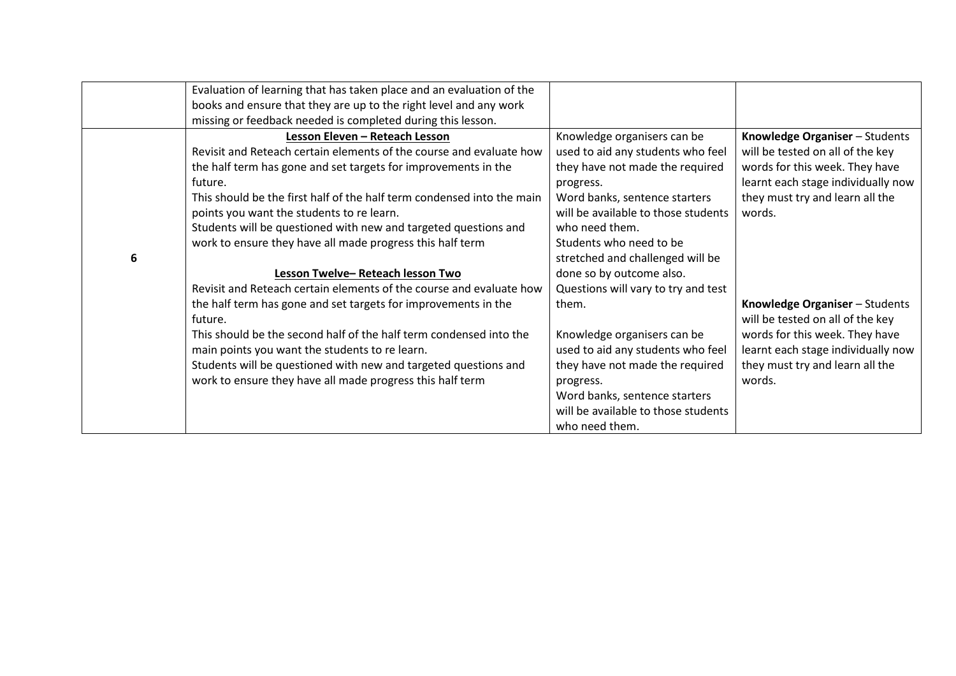|   | Evaluation of learning that has taken place and an evaluation of the   |                                     |                                    |
|---|------------------------------------------------------------------------|-------------------------------------|------------------------------------|
|   | books and ensure that they are up to the right level and any work      |                                     |                                    |
|   | missing or feedback needed is completed during this lesson.            |                                     |                                    |
|   | Lesson Eleven - Reteach Lesson                                         | Knowledge organisers can be         | Knowledge Organiser - Students     |
|   | Revisit and Reteach certain elements of the course and evaluate how    | used to aid any students who feel   | will be tested on all of the key   |
|   | the half term has gone and set targets for improvements in the         | they have not made the required     | words for this week. They have     |
|   | future.                                                                | progress.                           | learnt each stage individually now |
|   | This should be the first half of the half term condensed into the main | Word banks, sentence starters       | they must try and learn all the    |
|   | points you want the students to re learn.                              | will be available to those students | words.                             |
|   | Students will be questioned with new and targeted questions and        | who need them.                      |                                    |
|   | work to ensure they have all made progress this half term              | Students who need to be             |                                    |
| 6 |                                                                        | stretched and challenged will be    |                                    |
|   | Lesson Twelve-Reteach lesson Two                                       | done so by outcome also.            |                                    |
|   | Revisit and Reteach certain elements of the course and evaluate how    | Questions will vary to try and test |                                    |
|   | the half term has gone and set targets for improvements in the         | them.                               | Knowledge Organiser - Students     |
|   | future.                                                                |                                     | will be tested on all of the key   |
|   | This should be the second half of the half term condensed into the     | Knowledge organisers can be         | words for this week. They have     |
|   | main points you want the students to re learn.                         | used to aid any students who feel   | learnt each stage individually now |
|   | Students will be questioned with new and targeted questions and        | they have not made the required     | they must try and learn all the    |
|   | work to ensure they have all made progress this half term              | progress.                           | words.                             |
|   |                                                                        | Word banks, sentence starters       |                                    |
|   |                                                                        | will be available to those students |                                    |
|   |                                                                        | who need them.                      |                                    |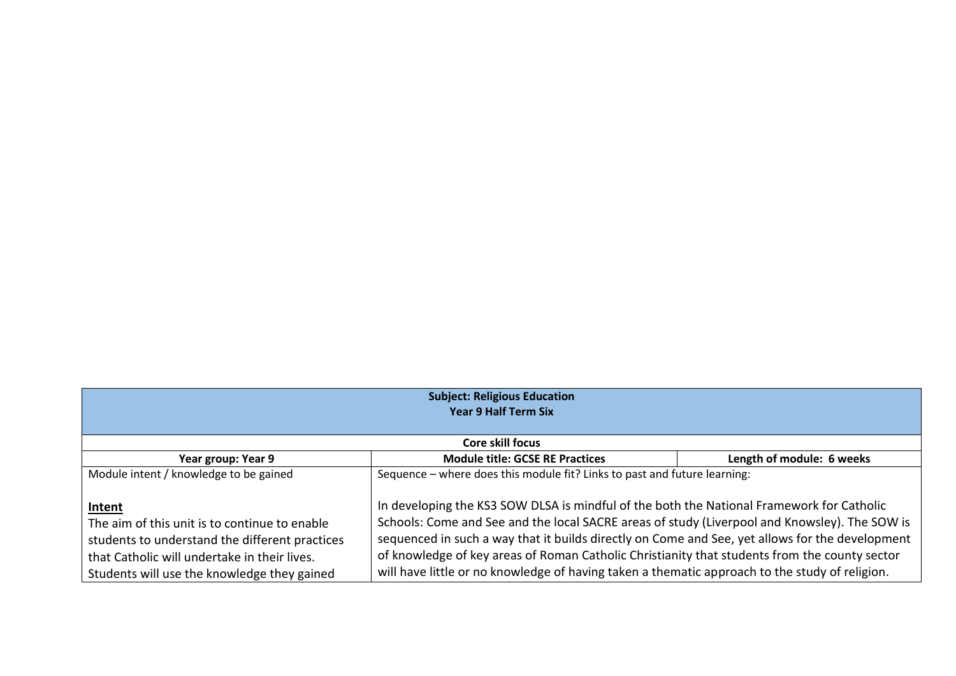| <b>Subject: Religious Education</b><br><b>Year 9 Half Term Six</b>                                                                                                                                                                                                                                                                                                                                                                                                                                                                                                                                                                                                                                                                |                                        |                                                                                                |  |
|-----------------------------------------------------------------------------------------------------------------------------------------------------------------------------------------------------------------------------------------------------------------------------------------------------------------------------------------------------------------------------------------------------------------------------------------------------------------------------------------------------------------------------------------------------------------------------------------------------------------------------------------------------------------------------------------------------------------------------------|----------------------------------------|------------------------------------------------------------------------------------------------|--|
| Core skill focus                                                                                                                                                                                                                                                                                                                                                                                                                                                                                                                                                                                                                                                                                                                  |                                        |                                                                                                |  |
| Year group: Year 9                                                                                                                                                                                                                                                                                                                                                                                                                                                                                                                                                                                                                                                                                                                | <b>Module title: GCSE RE Practices</b> | Length of module: 6 weeks                                                                      |  |
| Sequence - where does this module fit? Links to past and future learning:<br>Module intent / knowledge to be gained<br>In developing the KS3 SOW DLSA is mindful of the both the National Framework for Catholic<br>Intent<br>Schools: Come and See and the local SACRE areas of study (Liverpool and Knowsley). The SOW is<br>The aim of this unit is to continue to enable<br>sequenced in such a way that it builds directly on Come and See, yet allows for the development<br>students to understand the different practices<br>of knowledge of key areas of Roman Catholic Christianity that students from the county sector<br>that Catholic will undertake in their lives.<br>Students will use the knowledge they gained |                                        | will have little or no knowledge of having taken a thematic approach to the study of religion. |  |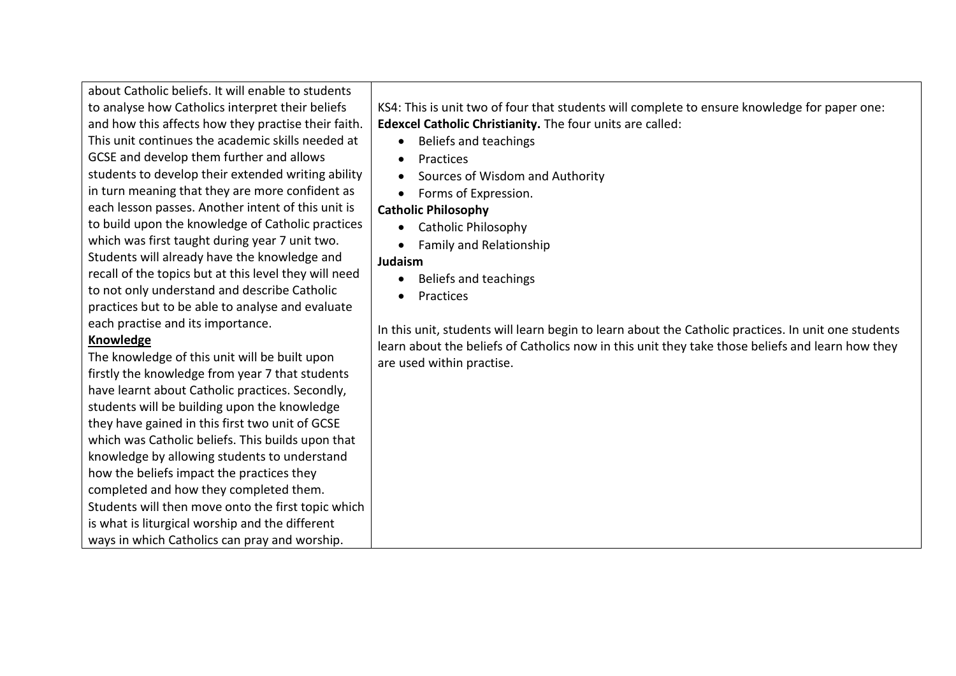about Catholic beliefs. It will enable to students to analyse how Catholics interpret their beliefs and how this affects how they practise their faith. This unit continues the academic skills needed at GCSE and develop them further and allows students to develop their extended writing ability in turn meaning that they are more confident as each lesson passes. Another intent of this unit is to build upon the knowledge of Catholic practices which was first taught during year 7 unit two. Students will already have the knowledge and recall of the topics but at this level they will need to not only understand and describe Catholic practices but to be able to analyse and evaluate each practise and its importance.

### **Knowledge**

The knowledge of this unit will be built upon firstly the knowledge from year 7 that students have learnt about Catholic practices. Secondly, students will be building upon the knowledge they have gained in this first two unit of GCSE which was Catholic beliefs. This builds upon that knowledge by allowing students to understand how the beliefs impact the practices they completed and how they completed them. Students will then move onto the first topic which is what is liturgical worship and the different ways in which Catholics can pray and worship.

KS4: This is unit two of four that students will complete to ensure knowledge for paper one: **Edexcel Catholic Christianity.** The four units are called:

- Beliefs and teachings
- Practices
- Sources of Wisdom and Authority
- Forms of Expression.

# **Catholic Philosophy**

- Catholic Philosophy
- Family and Relationship

## **Judaism**

- Beliefs and teachings
- Practices

In this unit, students will learn begin to learn about the Catholic practices. In unit one students learn about the beliefs of Catholics now in this unit they take those beliefs and learn how they are used within practise.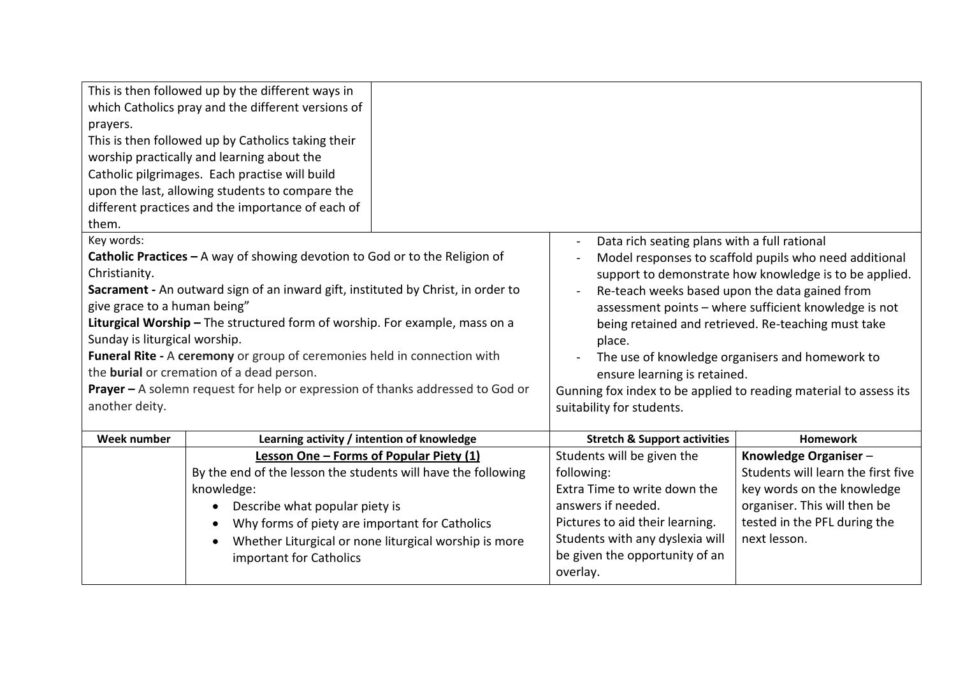|                                                                             | This is then followed up by the different ways in                                     |                                                       |                                                                   |                                                            |
|-----------------------------------------------------------------------------|---------------------------------------------------------------------------------------|-------------------------------------------------------|-------------------------------------------------------------------|------------------------------------------------------------|
|                                                                             | which Catholics pray and the different versions of                                    |                                                       |                                                                   |                                                            |
| prayers.                                                                    |                                                                                       |                                                       |                                                                   |                                                            |
| This is then followed up by Catholics taking their                          |                                                                                       |                                                       |                                                                   |                                                            |
|                                                                             | worship practically and learning about the                                            |                                                       |                                                                   |                                                            |
| Catholic pilgrimages. Each practise will build                              |                                                                                       |                                                       |                                                                   |                                                            |
|                                                                             | upon the last, allowing students to compare the                                       |                                                       |                                                                   |                                                            |
|                                                                             | different practices and the importance of each of                                     |                                                       |                                                                   |                                                            |
| them.                                                                       |                                                                                       |                                                       |                                                                   |                                                            |
| Key words:                                                                  |                                                                                       |                                                       | Data rich seating plans with a full rational                      |                                                            |
|                                                                             | <b>Catholic Practices - A way of showing devotion to God or to the Religion of</b>    |                                                       |                                                                   | Model responses to scaffold pupils who need additional     |
| Christianity.                                                               |                                                                                       |                                                       |                                                                   | support to demonstrate how knowledge is to be applied.     |
|                                                                             | Sacrament - An outward sign of an inward gift, instituted by Christ, in order to      |                                                       | Re-teach weeks based upon the data gained from                    |                                                            |
| give grace to a human being"                                                |                                                                                       |                                                       |                                                                   | assessment points - where sufficient knowledge is not      |
|                                                                             | Liturgical Worship - The structured form of worship. For example, mass on a           |                                                       |                                                                   | being retained and retrieved. Re-teaching must take        |
| Sunday is liturgical worship.                                               |                                                                                       |                                                       | place.                                                            |                                                            |
|                                                                             | Funeral Rite - A ceremony or group of ceremonies held in connection with              |                                                       | The use of knowledge organisers and homework to                   |                                                            |
|                                                                             | the <b>burial</b> or cremation of a dead person.                                      |                                                       | ensure learning is retained.                                      |                                                            |
|                                                                             | <b>Prayer -</b> A solemn request for help or expression of thanks addressed to God or |                                                       | Gunning fox index to be applied to reading material to assess its |                                                            |
| another deity.                                                              |                                                                                       |                                                       | suitability for students.                                         |                                                            |
| Week number                                                                 |                                                                                       |                                                       |                                                                   | <b>Homework</b>                                            |
|                                                                             | Learning activity / intention of knowledge                                            |                                                       | <b>Stretch &amp; Support activities</b>                           |                                                            |
|                                                                             | Lesson One - Forms of Popular Piety (1)                                               |                                                       | Students will be given the                                        | Knowledge Organiser-<br>Students will learn the first five |
| By the end of the lesson the students will have the following<br>knowledge: |                                                                                       |                                                       | following:<br>Extra Time to write down the                        | key words on the knowledge                                 |
|                                                                             |                                                                                       |                                                       | answers if needed.                                                | organiser. This will then be                               |
|                                                                             | Describe what popular piety is                                                        |                                                       | Pictures to aid their learning.                                   | tested in the PFL during the                               |
|                                                                             | Why forms of piety are important for Catholics                                        |                                                       | Students with any dyslexia will                                   | next lesson.                                               |
|                                                                             |                                                                                       | Whether Liturgical or none liturgical worship is more | be given the opportunity of an                                    |                                                            |
|                                                                             | important for Catholics                                                               |                                                       | overlay.                                                          |                                                            |
|                                                                             |                                                                                       |                                                       |                                                                   |                                                            |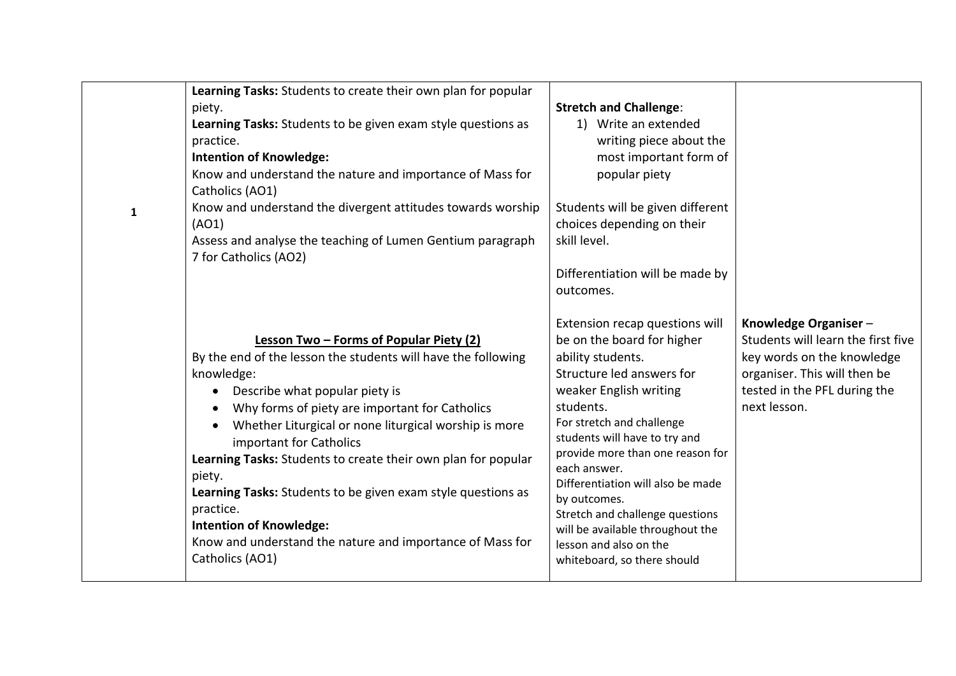| $\mathbf{1}$ | Learning Tasks: Students to create their own plan for popular<br>piety.<br>Learning Tasks: Students to be given exam style questions as<br>practice.<br><b>Intention of Knowledge:</b><br>Know and understand the nature and importance of Mass for<br>Catholics (AO1)<br>Know and understand the divergent attitudes towards worship<br>(AO1)<br>Assess and analyse the teaching of Lumen Gentium paragraph<br>7 for Catholics (AO2)                                                                                                                                    | <b>Stretch and Challenge:</b><br>1) Write an extended<br>writing piece about the<br>most important form of<br>popular piety<br>Students will be given different<br>choices depending on their<br>skill level.<br>Differentiation will be made by<br>outcomes.                                                                                                                                                                                                |                                                                                                                                                                          |
|--------------|--------------------------------------------------------------------------------------------------------------------------------------------------------------------------------------------------------------------------------------------------------------------------------------------------------------------------------------------------------------------------------------------------------------------------------------------------------------------------------------------------------------------------------------------------------------------------|--------------------------------------------------------------------------------------------------------------------------------------------------------------------------------------------------------------------------------------------------------------------------------------------------------------------------------------------------------------------------------------------------------------------------------------------------------------|--------------------------------------------------------------------------------------------------------------------------------------------------------------------------|
|              | Lesson Two - Forms of Popular Piety (2)<br>By the end of the lesson the students will have the following<br>knowledge:<br>Describe what popular piety is<br>Why forms of piety are important for Catholics<br>Whether Liturgical or none liturgical worship is more<br>important for Catholics<br>Learning Tasks: Students to create their own plan for popular<br>piety.<br>Learning Tasks: Students to be given exam style questions as<br>practice.<br><b>Intention of Knowledge:</b><br>Know and understand the nature and importance of Mass for<br>Catholics (AO1) | Extension recap questions will<br>be on the board for higher<br>ability students.<br>Structure led answers for<br>weaker English writing<br>students.<br>For stretch and challenge<br>students will have to try and<br>provide more than one reason for<br>each answer.<br>Differentiation will also be made<br>by outcomes.<br>Stretch and challenge questions<br>will be available throughout the<br>lesson and also on the<br>whiteboard, so there should | Knowledge Organiser-<br>Students will learn the first five<br>key words on the knowledge<br>organiser. This will then be<br>tested in the PFL during the<br>next lesson. |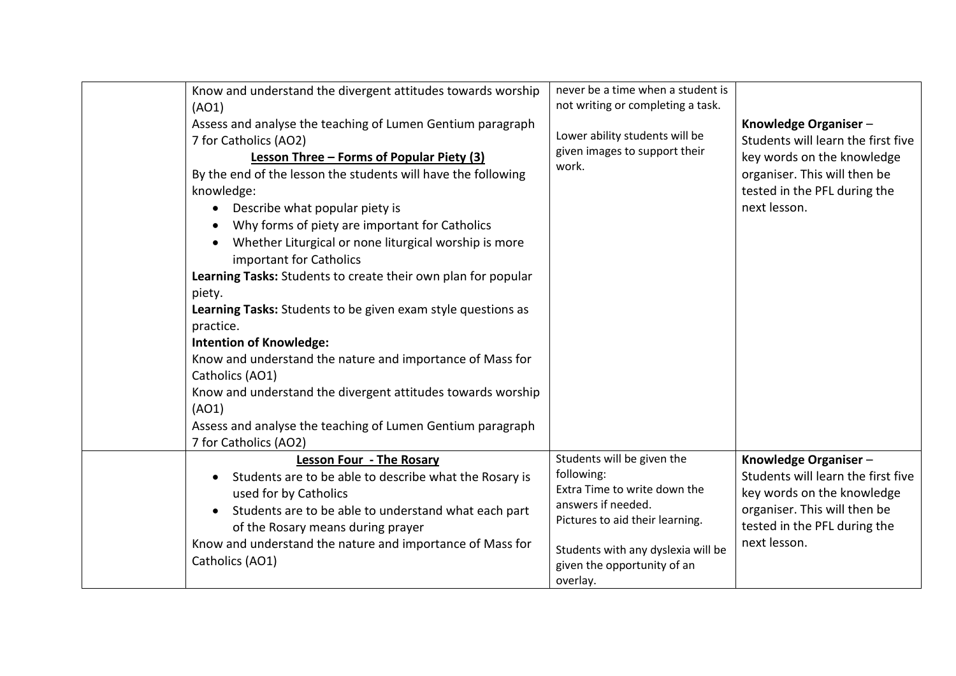| Know and understand the divergent attitudes towards worship         | never be a time when a student is<br>not writing or completing a task. |                                    |
|---------------------------------------------------------------------|------------------------------------------------------------------------|------------------------------------|
| (AO1)                                                               |                                                                        |                                    |
| Assess and analyse the teaching of Lumen Gentium paragraph          | Lower ability students will be                                         | Knowledge Organiser-               |
| 7 for Catholics (AO2)                                               | given images to support their                                          | Students will learn the first five |
| Lesson Three - Forms of Popular Piety (3)                           | work.                                                                  | key words on the knowledge         |
| By the end of the lesson the students will have the following       |                                                                        | organiser. This will then be       |
| knowledge:                                                          |                                                                        | tested in the PFL during the       |
| Describe what popular piety is<br>$\bullet$                         |                                                                        | next lesson.                       |
| Why forms of piety are important for Catholics<br>$\bullet$         |                                                                        |                                    |
| Whether Liturgical or none liturgical worship is more<br>$\bullet$  |                                                                        |                                    |
| important for Catholics                                             |                                                                        |                                    |
| Learning Tasks: Students to create their own plan for popular       |                                                                        |                                    |
| piety.                                                              |                                                                        |                                    |
| Learning Tasks: Students to be given exam style questions as        |                                                                        |                                    |
| practice.                                                           |                                                                        |                                    |
| <b>Intention of Knowledge:</b>                                      |                                                                        |                                    |
| Know and understand the nature and importance of Mass for           |                                                                        |                                    |
| Catholics (AO1)                                                     |                                                                        |                                    |
| Know and understand the divergent attitudes towards worship         |                                                                        |                                    |
| (AO1)                                                               |                                                                        |                                    |
| Assess and analyse the teaching of Lumen Gentium paragraph          |                                                                        |                                    |
| 7 for Catholics (AO2)                                               |                                                                        |                                    |
| <b>Lesson Four - The Rosary</b>                                     | Students will be given the                                             | Knowledge Organiser-               |
| Students are to be able to describe what the Rosary is<br>$\bullet$ | following:                                                             | Students will learn the first five |
| used for by Catholics                                               | Extra Time to write down the                                           | key words on the knowledge         |
| Students are to be able to understand what each part<br>$\bullet$   | answers if needed.                                                     | organiser. This will then be       |
| of the Rosary means during prayer                                   | Pictures to aid their learning.                                        | tested in the PFL during the       |
| Know and understand the nature and importance of Mass for           | Students with any dyslexia will be                                     | next lesson.                       |
| Catholics (AO1)                                                     | given the opportunity of an                                            |                                    |
|                                                                     | overlay.                                                               |                                    |
|                                                                     |                                                                        |                                    |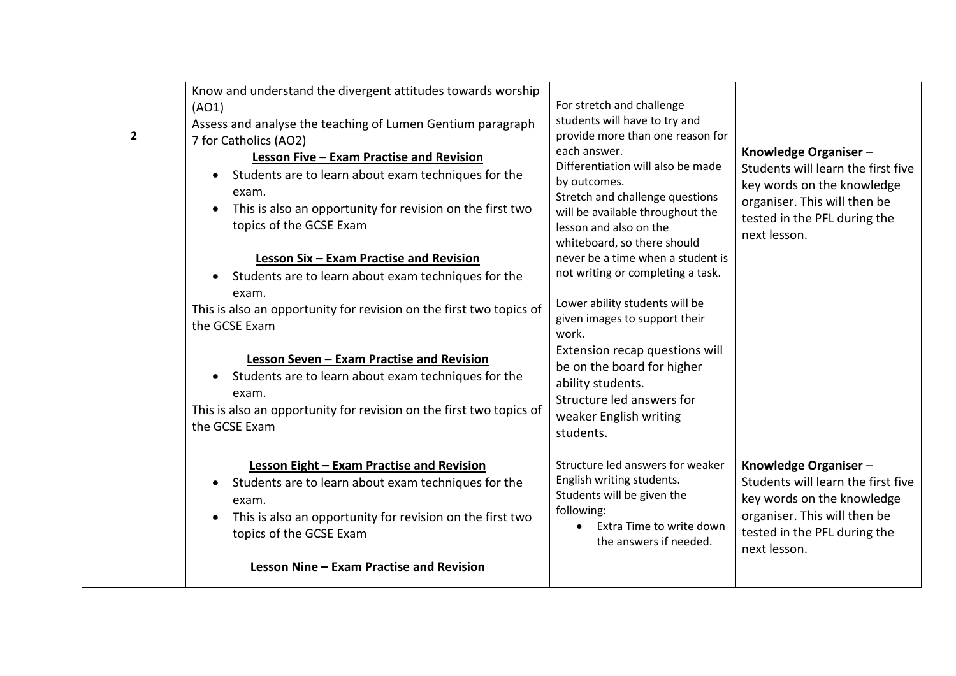| $\overline{2}$ | Know and understand the divergent attitudes towards worship<br>(AO1)<br>Assess and analyse the teaching of Lumen Gentium paragraph<br>7 for Catholics (AO2)<br>Lesson Five - Exam Practise and Revision<br>Students are to learn about exam techniques for the<br>$\bullet$<br>exam.<br>This is also an opportunity for revision on the first two<br>topics of the GCSE Exam<br>Lesson Six - Exam Practise and Revision<br>Students are to learn about exam techniques for the<br>exam.<br>This is also an opportunity for revision on the first two topics of<br>the GCSE Exam<br>Lesson Seven - Exam Practise and Revision<br>Students are to learn about exam techniques for the<br>$\bullet$<br>exam.<br>This is also an opportunity for revision on the first two topics of<br>the GCSE Exam | For stretch and challenge<br>students will have to try and<br>provide more than one reason for<br>each answer.<br>Differentiation will also be made<br>by outcomes.<br>Stretch and challenge questions<br>will be available throughout the<br>lesson and also on the<br>whiteboard, so there should<br>never be a time when a student is<br>not writing or completing a task.<br>Lower ability students will be<br>given images to support their<br>work.<br>Extension recap questions will<br>be on the board for higher<br>ability students.<br>Structure led answers for<br>weaker English writing<br>students. | Knowledge Organiser-<br>Students will learn the first five<br>key words on the knowledge<br>organiser. This will then be<br>tested in the PFL during the<br>next lesson. |
|----------------|---------------------------------------------------------------------------------------------------------------------------------------------------------------------------------------------------------------------------------------------------------------------------------------------------------------------------------------------------------------------------------------------------------------------------------------------------------------------------------------------------------------------------------------------------------------------------------------------------------------------------------------------------------------------------------------------------------------------------------------------------------------------------------------------------|--------------------------------------------------------------------------------------------------------------------------------------------------------------------------------------------------------------------------------------------------------------------------------------------------------------------------------------------------------------------------------------------------------------------------------------------------------------------------------------------------------------------------------------------------------------------------------------------------------------------|--------------------------------------------------------------------------------------------------------------------------------------------------------------------------|
|                | Lesson Eight - Exam Practise and Revision<br>Students are to learn about exam techniques for the<br>$\bullet$<br>exam.<br>This is also an opportunity for revision on the first two<br>$\bullet$<br>topics of the GCSE Exam<br>Lesson Nine - Exam Practise and Revision                                                                                                                                                                                                                                                                                                                                                                                                                                                                                                                           | Structure led answers for weaker<br>English writing students.<br>Students will be given the<br>following:<br>Extra Time to write down<br>$\bullet$<br>the answers if needed.                                                                                                                                                                                                                                                                                                                                                                                                                                       | Knowledge Organiser-<br>Students will learn the first five<br>key words on the knowledge<br>organiser. This will then be<br>tested in the PFL during the<br>next lesson. |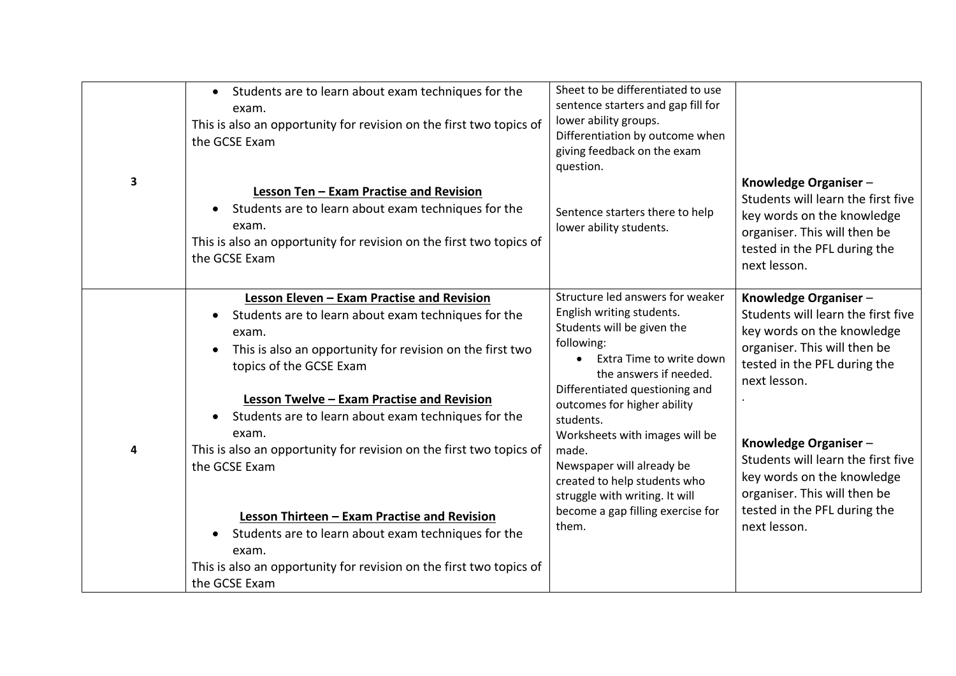| 3 | • Students are to learn about exam techniques for the<br>exam.<br>This is also an opportunity for revision on the first two topics of<br>the GCSE Exam<br>Lesson Ten - Exam Practise and Revision<br>Students are to learn about exam techniques for the<br>exam.<br>This is also an opportunity for revision on the first two topics of<br>the GCSE Exam                                                                                                                                                                                                                                                                                  | Sheet to be differentiated to use<br>sentence starters and gap fill for<br>lower ability groups.<br>Differentiation by outcome when<br>giving feedback on the exam<br>question.<br>Sentence starters there to help<br>lower ability students.                                                                                                                                                                                         | Knowledge Organiser-<br>Students will learn the first five<br>key words on the knowledge<br>organiser. This will then be<br>tested in the PFL during the<br>next lesson.                                                                                                                                                                             |
|---|--------------------------------------------------------------------------------------------------------------------------------------------------------------------------------------------------------------------------------------------------------------------------------------------------------------------------------------------------------------------------------------------------------------------------------------------------------------------------------------------------------------------------------------------------------------------------------------------------------------------------------------------|---------------------------------------------------------------------------------------------------------------------------------------------------------------------------------------------------------------------------------------------------------------------------------------------------------------------------------------------------------------------------------------------------------------------------------------|------------------------------------------------------------------------------------------------------------------------------------------------------------------------------------------------------------------------------------------------------------------------------------------------------------------------------------------------------|
| 4 | Lesson Eleven - Exam Practise and Revision<br>Students are to learn about exam techniques for the<br>$\bullet$<br>exam.<br>This is also an opportunity for revision on the first two<br>$\bullet$<br>topics of the GCSE Exam<br>Lesson Twelve - Exam Practise and Revision<br>Students are to learn about exam techniques for the<br>exam.<br>This is also an opportunity for revision on the first two topics of<br>the GCSE Exam<br>Lesson Thirteen - Exam Practise and Revision<br>Students are to learn about exam techniques for the<br>exam.<br>This is also an opportunity for revision on the first two topics of<br>the GCSE Exam | Structure led answers for weaker<br>English writing students.<br>Students will be given the<br>following:<br>Extra Time to write down<br>the answers if needed.<br>Differentiated questioning and<br>outcomes for higher ability<br>students.<br>Worksheets with images will be<br>made.<br>Newspaper will already be<br>created to help students who<br>struggle with writing. It will<br>become a gap filling exercise for<br>them. | Knowledge Organiser-<br>Students will learn the first five<br>key words on the knowledge<br>organiser. This will then be<br>tested in the PFL during the<br>next lesson.<br>Knowledge Organiser-<br>Students will learn the first five<br>key words on the knowledge<br>organiser. This will then be<br>tested in the PFL during the<br>next lesson. |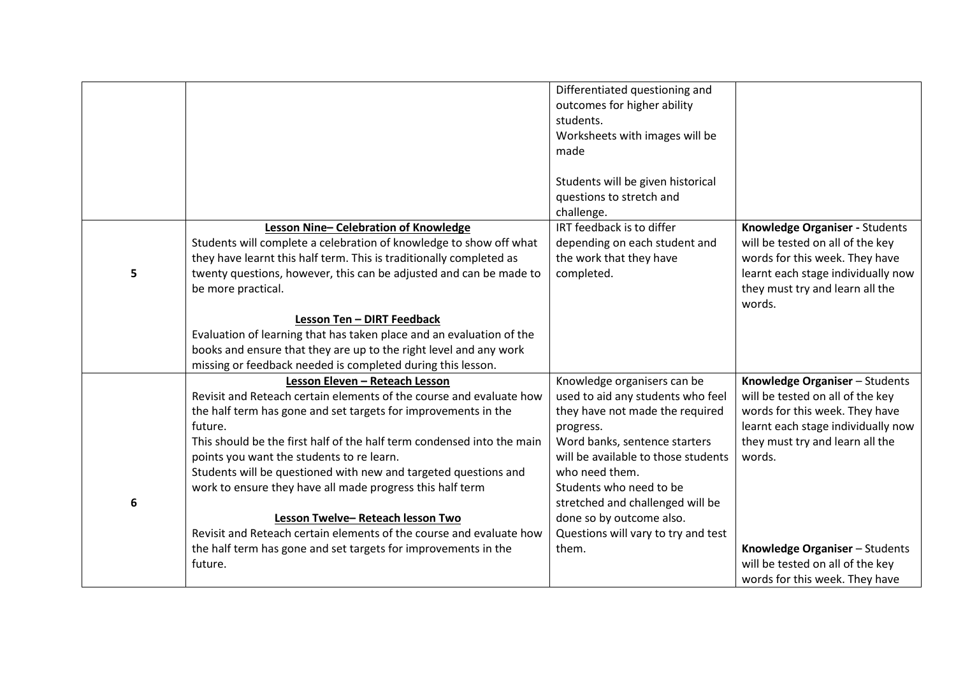|   |                                                                        | Differentiated questioning and<br>outcomes for higher ability |                                    |
|---|------------------------------------------------------------------------|---------------------------------------------------------------|------------------------------------|
|   |                                                                        | students.                                                     |                                    |
|   |                                                                        | Worksheets with images will be                                |                                    |
|   |                                                                        | made                                                          |                                    |
|   |                                                                        |                                                               |                                    |
|   |                                                                        | Students will be given historical                             |                                    |
|   |                                                                        | questions to stretch and                                      |                                    |
|   |                                                                        | challenge.                                                    |                                    |
|   | Lesson Nine-Celebration of Knowledge                                   | IRT feedback is to differ                                     | Knowledge Organiser - Students     |
|   | Students will complete a celebration of knowledge to show off what     | depending on each student and                                 | will be tested on all of the key   |
|   | they have learnt this half term. This is traditionally completed as    | the work that they have                                       | words for this week. They have     |
| 5 | twenty questions, however, this can be adjusted and can be made to     | completed.                                                    | learnt each stage individually now |
|   | be more practical.                                                     |                                                               | they must try and learn all the    |
|   |                                                                        |                                                               | words.                             |
|   | Lesson Ten - DIRT Feedback                                             |                                                               |                                    |
|   | Evaluation of learning that has taken place and an evaluation of the   |                                                               |                                    |
|   | books and ensure that they are up to the right level and any work      |                                                               |                                    |
|   | missing or feedback needed is completed during this lesson.            |                                                               |                                    |
|   | Lesson Eleven - Reteach Lesson                                         | Knowledge organisers can be                                   | Knowledge Organiser - Students     |
|   | Revisit and Reteach certain elements of the course and evaluate how    | used to aid any students who feel                             | will be tested on all of the key   |
|   | the half term has gone and set targets for improvements in the         | they have not made the required                               | words for this week. They have     |
|   | future.                                                                | progress.                                                     | learnt each stage individually now |
|   | This should be the first half of the half term condensed into the main | Word banks, sentence starters                                 | they must try and learn all the    |
|   | points you want the students to re learn.                              | will be available to those students                           | words.                             |
|   | Students will be questioned with new and targeted questions and        | who need them.                                                |                                    |
|   | work to ensure they have all made progress this half term              | Students who need to be                                       |                                    |
| 6 |                                                                        | stretched and challenged will be                              |                                    |
|   | Lesson Twelve-Reteach lesson Two                                       | done so by outcome also.                                      |                                    |
|   | Revisit and Reteach certain elements of the course and evaluate how    | Questions will vary to try and test                           |                                    |
|   | the half term has gone and set targets for improvements in the         | them.                                                         | Knowledge Organiser - Students     |
|   | future.                                                                |                                                               | will be tested on all of the key   |
|   |                                                                        |                                                               | words for this week. They have     |